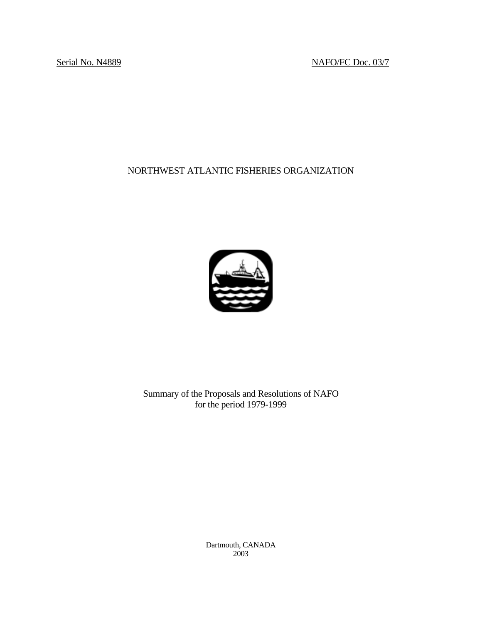Serial No. N4889 NAFO/FC Doc. 03/7

# NORTHWEST ATLANTIC FISHERIES ORGANIZATION



Summary of the Proposals and Resolutions of NAFO for the period 1979-1999

> Dartmouth, CANADA 2003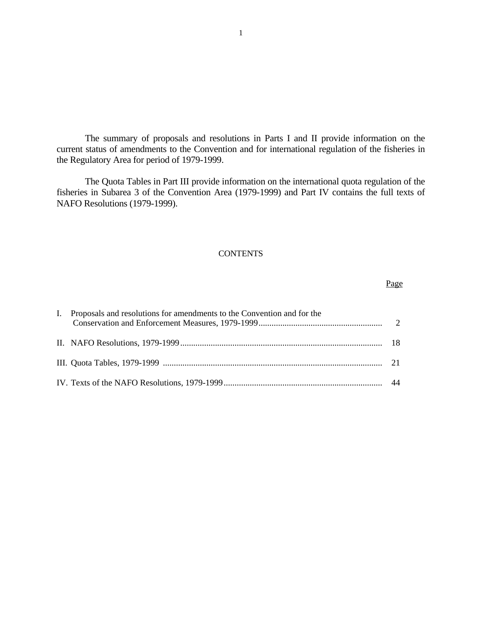The summary of proposals and resolutions in Parts I and II provide information on the current status of amendments to the Convention and for international regulation of the fisheries in the Regulatory Area for period of 1979-1999.

 The Quota Tables in Part III provide information on the international quota regulation of the fisheries in Subarea 3 of the Convention Area (1979-1999) and Part IV contains the full texts of NAFO Resolutions (1979-1999).

## **CONTENTS**

| I. Proposals and resolutions for amendments to the Convention and for the |  |
|---------------------------------------------------------------------------|--|
|                                                                           |  |
|                                                                           |  |
|                                                                           |  |

Page **Page**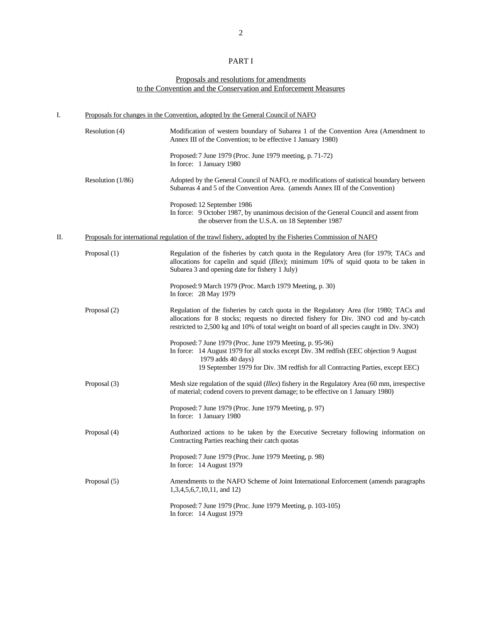## PART I

### Proposals and resolutions for amendments to the Convention and the Conservation and Enforcement Measures

| I. | Proposals for changes in the Convention, adopted by the General Council of NAFO |                                                                                                                                                                                                                                                                             |  |  |
|----|---------------------------------------------------------------------------------|-----------------------------------------------------------------------------------------------------------------------------------------------------------------------------------------------------------------------------------------------------------------------------|--|--|
|    | Resolution (4)                                                                  | Modification of western boundary of Subarea 1 of the Convention Area (Amendment to<br>Annex III of the Convention; to be effective 1 January 1980)                                                                                                                          |  |  |
|    |                                                                                 | Proposed: 7 June 1979 (Proc. June 1979 meeting, p. 71-72)<br>In force: 1 January 1980                                                                                                                                                                                       |  |  |
|    | Resolution $(1/86)$                                                             | Adopted by the General Council of NAFO, remodifications of statistical boundary between<br>Subareas 4 and 5 of the Convention Area. (amends Annex III of the Convention)                                                                                                    |  |  |
|    |                                                                                 | Proposed: 12 September 1986<br>In force: 9 October 1987, by unanimous decision of the General Council and assent from<br>the observer from the U.S.A. on 18 September 1987                                                                                                  |  |  |
| П. |                                                                                 | Proposals for international regulation of the trawl fishery, adopted by the Fisheries Commission of NAFO                                                                                                                                                                    |  |  |
|    | Proposal (1)                                                                    | Regulation of the fisheries by catch quota in the Regulatory Area (for 1979; TACs and<br>allocations for capelin and squid ( <i>Illex</i> ); minimum 10% of squid quota to be taken in<br>Subarea 3 and opening date for fishery 1 July)                                    |  |  |
|    |                                                                                 | Proposed: 9 March 1979 (Proc. March 1979 Meeting, p. 30)<br>In force: 28 May 1979                                                                                                                                                                                           |  |  |
|    | Proposal (2)                                                                    | Regulation of the fisheries by catch quota in the Regulatory Area (for 1980; TACs and<br>allocations for 8 stocks; requests no directed fishery for Div. 3NO cod and by-catch<br>restricted to 2,500 kg and 10% of total weight on board of all species caught in Div. 3NO) |  |  |
|    |                                                                                 | Proposed: 7 June 1979 (Proc. June 1979 Meeting, p. 95-96)<br>In force: 14 August 1979 for all stocks except Div. 3M redfish (EEC objection 9 August<br>1979 adds 40 days)<br>19 September 1979 for Div. 3M redfish for all Contracting Parties, except EEC)                 |  |  |
|    | Proposal (3)                                                                    | Mesh size regulation of the squid ( <i>Illex</i> ) fishery in the Regulatory Area (60 mm, irrespective<br>of material; codend covers to prevent damage; to be effective on 1 January 1980)                                                                                  |  |  |
|    |                                                                                 | Proposed: 7 June 1979 (Proc. June 1979 Meeting, p. 97)<br>In force: 1 January 1980                                                                                                                                                                                          |  |  |
|    | Proposal (4)                                                                    | Authorized actions to be taken by the Executive Secretary following information on<br>Contracting Parties reaching their catch quotas                                                                                                                                       |  |  |
|    |                                                                                 | Proposed: 7 June 1979 (Proc. June 1979 Meeting, p. 98)<br>In force: 14 August 1979                                                                                                                                                                                          |  |  |
|    | Proposal (5)                                                                    | Amendments to the NAFO Scheme of Joint International Enforcement (amends paragraphs)<br>$1,3,4,5,6,7,10,11$ , and 12)                                                                                                                                                       |  |  |
|    |                                                                                 | Proposed: 7 June 1979 (Proc. June 1979 Meeting, p. 103-105)<br>In force: 14 August 1979                                                                                                                                                                                     |  |  |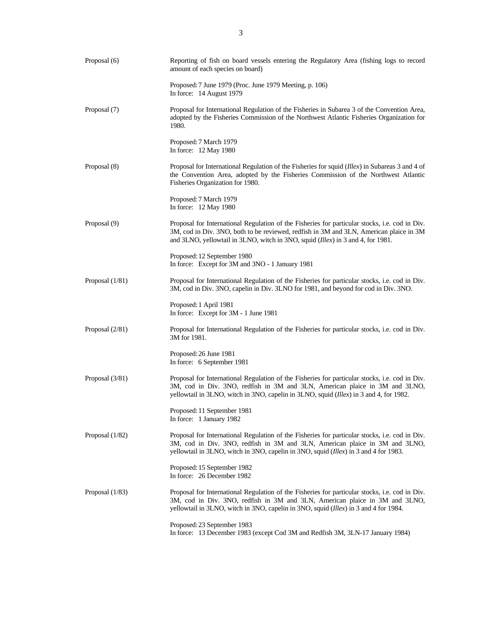| Proposal (6)      | Reporting of fish on board vessels entering the Regulatory Area (fishing logs to record<br>amount of each species on board)                                                                                                                                                    |
|-------------------|--------------------------------------------------------------------------------------------------------------------------------------------------------------------------------------------------------------------------------------------------------------------------------|
|                   | Proposed: 7 June 1979 (Proc. June 1979 Meeting, p. 106)<br>In force: 14 August 1979                                                                                                                                                                                            |
| Proposal (7)      | Proposal for International Regulation of the Fisheries in Subarea 3 of the Convention Area,<br>adopted by the Fisheries Commission of the Northwest Atlantic Fisheries Organization for<br>1980.                                                                               |
|                   | Proposed: 7 March 1979<br>In force: 12 May 1980                                                                                                                                                                                                                                |
| Proposal (8)      | Proposal for International Regulation of the Fisheries for squid (Illex) in Subareas 3 and 4 of<br>the Convention Area, adopted by the Fisheries Commission of the Northwest Atlantic<br>Fisheries Organization for 1980.                                                      |
|                   | Proposed: 7 March 1979<br>In force: 12 May 1980                                                                                                                                                                                                                                |
| Proposal (9)      | Proposal for International Regulation of the Fisheries for particular stocks, i.e. cod in Div.<br>3M, cod in Div. 3NO, both to be reviewed, redfish in 3M and 3LN, American plaice in 3M<br>and 3LNO, yellowtail in 3LNO, witch in 3NO, squid (Illex) in 3 and 4, for 1981.    |
|                   | Proposed: 12 September 1980<br>In force: Except for 3M and 3NO - 1 January 1981                                                                                                                                                                                                |
| Proposal $(1/81)$ | Proposal for International Regulation of the Fisheries for particular stocks, i.e. cod in Div.<br>3M, cod in Div. 3NO, capelin in Div. 3LNO for 1981, and beyond for cod in Div. 3NO.                                                                                          |
|                   | Proposed: 1 April 1981<br>In force: Except for 3M - 1 June 1981                                                                                                                                                                                                                |
| Proposal $(2/81)$ | Proposal for International Regulation of the Fisheries for particular stocks, i.e. cod in Div.<br>3M for 1981.                                                                                                                                                                 |
|                   | Proposed: 26 June 1981<br>In force: 6 September 1981                                                                                                                                                                                                                           |
| Proposal $(3/81)$ | Proposal for International Regulation of the Fisheries for particular stocks, i.e. cod in Div.<br>3M, cod in Div. 3NO, redfish in 3M and 3LN, American plaice in 3M and 3LNO,<br>yellowtail in 3LNO, witch in 3NO, capelin in 3LNO, squid (Illex) in 3 and 4, for 1982.        |
|                   | Proposed: 11 September 1981<br>In force: 1 January 1982                                                                                                                                                                                                                        |
| Proposal $(1/82)$ | Proposal for International Regulation of the Fisheries for particular stocks, i.e. cod in Div.<br>3M, cod in Div. 3NO, redfish in 3M and 3LN, American plaice in 3M and 3LNO,<br>yellowtail in 3LNO, witch in 3NO, capelin in 3NO, squid (Illex) in 3 and 4 for 1983.          |
|                   | Proposed: 15 September 1982<br>In force: 26 December 1982                                                                                                                                                                                                                      |
| Proposal (1/83)   | Proposal for International Regulation of the Fisheries for particular stocks, i.e. cod in Div.<br>3M, cod in Div. 3NO, redfish in 3M and 3LN, American plaice in 3M and 3LNO,<br>yellowtail in 3LNO, witch in 3NO, capelin in 3NO, squid ( <i>Illex</i> ) in 3 and 4 for 1984. |
|                   | Proposed: 23 September 1983<br>In force: 13 December 1983 (except Cod 3M and Redfish 3M, 3LN-17 January 1984)                                                                                                                                                                  |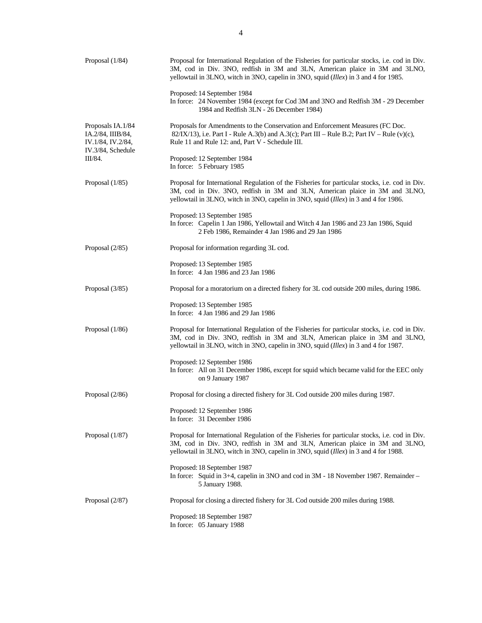| Proposal $(1/84)$                                                                | Proposal for International Regulation of the Fisheries for particular stocks, i.e. cod in Div.<br>3M, cod in Div. 3NO, redfish in 3M and 3LN, American plaice in 3M and 3LNO,<br>yellowtail in 3LNO, witch in 3NO, capelin in 3NO, squid (Illex) in 3 and 4 for 1985. |
|----------------------------------------------------------------------------------|-----------------------------------------------------------------------------------------------------------------------------------------------------------------------------------------------------------------------------------------------------------------------|
|                                                                                  | Proposed: 14 September 1984<br>In force: 24 November 1984 (except for Cod 3M and 3NO and Redfish 3M - 29 December<br>1984 and Redfish 3LN - 26 December 1984)                                                                                                         |
| Proposals IA.1/84<br>IA.2/84, IIIB/84,<br>IV.1/84, IV.2/84,<br>IV.3/84, Schedule | Proposals for Amendments to the Conservation and Enforcement Measures (FC Doc.<br>82/IX/13), i.e. Part I - Rule A.3(b) and A.3(c); Part III – Rule B.2; Part IV – Rule (v)(c),<br>Rule 11 and Rule 12: and, Part V - Schedule III.                                    |
| III/84.                                                                          | Proposed: 12 September 1984<br>In force: 5 February 1985                                                                                                                                                                                                              |
| Proposal $(1/85)$                                                                | Proposal for International Regulation of the Fisheries for particular stocks, i.e. cod in Div.<br>3M, cod in Div. 3NO, redfish in 3M and 3LN, American plaice in 3M and 3LNO,<br>yellowtail in 3LNO, witch in 3NO, capelin in 3NO, squid (Illex) in 3 and 4 for 1986. |
|                                                                                  | Proposed: 13 September 1985<br>In force: Capelin 1 Jan 1986, Yellowtail and Witch 4 Jan 1986 and 23 Jan 1986, Squid<br>2 Feb 1986, Remainder 4 Jan 1986 and 29 Jan 1986                                                                                               |
| Proposal (2/85)                                                                  | Proposal for information regarding 3L cod.                                                                                                                                                                                                                            |
|                                                                                  | Proposed: 13 September 1985<br>In force: 4 Jan 1986 and 23 Jan 1986                                                                                                                                                                                                   |
| Proposal $(3/85)$                                                                | Proposal for a moratorium on a directed fishery for 3L cod outside 200 miles, during 1986.                                                                                                                                                                            |
|                                                                                  | Proposed: 13 September 1985<br>In force: 4 Jan 1986 and 29 Jan 1986                                                                                                                                                                                                   |
| Proposal $(1/86)$                                                                | Proposal for International Regulation of the Fisheries for particular stocks, i.e. cod in Div.<br>3M, cod in Div. 3NO, redfish in 3M and 3LN, American plaice in 3M and 3LNO,<br>yellowtail in 3LNO, witch in 3NO, capelin in 3NO, squid (Illex) in 3 and 4 for 1987. |
|                                                                                  | Proposed: 12 September 1986<br>In force: All on 31 December 1986, except for squid which became valid for the EEC only<br>on 9 January 1987                                                                                                                           |
| Proposal $(2/86)$                                                                | Proposal for closing a directed fishery for 3L Cod outside 200 miles during 1987.                                                                                                                                                                                     |
|                                                                                  | Proposed: 12 September 1986<br>In force: 31 December 1986                                                                                                                                                                                                             |
| Proposal (1/87)                                                                  | Proposal for International Regulation of the Fisheries for particular stocks, i.e. cod in Div.<br>3M, cod in Div. 3NO, redfish in 3M and 3LN, American plaice in 3M and 3LNO,<br>yellowtail in 3LNO, witch in 3NO, capelin in 3NO, squid (Illex) in 3 and 4 for 1988. |
|                                                                                  | Proposed: 18 September 1987<br>In force: Squid in $3+4$ , capelin in $3NO$ and cod in $3M - 18$ November 1987. Remainder –<br>5 January 1988.                                                                                                                         |
| Proposal $(2/87)$                                                                | Proposal for closing a directed fishery for 3L Cod outside 200 miles during 1988.                                                                                                                                                                                     |
|                                                                                  | Proposed: 18 September 1987<br>In force: 05 January 1988                                                                                                                                                                                                              |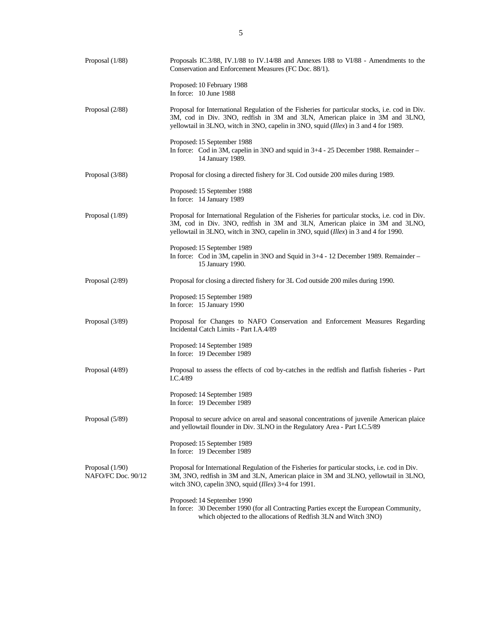| Proposal (1/88)                         | Proposals IC.3/88, IV.1/88 to IV.14/88 and Annexes I/88 to VI/88 - Amendments to the<br>Conservation and Enforcement Measures (FC Doc. 88/1).                                                                                                                         |
|-----------------------------------------|-----------------------------------------------------------------------------------------------------------------------------------------------------------------------------------------------------------------------------------------------------------------------|
|                                         | Proposed: 10 February 1988<br>In force: 10 June 1988                                                                                                                                                                                                                  |
| Proposal (2/88)                         | Proposal for International Regulation of the Fisheries for particular stocks, i.e. cod in Div.<br>3M, cod in Div. 3NO, redfish in 3M and 3LN, American plaice in 3M and 3LNO,<br>yellowtail in 3LNO, witch in 3NO, capelin in 3NO, squid (Illex) in 3 and 4 for 1989. |
|                                         | Proposed: 15 September 1988<br>In force: Cod in 3M, capelin in 3NO and squid in 3+4 - 25 December 1988. Remainder –<br>14 January 1989.                                                                                                                               |
| Proposal $(3/88)$                       | Proposal for closing a directed fishery for 3L Cod outside 200 miles during 1989.                                                                                                                                                                                     |
|                                         | Proposed: 15 September 1988<br>In force: 14 January 1989                                                                                                                                                                                                              |
| Proposal (1/89)                         | Proposal for International Regulation of the Fisheries for particular stocks, i.e. cod in Div.<br>3M, cod in Div. 3NO, redfish in 3M and 3LN, American plaice in 3M and 3LNO,<br>yellowtail in 3LNO, witch in 3NO, capelin in 3NO, squid (Illex) in 3 and 4 for 1990. |
|                                         | Proposed: 15 September 1989<br>In force: Cod in 3M, capelin in 3NO and Squid in 3+4 - 12 December 1989. Remainder -<br>15 January 1990.                                                                                                                               |
| Proposal (2/89)                         | Proposal for closing a directed fishery for 3L Cod outside 200 miles during 1990.                                                                                                                                                                                     |
|                                         | Proposed: 15 September 1989<br>In force: 15 January 1990                                                                                                                                                                                                              |
| Proposal $(3/89)$                       | Proposal for Changes to NAFO Conservation and Enforcement Measures Regarding<br>Incidental Catch Limits - Part I.A.4/89                                                                                                                                               |
|                                         | Proposed: 14 September 1989<br>In force: 19 December 1989                                                                                                                                                                                                             |
| Proposal (4/89)                         | Proposal to assess the effects of cod by-catches in the redfish and flatfish fisheries - Part<br>I.C.4/89                                                                                                                                                             |
|                                         | Proposed: 14 September 1989<br>In force: 19 December 1989                                                                                                                                                                                                             |
| Proposal (5/89)                         | Proposal to secure advice on areal and seasonal concentrations of juvenile American plaice<br>and yellowtail flounder in Div. 3LNO in the Regulatory Area - Part I.C.5/89                                                                                             |
|                                         | Proposed: 15 September 1989<br>In force: 19 December 1989                                                                                                                                                                                                             |
| Proposal $(1/90)$<br>NAFO/FC Doc. 90/12 | Proposal for International Regulation of the Fisheries for particular stocks, i.e. cod in Div.<br>3M, 3NO, redfish in 3M and 3LN, American plaice in 3M and 3LNO, yellowtail in 3LNO,<br>witch 3NO, capelin 3NO, squid ( <i>Illex</i> ) 3+4 for 1991.                 |
|                                         | Proposed: 14 September 1990<br>In force: 30 December 1990 (for all Contracting Parties except the European Community,<br>which objected to the allocations of Redfish 3LN and Witch 3NO)                                                                              |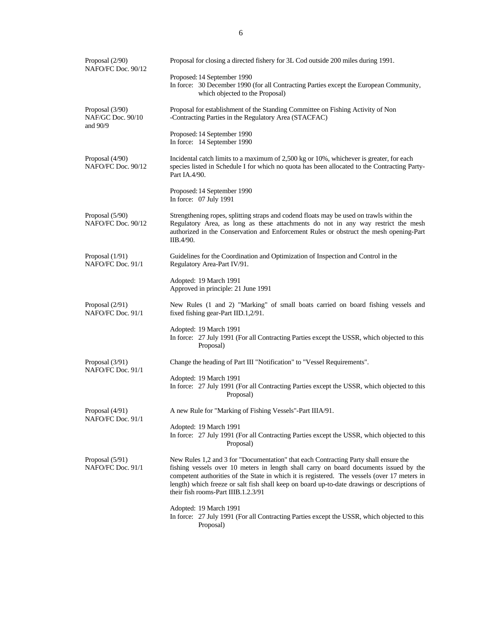| Proposal (2/90)<br>NAFO/FC Doc. 90/12            | Proposal for closing a directed fishery for 3L Cod outside 200 miles during 1991.                                                                                                                                                                                                                                                                                                                                    |
|--------------------------------------------------|----------------------------------------------------------------------------------------------------------------------------------------------------------------------------------------------------------------------------------------------------------------------------------------------------------------------------------------------------------------------------------------------------------------------|
|                                                  | Proposed: 14 September 1990<br>In force: 30 December 1990 (for all Contracting Parties except the European Community,<br>which objected to the Proposal)                                                                                                                                                                                                                                                             |
| Proposal (3/90)<br>NAF/GC Doc. 90/10<br>and 90/9 | Proposal for establishment of the Standing Committee on Fishing Activity of Non<br>-Contracting Parties in the Regulatory Area (STACFAC)                                                                                                                                                                                                                                                                             |
|                                                  | Proposed: 14 September 1990<br>In force: 14 September 1990                                                                                                                                                                                                                                                                                                                                                           |
| Proposal (4/90)<br>NAFO/FC Doc. 90/12            | Incidental catch limits to a maximum of 2,500 kg or 10%, whichever is greater, for each<br>species listed in Schedule I for which no quota has been allocated to the Contracting Party-<br>Part IA.4/90.                                                                                                                                                                                                             |
|                                                  | Proposed: 14 September 1990<br>In force: 07 July 1991                                                                                                                                                                                                                                                                                                                                                                |
| Proposal (5/90)<br>NAFO/FC Doc. 90/12            | Strengthening ropes, splitting straps and codend floats may be used on trawls within the<br>Regulatory Area, as long as these attachments do not in any way restrict the mesh<br>authorized in the Conservation and Enforcement Rules or obstruct the mesh opening-Part<br>IIB.4/90.                                                                                                                                 |
| Proposal $(1/91)$<br>NAFO/FC Doc. 91/1           | Guidelines for the Coordination and Optimization of Inspection and Control in the<br>Regulatory Area-Part IV/91.                                                                                                                                                                                                                                                                                                     |
|                                                  | Adopted: 19 March 1991<br>Approved in principle: 21 June 1991                                                                                                                                                                                                                                                                                                                                                        |
| Proposal (2/91)<br>NAFO/FC Doc. 91/1             | New Rules (1 and 2) "Marking" of small boats carried on board fishing vessels and<br>fixed fishing gear-Part IID.1,2/91.                                                                                                                                                                                                                                                                                             |
|                                                  | Adopted: 19 March 1991<br>In force: 27 July 1991 (For all Contracting Parties except the USSR, which objected to this<br>Proposal)                                                                                                                                                                                                                                                                                   |
| Proposal (3/91)<br>NAFO/FC Doc. 91/1             | Change the heading of Part III "Notification" to "Vessel Requirements".                                                                                                                                                                                                                                                                                                                                              |
|                                                  | Adopted: 19 March 1991<br>In force: 27 July 1991 (For all Contracting Parties except the USSR, which objected to this<br>Proposal)                                                                                                                                                                                                                                                                                   |
| Proposal (4/91)<br>NAFO/FC Doc. 91/1             | A new Rule for "Marking of Fishing Vessels"-Part IIIA/91.                                                                                                                                                                                                                                                                                                                                                            |
|                                                  | Adopted: 19 March 1991<br>In force: 27 July 1991 (For all Contracting Parties except the USSR, which objected to this<br>Proposal)                                                                                                                                                                                                                                                                                   |
| Proposal (5/91)<br>NAFO/FC Doc. 91/1             | New Rules 1,2 and 3 for "Documentation" that each Contracting Party shall ensure the<br>fishing vessels over 10 meters in length shall carry on board documents issued by the<br>competent authorities of the State in which it is registered. The vessels (over 17 meters in<br>length) which freeze or salt fish shall keep on board up-to-date drawings or descriptions of<br>their fish rooms-Part IIIB.1.2.3/91 |
|                                                  | Adopted: 19 March 1991<br>In force: 27 July 1991 (For all Contracting Parties except the USSR, which objected to this<br>Proposal)                                                                                                                                                                                                                                                                                   |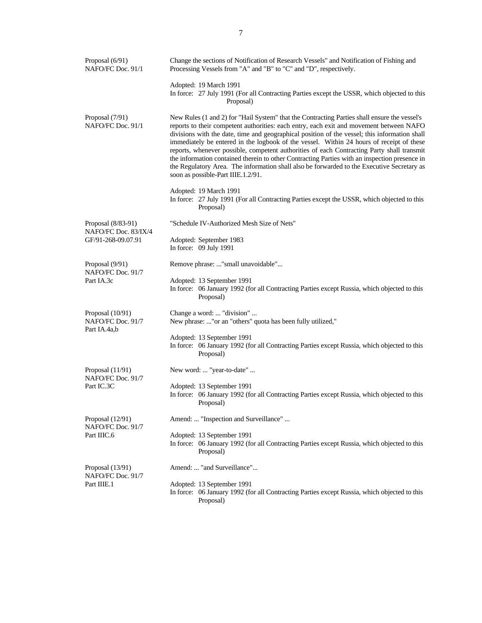| Proposal (6/91)<br>NAFO/FC Doc. 91/1                    | Change the sections of Notification of Research Vessels" and Notification of Fishing and<br>Processing Vessels from "A" and "B" to "C" and "D", respectively.                                                                                                                                                                                                                                                                                                                                                                                                                                                                                                                                                           |
|---------------------------------------------------------|-------------------------------------------------------------------------------------------------------------------------------------------------------------------------------------------------------------------------------------------------------------------------------------------------------------------------------------------------------------------------------------------------------------------------------------------------------------------------------------------------------------------------------------------------------------------------------------------------------------------------------------------------------------------------------------------------------------------------|
|                                                         | Adopted: 19 March 1991<br>In force: 27 July 1991 (For all Contracting Parties except the USSR, which objected to this<br>Proposal)                                                                                                                                                                                                                                                                                                                                                                                                                                                                                                                                                                                      |
| Proposal (7/91)<br>NAFO/FC Doc. 91/1                    | New Rules (1 and 2) for "Hail System" that the Contracting Parties shall ensure the vessel's<br>reports to their competent authorities: each entry, each exit and movement between NAFO<br>divisions with the date, time and geographical position of the vessel; this information shall<br>immediately be entered in the logbook of the vessel. Within 24 hours of receipt of these<br>reports, whenever possible, competent authorities of each Contracting Party shall transmit<br>the information contained therein to other Contracting Parties with an inspection presence in<br>the Regulatory Area. The information shall also be forwarded to the Executive Secretary as<br>soon as possible-Part IIIE.1.2/91. |
|                                                         | Adopted: 19 March 1991<br>In force: 27 July 1991 (For all Contracting Parties except the USSR, which objected to this<br>Proposal)                                                                                                                                                                                                                                                                                                                                                                                                                                                                                                                                                                                      |
| Proposal (8/83-91)                                      | "Schedule IV-Authorized Mesh Size of Nets"                                                                                                                                                                                                                                                                                                                                                                                                                                                                                                                                                                                                                                                                              |
| NAFO/FC Doc. 83/IX/4<br>GF/91-268-09.07.91              | Adopted: September 1983<br>In force: 09 July 1991                                                                                                                                                                                                                                                                                                                                                                                                                                                                                                                                                                                                                                                                       |
| Proposal (9/91)<br>NAFO/FC Doc. 91/7                    | Remove phrase: "small unavoidable"                                                                                                                                                                                                                                                                                                                                                                                                                                                                                                                                                                                                                                                                                      |
| Part IA.3c                                              | Adopted: 13 September 1991<br>In force: 06 January 1992 (for all Contracting Parties except Russia, which objected to this<br>Proposal)                                                                                                                                                                                                                                                                                                                                                                                                                                                                                                                                                                                 |
| Proposal $(10/91)$<br>NAFO/FC Doc. 91/7<br>Part IA.4a,b | Change a word:  "division"<br>New phrase: " or an "others" quota has been fully utilized,"                                                                                                                                                                                                                                                                                                                                                                                                                                                                                                                                                                                                                              |
|                                                         | Adopted: 13 September 1991<br>In force: 06 January 1992 (for all Contracting Parties except Russia, which objected to this<br>Proposal)                                                                                                                                                                                                                                                                                                                                                                                                                                                                                                                                                                                 |
| Proposal (11/91)<br>NAFO/FC Doc. 91/7                   | New word:  "year-to-date"                                                                                                                                                                                                                                                                                                                                                                                                                                                                                                                                                                                                                                                                                               |
| Part IC.3C                                              | Adopted: 13 September 1991<br>In force: 06 January 1992 (for all Contracting Parties except Russia, which objected to this<br>Proposal)                                                                                                                                                                                                                                                                                                                                                                                                                                                                                                                                                                                 |
| Proposal (12/91)<br>NAFO/FC Doc. 91/7                   | Amend:  "Inspection and Surveillance"                                                                                                                                                                                                                                                                                                                                                                                                                                                                                                                                                                                                                                                                                   |
| Part IIIC.6                                             | Adopted: 13 September 1991<br>In force: 06 January 1992 (for all Contracting Parties except Russia, which objected to this<br>Proposal)                                                                                                                                                                                                                                                                                                                                                                                                                                                                                                                                                                                 |
| Proposal (13/91)<br>NAFO/FC Doc. 91/7                   | Amend:  "and Surveillance"                                                                                                                                                                                                                                                                                                                                                                                                                                                                                                                                                                                                                                                                                              |
| Part IIIE.1                                             | Adopted: 13 September 1991<br>In force: 06 January 1992 (for all Contracting Parties except Russia, which objected to this<br>Proposal)                                                                                                                                                                                                                                                                                                                                                                                                                                                                                                                                                                                 |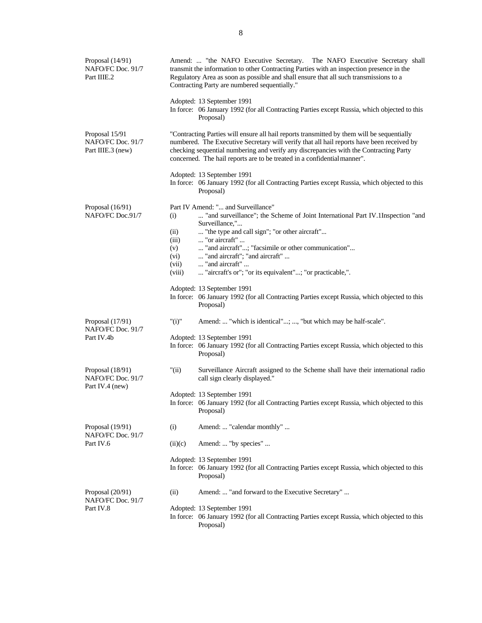| Proposal (14/91)<br>NAFO/FC Doc. 91/7<br>Part IIIE.2     |                                                        | Amend:  "the NAFO Executive Secretary. The NAFO Executive Secretary shall<br>transmit the information to other Contracting Parties with an inspection presence in the<br>Regulatory Area as soon as possible and shall ensure that all such transmissions to a<br>Contracting Party are numbered sequentially."                                                                |
|----------------------------------------------------------|--------------------------------------------------------|--------------------------------------------------------------------------------------------------------------------------------------------------------------------------------------------------------------------------------------------------------------------------------------------------------------------------------------------------------------------------------|
|                                                          |                                                        | Adopted: 13 September 1991<br>In force: 06 January 1992 (for all Contracting Parties except Russia, which objected to this<br>Proposal)                                                                                                                                                                                                                                        |
| Proposal 15/91<br>NAFO/FC Doc. 91/7<br>Part IIIE.3 (new) |                                                        | "Contracting Parties will ensure all hail reports transmitted by them will be sequentially<br>numbered. The Executive Secretary will verify that all hail reports have been received by<br>checking sequential numbering and verify any discrepancies with the Contracting Party<br>concerned. The hail reports are to be treated in a confidential manner".                   |
|                                                          |                                                        | Adopted: 13 September 1991<br>In force: 06 January 1992 (for all Contracting Parties except Russia, which objected to this<br>Proposal)                                                                                                                                                                                                                                        |
| Proposal (16/91)<br>NAFO/FC Doc.91/7                     | (i)<br>(ii)<br>(iii)<br>(v)<br>(vi)<br>(vii)<br>(viii) | Part IV Amend: " and Surveillance"<br>"and surveillance"; the Scheme of Joint International Part IV.1Inspection "and<br>Surveillance,"<br>"the type and call sign"; "or other aircraft"<br>"or aircraft"<br>"and aircraft"; "facsimile or other communication"<br>"and aircraft"; "and aircraft"<br>"and aircraft"<br>"aircraft's or"; "or its equivalent"; "or practicable,". |
|                                                          |                                                        | Adopted: 13 September 1991<br>In force: 06 January 1992 (for all Contracting Parties except Russia, which objected to this<br>Proposal)                                                                                                                                                                                                                                        |
| Proposal (17/91)<br>NAFO/FC Doc. 91/7                    | "(i)"                                                  | Amend:  "which is identical"; , "but which may be half-scale".                                                                                                                                                                                                                                                                                                                 |
| Part IV.4b                                               |                                                        | Adopted: 13 September 1991<br>In force: 06 January 1992 (for all Contracting Parties except Russia, which objected to this<br>Proposal)                                                                                                                                                                                                                                        |
| Proposal (18/91)<br>NAFO/FC Doc. 91/7<br>Part IV.4 (new) | "(ii)                                                  | Surveillance Aircraft assigned to the Scheme shall have their international radio<br>call sign clearly displayed."                                                                                                                                                                                                                                                             |
|                                                          |                                                        | Adopted: 13 September 1991<br>In force: 06 January 1992 (for all Contracting Parties except Russia, which objected to this<br>Proposal)                                                                                                                                                                                                                                        |
| Proposal (19/91)<br>NAFO/FC Doc. 91/7                    | (i)                                                    | Amend:  "calendar monthly"                                                                                                                                                                                                                                                                                                                                                     |
| Part IV.6                                                | (ii)(c)                                                | Amend:  "by species"                                                                                                                                                                                                                                                                                                                                                           |
|                                                          |                                                        | Adopted: 13 September 1991<br>In force: 06 January 1992 (for all Contracting Parties except Russia, which objected to this<br>Proposal)                                                                                                                                                                                                                                        |
| Proposal (20/91)<br>NAFO/FC Doc. 91/7                    | (ii)                                                   | Amend:  "and forward to the Executive Secretary"                                                                                                                                                                                                                                                                                                                               |
| Part IV.8                                                |                                                        | Adopted: 13 September 1991<br>In force: 06 January 1992 (for all Contracting Parties except Russia, which objected to this<br>Proposal)                                                                                                                                                                                                                                        |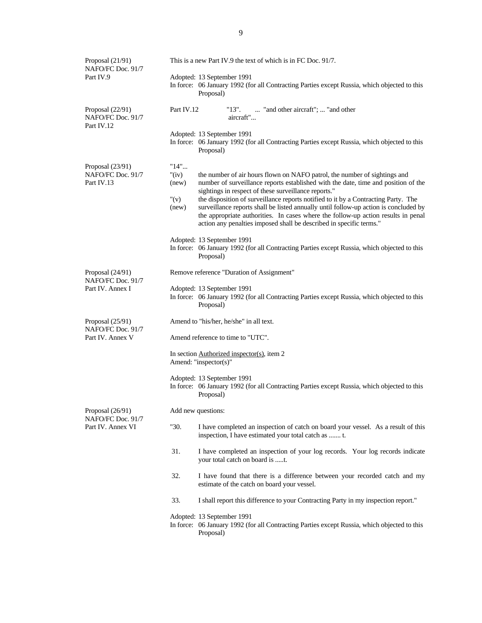| Proposal (21/91)<br>NAFO/FC Doc. 91/7                       |                                               | This is a new Part IV.9 the text of which is in FC Doc. 91/7.                                                                                                                                                                                                                                                                                                                                                                                                                                                                                                     |
|-------------------------------------------------------------|-----------------------------------------------|-------------------------------------------------------------------------------------------------------------------------------------------------------------------------------------------------------------------------------------------------------------------------------------------------------------------------------------------------------------------------------------------------------------------------------------------------------------------------------------------------------------------------------------------------------------------|
| Part IV.9                                                   |                                               | Adopted: 13 September 1991<br>In force: 06 January 1992 (for all Contracting Parties except Russia, which objected to this<br>Proposal)                                                                                                                                                                                                                                                                                                                                                                                                                           |
| Proposal (22/91)<br>NAFO/FC Doc. 91/7<br>Part IV.12         | Part IV.12                                    | "and other aircraft";  "and other<br>"13".<br>aircraft"                                                                                                                                                                                                                                                                                                                                                                                                                                                                                                           |
|                                                             |                                               | Adopted: 13 September 1991<br>In force: 06 January 1992 (for all Contracting Parties except Russia, which objected to this<br>Proposal)                                                                                                                                                                                                                                                                                                                                                                                                                           |
| Proposal (23/91)<br>NAFO/FC Doc. 91/7<br>Part IV.13         | "14"<br>" $(iv)$<br>(new)<br>" $(v)$<br>(new) | the number of air hours flown on NAFO patrol, the number of sightings and<br>number of surveillance reports established with the date, time and position of the<br>sightings in respect of these surveillance reports."<br>the disposition of surveillance reports notified to it by a Contracting Party. The<br>surveillance reports shall be listed annually until follow-up action is concluded by<br>the appropriate authorities. In cases where the follow-up action results in penal<br>action any penalties imposed shall be described in specific terms." |
|                                                             |                                               | Adopted: 13 September 1991<br>In force: 06 January 1992 (for all Contracting Parties except Russia, which objected to this<br>Proposal)                                                                                                                                                                                                                                                                                                                                                                                                                           |
| Proposal (24/91)<br>NAFO/FC Doc. 91/7<br>Part IV. Annex I   |                                               | Remove reference "Duration of Assignment"<br>Adopted: 13 September 1991<br>In force: 06 January 1992 (for all Contracting Parties except Russia, which objected to this<br>Proposal)                                                                                                                                                                                                                                                                                                                                                                              |
| Proposal $(25/91)$<br>NAFO/FC Doc. 91/7<br>Part IV. Annex V |                                               | Amend to "his/her, he/she" in all text.<br>Amend reference to time to "UTC".                                                                                                                                                                                                                                                                                                                                                                                                                                                                                      |
|                                                             |                                               | In section Authorized inspector(s), item 2<br>Amend: "inspector(s)"                                                                                                                                                                                                                                                                                                                                                                                                                                                                                               |
|                                                             |                                               | Adopted: 13 September 1991<br>In force: 06 January 1992 (for all Contracting Parties except Russia, which objected to this<br>Proposal)                                                                                                                                                                                                                                                                                                                                                                                                                           |
| Proposal (26/91)                                            |                                               | Add new questions:                                                                                                                                                                                                                                                                                                                                                                                                                                                                                                                                                |
| NAFO/FC Doc. 91/7<br>Part IV. Annex VI                      | "30.                                          | I have completed an inspection of catch on board your vessel. As a result of this<br>inspection, I have estimated your total catch as  t.                                                                                                                                                                                                                                                                                                                                                                                                                         |
|                                                             | 31.                                           | I have completed an inspection of your log records. Your log records indicate<br>your total catch on board is t.                                                                                                                                                                                                                                                                                                                                                                                                                                                  |
|                                                             | 32.                                           | I have found that there is a difference between your recorded catch and my<br>estimate of the catch on board your vessel.                                                                                                                                                                                                                                                                                                                                                                                                                                         |
|                                                             | 33.                                           | I shall report this difference to your Contracting Party in my inspection report."                                                                                                                                                                                                                                                                                                                                                                                                                                                                                |
|                                                             |                                               | Adopted: 13 September 1991<br>In force: 06 January 1992 (for all Contracting Parties except Russia, which objected to this<br>Proposal)                                                                                                                                                                                                                                                                                                                                                                                                                           |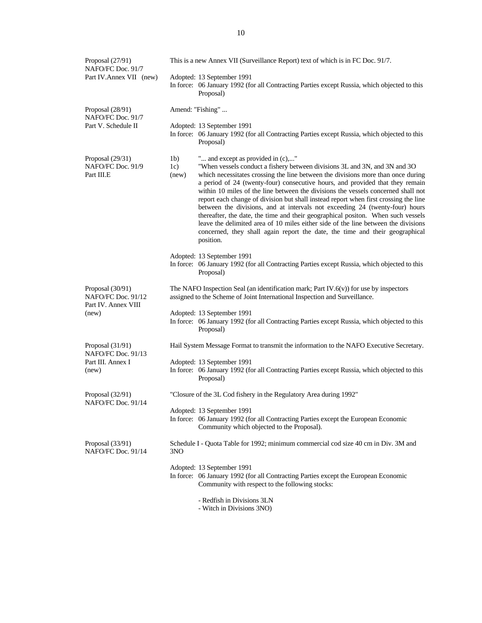| Proposal (27/91)<br>NAFO/FC Doc. 91/7                         |                                | This is a new Annex VII (Surveillance Report) text of which is in FC Doc. 91/7.                                                                                                                                                                                                                                                                                                                                                                                                                                                                                                                                                                                                                                                                                                                                          |
|---------------------------------------------------------------|--------------------------------|--------------------------------------------------------------------------------------------------------------------------------------------------------------------------------------------------------------------------------------------------------------------------------------------------------------------------------------------------------------------------------------------------------------------------------------------------------------------------------------------------------------------------------------------------------------------------------------------------------------------------------------------------------------------------------------------------------------------------------------------------------------------------------------------------------------------------|
| Part IV.Annex VII (new)                                       |                                | Adopted: 13 September 1991<br>In force: 06 January 1992 (for all Contracting Parties except Russia, which objected to this<br>Proposal)                                                                                                                                                                                                                                                                                                                                                                                                                                                                                                                                                                                                                                                                                  |
| Proposal (28/91)<br>NAFO/FC Doc. 91/7                         |                                | Amend: "Fishing"                                                                                                                                                                                                                                                                                                                                                                                                                                                                                                                                                                                                                                                                                                                                                                                                         |
| Part V. Schedule II                                           |                                | Adopted: 13 September 1991<br>In force: 06 January 1992 (for all Contracting Parties except Russia, which objected to this<br>Proposal)                                                                                                                                                                                                                                                                                                                                                                                                                                                                                                                                                                                                                                                                                  |
| Proposal $(29/31)$<br>NAFO/FC Doc. 91/9<br>Part III.E         | 1 <sub>b</sub><br>1c)<br>(new) | " and except as provided in (c),"<br>"When vessels conduct a fishery between divisions 3L and 3N, and 3N and 3O<br>which necessitates crossing the line between the divisions more than once during<br>a period of 24 (twenty-four) consecutive hours, and provided that they remain<br>within 10 miles of the line between the divisions the vessels concerned shall not<br>report each change of division but shall instead report when first crossing the line<br>between the divisions, and at intervals not exceeding 24 (twenty-four) hours<br>thereafter, the date, the time and their geographical positon. When such vessels<br>leave the delimited area of 10 miles either side of the line between the divisions<br>concerned, they shall again report the date, the time and their geographical<br>position. |
|                                                               |                                | Adopted: 13 September 1991<br>In force: 06 January 1992 (for all Contracting Parties except Russia, which objected to this<br>Proposal)                                                                                                                                                                                                                                                                                                                                                                                                                                                                                                                                                                                                                                                                                  |
| Proposal (30/91)<br>NAFO/FC Doc. 91/12<br>Part IV. Annex VIII |                                | The NAFO Inspection Seal (an identification mark; Part IV. $6(v)$ ) for use by inspectors<br>assigned to the Scheme of Joint International Inspection and Surveillance.                                                                                                                                                                                                                                                                                                                                                                                                                                                                                                                                                                                                                                                  |
| (new)                                                         |                                | Adopted: 13 September 1991<br>In force: 06 January 1992 (for all Contracting Parties except Russia, which objected to this<br>Proposal)                                                                                                                                                                                                                                                                                                                                                                                                                                                                                                                                                                                                                                                                                  |
| Proposal $(31/91)$<br>NAFO/FC Doc. 91/13                      |                                | Hail System Message Format to transmit the information to the NAFO Executive Secretary.                                                                                                                                                                                                                                                                                                                                                                                                                                                                                                                                                                                                                                                                                                                                  |
| Part III. Annex I<br>(new)                                    |                                | Adopted: 13 September 1991<br>In force: 06 January 1992 (for all Contracting Parties except Russia, which objected to this<br>Proposal)                                                                                                                                                                                                                                                                                                                                                                                                                                                                                                                                                                                                                                                                                  |
| Proposal (32/91)<br>NAFO/FC Doc. 91/14                        |                                | "Closure of the 3L Cod fishery in the Regulatory Area during 1992"                                                                                                                                                                                                                                                                                                                                                                                                                                                                                                                                                                                                                                                                                                                                                       |
|                                                               |                                | Adopted: 13 September 1991<br>In force: 06 January 1992 (for all Contracting Parties except the European Economic<br>Community which objected to the Proposal).                                                                                                                                                                                                                                                                                                                                                                                                                                                                                                                                                                                                                                                          |
| Proposal (33/91)<br>NAFO/FC Doc. 91/14                        | 3NO                            | Schedule I - Quota Table for 1992; minimum commercial cod size 40 cm in Div. 3M and                                                                                                                                                                                                                                                                                                                                                                                                                                                                                                                                                                                                                                                                                                                                      |
|                                                               |                                | Adopted: 13 September 1991<br>In force: 06 January 1992 (for all Contracting Parties except the European Economic<br>Community with respect to the following stocks:                                                                                                                                                                                                                                                                                                                                                                                                                                                                                                                                                                                                                                                     |
|                                                               |                                | - Redfish in Divisions 3LN<br>- Witch in Divisions 3NO)                                                                                                                                                                                                                                                                                                                                                                                                                                                                                                                                                                                                                                                                                                                                                                  |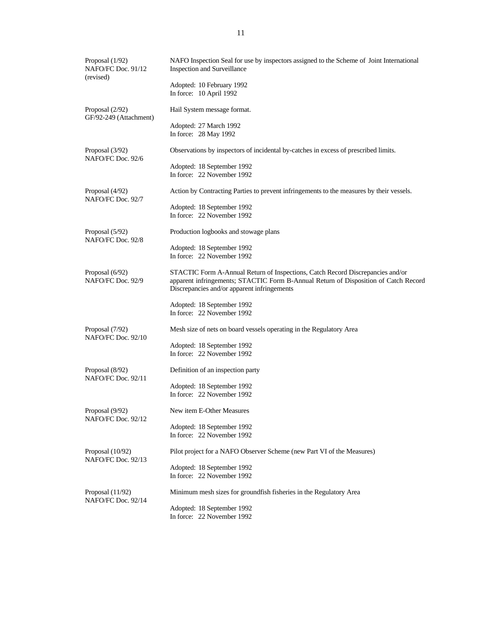| Proposal (1/92)<br>NAFO/FC Doc. 91/12<br>(revised) | NAFO Inspection Seal for use by inspectors assigned to the Scheme of Joint International<br>Inspection and Surveillance                                                                                              |
|----------------------------------------------------|----------------------------------------------------------------------------------------------------------------------------------------------------------------------------------------------------------------------|
|                                                    | Adopted: 10 February 1992<br>In force: 10 April 1992                                                                                                                                                                 |
| Proposal $(2/92)$<br>GF/92-249 (Attachment)        | Hail System message format.                                                                                                                                                                                          |
|                                                    | Adopted: 27 March 1992<br>In force: 28 May 1992                                                                                                                                                                      |
| Proposal (3/92)<br>NAFO/FC Doc. 92/6               | Observations by inspectors of incidental by-catches in excess of prescribed limits.                                                                                                                                  |
|                                                    | Adopted: 18 September 1992<br>In force: 22 November 1992                                                                                                                                                             |
| Proposal (4/92)<br>NAFO/FC Doc. 92/7               | Action by Contracting Parties to prevent infringements to the measures by their vessels.                                                                                                                             |
|                                                    | Adopted: 18 September 1992<br>In force: 22 November 1992                                                                                                                                                             |
| Proposal (5/92)<br>NAFO/FC Doc. 92/8               | Production logbooks and stowage plans                                                                                                                                                                                |
|                                                    | Adopted: 18 September 1992<br>In force: 22 November 1992                                                                                                                                                             |
| Proposal (6/92)<br>NAFO/FC Doc. 92/9               | STACTIC Form A-Annual Return of Inspections, Catch Record Discrepancies and/or<br>apparent infringements; STACTIC Form B-Annual Return of Disposition of Catch Record<br>Discrepancies and/or apparent infringements |
|                                                    | Adopted: 18 September 1992<br>In force: 22 November 1992                                                                                                                                                             |
| Proposal (7/92)<br>NAFO/FC Doc. 92/10              | Mesh size of nets on board vessels operating in the Regulatory Area                                                                                                                                                  |
|                                                    | Adopted: 18 September 1992<br>In force: 22 November 1992                                                                                                                                                             |
| Proposal (8/92)<br>NAFO/FC Doc. 92/11              | Definition of an inspection party                                                                                                                                                                                    |
|                                                    | Adopted: 18 September 1992<br>In force: 22 November 1992                                                                                                                                                             |
| Proposal (9/92)<br>NAFO/FC Doc. 92/12              | New item E-Other Measures                                                                                                                                                                                            |
|                                                    | Adopted: 18 September 1992<br>In force: 22 November 1992                                                                                                                                                             |
| Proposal $(10/92)$<br>NAFO/FC Doc. 92/13           | Pilot project for a NAFO Observer Scheme (new Part VI of the Measures)                                                                                                                                               |
|                                                    | Adopted: 18 September 1992<br>In force: 22 November 1992                                                                                                                                                             |
| Proposal (11/92)<br>NAFO/FC Doc. 92/14             | Minimum mesh sizes for groundfish fisheries in the Regulatory Area                                                                                                                                                   |
|                                                    | Adopted: 18 September 1992<br>In force: 22 November 1992                                                                                                                                                             |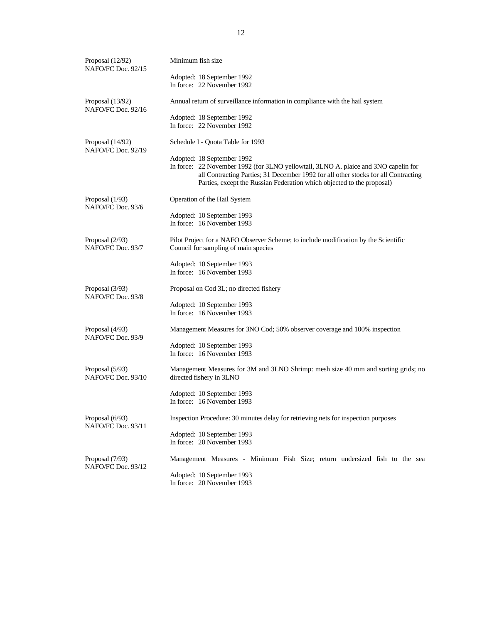| Proposal (12/92)<br>NAFO/FC Doc. 92/15 | Minimum fish size                                                                                                                                                                                                                                                                 |
|----------------------------------------|-----------------------------------------------------------------------------------------------------------------------------------------------------------------------------------------------------------------------------------------------------------------------------------|
|                                        | Adopted: 18 September 1992<br>In force: 22 November 1992                                                                                                                                                                                                                          |
| Proposal (13/92)<br>NAFO/FC Doc. 92/16 | Annual return of surveillance information in compliance with the hail system                                                                                                                                                                                                      |
|                                        | Adopted: 18 September 1992<br>In force: 22 November 1992                                                                                                                                                                                                                          |
| Proposal (14/92)<br>NAFO/FC Doc. 92/19 | Schedule I - Quota Table for 1993                                                                                                                                                                                                                                                 |
|                                        | Adopted: 18 September 1992<br>In force: 22 November 1992 (for 3LNO yellowtail, 3LNO A. plaice and 3NO capelin for<br>all Contracting Parties; 31 December 1992 for all other stocks for all Contracting<br>Parties, except the Russian Federation which objected to the proposal) |
| Proposal $(1/93)$<br>NAFO/FC Doc. 93/6 | Operation of the Hail System                                                                                                                                                                                                                                                      |
|                                        | Adopted: 10 September 1993<br>In force: 16 November 1993                                                                                                                                                                                                                          |
| Proposal $(2/93)$<br>NAFO/FC Doc. 93/7 | Pilot Project for a NAFO Observer Scheme; to include modification by the Scientific<br>Council for sampling of main species                                                                                                                                                       |
|                                        | Adopted: 10 September 1993<br>In force: 16 November 1993                                                                                                                                                                                                                          |
| Proposal (3/93)<br>NAFO/FC Doc. 93/8   | Proposal on Cod 3L; no directed fishery                                                                                                                                                                                                                                           |
|                                        | Adopted: 10 September 1993<br>In force: 16 November 1993                                                                                                                                                                                                                          |
| Proposal (4/93)<br>NAFO/FC Doc. 93/9   | Management Measures for 3NO Cod; 50% observer coverage and 100% inspection                                                                                                                                                                                                        |
|                                        | Adopted: 10 September 1993<br>In force: 16 November 1993                                                                                                                                                                                                                          |
| Proposal (5/93)<br>NAFO/FC Doc. 93/10  | Management Measures for 3M and 3LNO Shrimp: mesh size 40 mm and sorting grids; no<br>directed fishery in 3LNO                                                                                                                                                                     |
|                                        | Adopted: 10 September 1993<br>In force: 16 November 1993                                                                                                                                                                                                                          |
| Proposal (6/93)<br>NAFO/FC Doc. 93/11  | Inspection Procedure: 30 minutes delay for retrieving nets for inspection purposes                                                                                                                                                                                                |
|                                        | Adopted: 10 September 1993<br>In force: 20 November 1993                                                                                                                                                                                                                          |
| Proposal (7/93)<br>NAFO/FC Doc. 93/12  | Management Measures - Minimum Fish Size; return undersized fish to the sea                                                                                                                                                                                                        |
|                                        | Adopted: 10 September 1993<br>In force: 20 November 1993                                                                                                                                                                                                                          |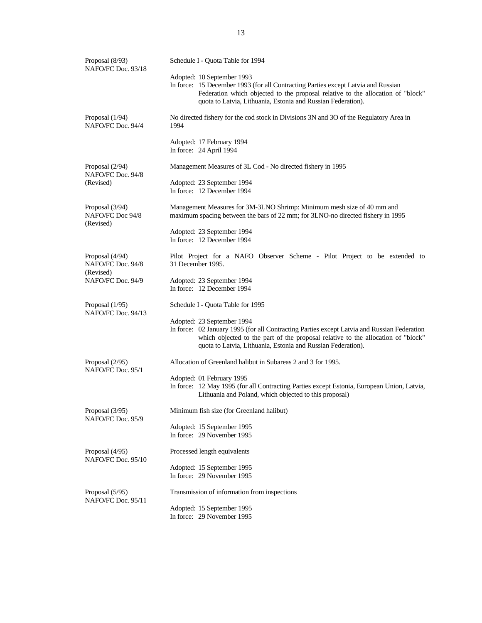| Proposal (8/93)<br>NAFO/FC Doc. 93/18             | Schedule I - Quota Table for 1994                                                                                                                                                                                                                                             |
|---------------------------------------------------|-------------------------------------------------------------------------------------------------------------------------------------------------------------------------------------------------------------------------------------------------------------------------------|
|                                                   | Adopted: 10 September 1993<br>In force: 15 December 1993 (for all Contracting Parties except Latvia and Russian<br>Federation which objected to the proposal relative to the allocation of "block"<br>quota to Latvia, Lithuania, Estonia and Russian Federation).            |
| Proposal (1/94)<br>NAFO/FC Doc. 94/4              | No directed fishery for the cod stock in Divisions 3N and 3O of the Regulatory Area in<br>1994                                                                                                                                                                                |
|                                                   | Adopted: 17 February 1994<br>In force: 24 April 1994                                                                                                                                                                                                                          |
| Proposal (2/94)<br>NAFO/FC Doc. 94/8              | Management Measures of 3L Cod - No directed fishery in 1995                                                                                                                                                                                                                   |
| (Revised)                                         | Adopted: 23 September 1994<br>In force: 12 December 1994                                                                                                                                                                                                                      |
| Proposal (3/94)<br>NAFO/FC Doc 94/8<br>(Revised)  | Management Measures for 3M-3LNO Shrimp: Minimum mesh size of 40 mm and<br>maximum spacing between the bars of 22 mm; for 3LNO-no directed fishery in 1995                                                                                                                     |
|                                                   | Adopted: 23 September 1994<br>In force: 12 December 1994                                                                                                                                                                                                                      |
| Proposal (4/94)<br>NAFO/FC Doc. 94/8<br>(Revised) | Pilot Project for a NAFO Observer Scheme - Pilot Project to be extended to<br>31 December 1995.                                                                                                                                                                               |
| NAFO/FC Doc. 94/9                                 | Adopted: 23 September 1994<br>In force: 12 December 1994                                                                                                                                                                                                                      |
| Proposal $(1/95)$<br>NAFO/FC Doc. 94/13           | Schedule I - Quota Table for 1995                                                                                                                                                                                                                                             |
|                                                   | Adopted: 23 September 1994<br>In force: 02 January 1995 (for all Contracting Parties except Latvia and Russian Federation<br>which objected to the part of the proposal relative to the allocation of "block"<br>quota to Latvia, Lithuania, Estonia and Russian Federation). |
| Proposal $(2/95)$<br>NAFO/FC Doc. 95/1            | Allocation of Greenland halibut in Subareas 2 and 3 for 1995.                                                                                                                                                                                                                 |
|                                                   | Adopted: 01 February 1995<br>In force: 12 May 1995 (for all Contracting Parties except Estonia, European Union, Latvia,<br>Lithuania and Poland, which objected to this proposal)                                                                                             |
| Proposal (3/95)<br>NAFO/FC Doc. 95/9              | Minimum fish size (for Greenland halibut)                                                                                                                                                                                                                                     |
|                                                   | Adopted: 15 September 1995<br>In force: 29 November 1995                                                                                                                                                                                                                      |
| Proposal (4/95)<br>NAFO/FC Doc. 95/10             | Processed length equivalents                                                                                                                                                                                                                                                  |
|                                                   | Adopted: 15 September 1995<br>In force: 29 November 1995                                                                                                                                                                                                                      |
| Proposal (5/95)<br>NAFO/FC Doc. 95/11             | Transmission of information from inspections                                                                                                                                                                                                                                  |
|                                                   | Adopted: 15 September 1995<br>In force: 29 November 1995                                                                                                                                                                                                                      |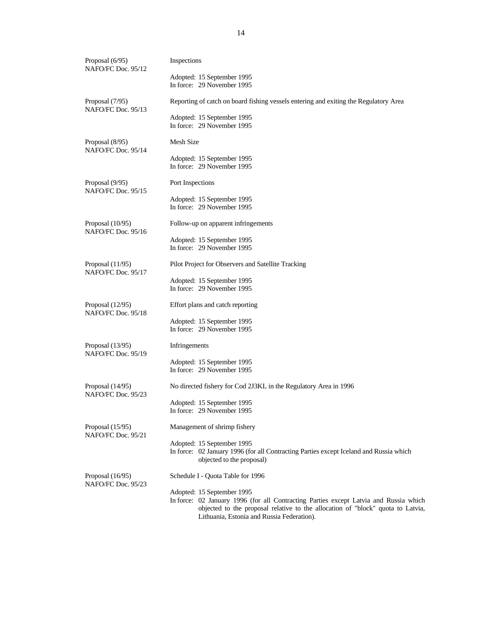| Proposal $(6/95)$<br>NAFO/FC Doc. 95/12  | Inspections                                                                                                                                                              |
|------------------------------------------|--------------------------------------------------------------------------------------------------------------------------------------------------------------------------|
|                                          | Adopted: 15 September 1995<br>In force: 29 November 1995                                                                                                                 |
| Proposal (7/95)<br>NAFO/FC Doc. 95/13    | Reporting of catch on board fishing vessels entering and exiting the Regulatory Area                                                                                     |
|                                          | Adopted: 15 September 1995<br>In force: 29 November 1995                                                                                                                 |
| Proposal (8/95)<br>NAFO/FC Doc. 95/14    | <b>Mesh Size</b>                                                                                                                                                         |
|                                          | Adopted: 15 September 1995<br>In force: 29 November 1995                                                                                                                 |
| Proposal (9/95)<br>NAFO/FC Doc. 95/15    | Port Inspections                                                                                                                                                         |
|                                          | Adopted: 15 September 1995                                                                                                                                               |
|                                          | In force: 29 November 1995                                                                                                                                               |
| Proposal $(10/95)$<br>NAFO/FC Doc. 95/16 | Follow-up on apparent infringements                                                                                                                                      |
|                                          | Adopted: 15 September 1995                                                                                                                                               |
|                                          | In force: 29 November 1995                                                                                                                                               |
| Proposal $(11/95)$<br>NAFO/FC Doc. 95/17 | Pilot Project for Observers and Satellite Tracking                                                                                                                       |
|                                          | Adopted: 15 September 1995                                                                                                                                               |
|                                          | In force: 29 November 1995                                                                                                                                               |
| Proposal $(12/95)$<br>NAFO/FC Doc. 95/18 | Effort plans and catch reporting                                                                                                                                         |
|                                          | Adopted: 15 September 1995<br>In force: 29 November 1995                                                                                                                 |
| Proposal (13/95)<br>NAFO/FC Doc. 95/19   | Infringements                                                                                                                                                            |
|                                          | Adopted: 15 September 1995                                                                                                                                               |
|                                          | In force: 29 November 1995                                                                                                                                               |
| Proposal $(14/95)$<br>NAFO/FC Doc. 95/23 | No directed fishery for Cod 2J3KL in the Regulatory Area in 1996                                                                                                         |
|                                          | Adopted: 15 September 1995                                                                                                                                               |
|                                          | In force: 29 November 1995                                                                                                                                               |
| Proposal $(15/95)$<br>NAFO/FC Doc. 95/21 | Management of shrimp fishery                                                                                                                                             |
|                                          | Adopted: 15 September 1995                                                                                                                                               |
|                                          | In force: 02 January 1996 (for all Contracting Parties except Iceland and Russia which<br>objected to the proposal)                                                      |
| Proposal $(16/95)$<br>NAFO/FC Doc. 95/23 | Schedule I - Quota Table for 1996                                                                                                                                        |
|                                          | Adopted: 15 September 1995                                                                                                                                               |
|                                          | In force: 02 January 1996 (for all Contracting Parties except Latvia and Russia which<br>objected to the proposal relative to the allocation of "block" quota to Latvia, |

objected to the proposal relative to the allocation of "block" quota to Latvia, Lithuania, Estonia and Russia Federation).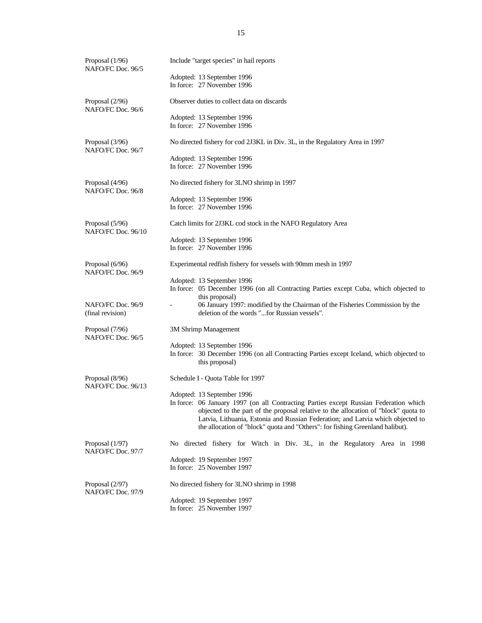| Proposal $(1/96)$<br>NAFO/FC Doc. 96/5 | Include "target species" in hail reports                                                                                                                                                                                                                                                                                                                                       |
|----------------------------------------|--------------------------------------------------------------------------------------------------------------------------------------------------------------------------------------------------------------------------------------------------------------------------------------------------------------------------------------------------------------------------------|
|                                        | Adopted: 13 September 1996<br>In force: 27 November 1996                                                                                                                                                                                                                                                                                                                       |
| Proposal (2/96)<br>NAFO/FC Doc. 96/6   | Observer duties to collect data on discards                                                                                                                                                                                                                                                                                                                                    |
|                                        | Adopted: 13 September 1996<br>In force: 27 November 1996                                                                                                                                                                                                                                                                                                                       |
| Proposal (3/96)<br>NAFO/FC Doc. 96/7   | No directed fishery for cod 2J3KL in Div. 3L, in the Regulatory Area in 1997                                                                                                                                                                                                                                                                                                   |
|                                        | Adopted: 13 September 1996<br>In force: 27 November 1996                                                                                                                                                                                                                                                                                                                       |
| Proposal (4/96)<br>NAFO/FC Doc. 96/8   | No directed fishery for 3LNO shrimp in 1997                                                                                                                                                                                                                                                                                                                                    |
|                                        | Adopted: 13 September 1996                                                                                                                                                                                                                                                                                                                                                     |
|                                        | In force: 27 November 1996                                                                                                                                                                                                                                                                                                                                                     |
| Proposal (5/96)<br>NAFO/FC Doc. 96/10  | Catch limits for 2J3KL cod stock in the NAFO Regulatory Area                                                                                                                                                                                                                                                                                                                   |
|                                        | Adopted: 13 September 1996                                                                                                                                                                                                                                                                                                                                                     |
|                                        | In force: 27 November 1996                                                                                                                                                                                                                                                                                                                                                     |
| Proposal (6/96)<br>NAFO/FC Doc. 96/9   | Experimental redfish fishery for vessels with 90mm mesh in 1997                                                                                                                                                                                                                                                                                                                |
|                                        | Adopted: 13 September 1996<br>In force: 05 December 1996 (on all Contracting Parties except Cuba, which objected to<br>this proposal)                                                                                                                                                                                                                                          |
| NAFO/FC Doc. 96/9<br>(final revision)  | 06 January 1997: modified by the Chairman of the Fisheries Commission by the<br>deletion of the words "for Russian vessels".                                                                                                                                                                                                                                                   |
| Proposal (7/96)<br>NAFO/FC Doc. 96/5   | 3M Shrimp Management                                                                                                                                                                                                                                                                                                                                                           |
|                                        | Adopted: 13 September 1996<br>In force: 30 December 1996 (on all Contracting Parties except Iceland, which objected to<br>this proposal)                                                                                                                                                                                                                                       |
| Proposal (8/96)<br>NAFO/FC Doc. 96/13  | Schedule I - Quota Table for 1997                                                                                                                                                                                                                                                                                                                                              |
|                                        | Adopted: 13 September 1996<br>In force: 06 January 1997 (on all Contracting Parties except Russian Federation which<br>objected to the part of the proposal relative to the allocation of "block" quota to<br>Latvia, Lithuania, Estonia and Russian Federation; and Latvia which objected to<br>the allocation of "block" quota and "Others": for fishing Greenland halibut). |
| Proposal (1/97)<br>NAFO/FC Doc. 97/7   | No directed fishery for Witch in Div. 3L, in the Regulatory Area in 1998                                                                                                                                                                                                                                                                                                       |
|                                        | Adopted: 19 September 1997<br>In force: 25 November 1997                                                                                                                                                                                                                                                                                                                       |
| Proposal (2/97)<br>NAFO/FC Doc. 97/9   | No directed fishery for 3LNO shrimp in 1998                                                                                                                                                                                                                                                                                                                                    |
|                                        | Adopted: 19 September 1997<br>In force: 25 November 1997                                                                                                                                                                                                                                                                                                                       |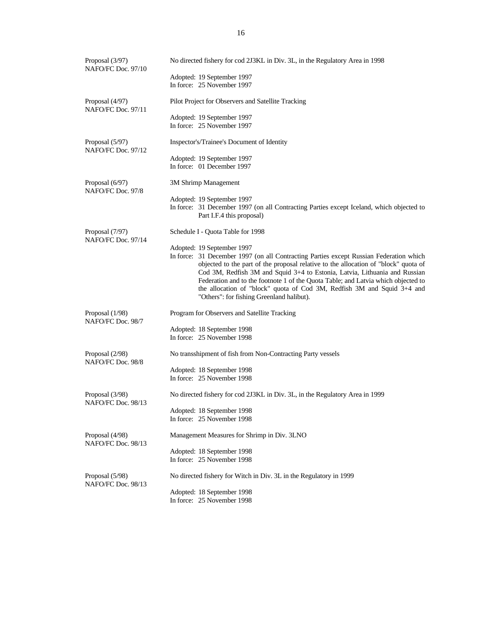| Proposal (3/97)<br>NAFO/FC Doc. 97/10 | No directed fishery for cod 2J3KL in Div. 3L, in the Regulatory Area in 1998                                                                                                                                                                                                                                                                     |
|---------------------------------------|--------------------------------------------------------------------------------------------------------------------------------------------------------------------------------------------------------------------------------------------------------------------------------------------------------------------------------------------------|
|                                       | Adopted: 19 September 1997                                                                                                                                                                                                                                                                                                                       |
|                                       | In force: 25 November 1997                                                                                                                                                                                                                                                                                                                       |
| Proposal (4/97)<br>NAFO/FC Doc. 97/11 | Pilot Project for Observers and Satellite Tracking                                                                                                                                                                                                                                                                                               |
|                                       | Adopted: 19 September 1997                                                                                                                                                                                                                                                                                                                       |
|                                       | In force: 25 November 1997                                                                                                                                                                                                                                                                                                                       |
| Proposal (5/97)<br>NAFO/FC Doc. 97/12 | Inspector's/Trainee's Document of Identity                                                                                                                                                                                                                                                                                                       |
|                                       | Adopted: 19 September 1997                                                                                                                                                                                                                                                                                                                       |
|                                       | In force: 01 December 1997                                                                                                                                                                                                                                                                                                                       |
| Proposal (6/97)<br>NAFO/FC Doc. 97/8  | 3M Shrimp Management                                                                                                                                                                                                                                                                                                                             |
|                                       | Adopted: 19 September 1997                                                                                                                                                                                                                                                                                                                       |
|                                       | In force: 31 December 1997 (on all Contracting Parties except Iceland, which objected to<br>Part I.F.4 this proposal)                                                                                                                                                                                                                            |
| Proposal (7/97)<br>NAFO/FC Doc. 97/14 | Schedule I - Quota Table for 1998                                                                                                                                                                                                                                                                                                                |
|                                       | Adopted: 19 September 1997                                                                                                                                                                                                                                                                                                                       |
|                                       | In force: 31 December 1997 (on all Contracting Parties except Russian Federation which<br>objected to the part of the proposal relative to the allocation of "block" quota of<br>Cod 3M, Redfish 3M and Squid 3+4 to Estonia, Latvia, Lithuania and Russian<br>Federation and to the footnote 1 of the Quota Table; and Latvia which objected to |
|                                       | the allocation of "block" quota of Cod 3M, Redfish 3M and Squid 3+4 and<br>"Others": for fishing Greenland halibut).                                                                                                                                                                                                                             |
| Proposal (1/98)<br>NAFO/FC Doc. 98/7  | Program for Observers and Satellite Tracking                                                                                                                                                                                                                                                                                                     |
|                                       | Adopted: 18 September 1998                                                                                                                                                                                                                                                                                                                       |
|                                       | In force: 25 November 1998                                                                                                                                                                                                                                                                                                                       |
| Proposal (2/98)<br>NAFO/FC Doc. 98/8  | No transshipment of fish from Non-Contracting Party vessels                                                                                                                                                                                                                                                                                      |
|                                       | Adopted: 18 September 1998                                                                                                                                                                                                                                                                                                                       |
|                                       | In force: 25 November 1998                                                                                                                                                                                                                                                                                                                       |
| Proposal (3/98)<br>NAFO/FC Doc. 98/13 | No directed fishery for cod 2J3KL in Div. 3L, in the Regulatory Area in 1999                                                                                                                                                                                                                                                                     |
|                                       | Adopted: 18 September 1998                                                                                                                                                                                                                                                                                                                       |
|                                       | In force: 25 November 1998                                                                                                                                                                                                                                                                                                                       |
| Proposal (4/98)<br>NAFO/FC Doc. 98/13 | Management Measures for Shrimp in Div. 3LNO                                                                                                                                                                                                                                                                                                      |
|                                       | Adopted: 18 September 1998                                                                                                                                                                                                                                                                                                                       |
|                                       | In force: 25 November 1998                                                                                                                                                                                                                                                                                                                       |
| Proposal (5/98)<br>NAFO/FC Doc. 98/13 | No directed fishery for Witch in Div. 3L in the Regulatory in 1999                                                                                                                                                                                                                                                                               |
|                                       | Adopted: 18 September 1998                                                                                                                                                                                                                                                                                                                       |
|                                       | In force: 25 November 1998                                                                                                                                                                                                                                                                                                                       |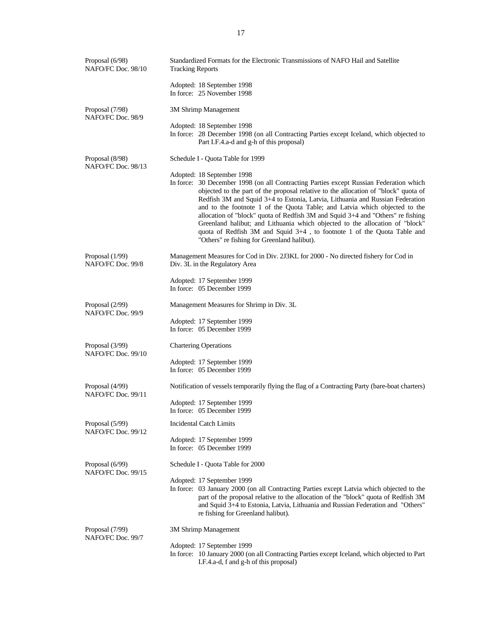| Proposal (6/98)<br>NAFO/FC Doc. 98/10 | Standardized Formats for the Electronic Transmissions of NAFO Hail and Satellite<br><b>Tracking Reports</b>                                                                                                                                                                                                                                                                                                                                                                                                                                                                                                                                                             |
|---------------------------------------|-------------------------------------------------------------------------------------------------------------------------------------------------------------------------------------------------------------------------------------------------------------------------------------------------------------------------------------------------------------------------------------------------------------------------------------------------------------------------------------------------------------------------------------------------------------------------------------------------------------------------------------------------------------------------|
|                                       | Adopted: 18 September 1998<br>In force: 25 November 1998                                                                                                                                                                                                                                                                                                                                                                                                                                                                                                                                                                                                                |
| Proposal (7/98)<br>NAFO/FC Doc. 98/9  | 3M Shrimp Management                                                                                                                                                                                                                                                                                                                                                                                                                                                                                                                                                                                                                                                    |
|                                       | Adopted: 18 September 1998<br>In force: 28 December 1998 (on all Contracting Parties except Iceland, which objected to<br>Part I.F.4.a-d and g-h of this proposal)                                                                                                                                                                                                                                                                                                                                                                                                                                                                                                      |
| Proposal (8/98)<br>NAFO/FC Doc. 98/13 | Schedule I - Quota Table for 1999                                                                                                                                                                                                                                                                                                                                                                                                                                                                                                                                                                                                                                       |
|                                       | Adopted: 18 September 1998<br>In force: 30 December 1998 (on all Contracting Parties except Russian Federation which<br>objected to the part of the proposal relative to the allocation of "block" quota of<br>Redfish 3M and Squid 3+4 to Estonia, Latvia, Lithuania and Russian Federation<br>and to the footnote 1 of the Quota Table; and Latvia which objected to the<br>allocation of "block" quota of Redfish 3M and Squid 3+4 and "Others" re fishing<br>Greenland halibut; and Lithuania which objected to the allocation of "block"<br>quota of Redfish 3M and Squid 3+4, to footnote 1 of the Quota Table and<br>"Others" re fishing for Greenland halibut). |
| Proposal (1/99)<br>NAFO/FC Doc. 99/8  | Management Measures for Cod in Div. 2J3KL for 2000 - No directed fishery for Cod in<br>Div. 3L in the Regulatory Area                                                                                                                                                                                                                                                                                                                                                                                                                                                                                                                                                   |
|                                       | Adopted: 17 September 1999<br>In force: 05 December 1999                                                                                                                                                                                                                                                                                                                                                                                                                                                                                                                                                                                                                |
| Proposal (2/99)<br>NAFO/FC Doc. 99/9  | Management Measures for Shrimp in Div. 3L                                                                                                                                                                                                                                                                                                                                                                                                                                                                                                                                                                                                                               |
|                                       | Adopted: 17 September 1999<br>In force: 05 December 1999                                                                                                                                                                                                                                                                                                                                                                                                                                                                                                                                                                                                                |
| Proposal (3/99)<br>NAFO/FC Doc. 99/10 | <b>Chartering Operations</b>                                                                                                                                                                                                                                                                                                                                                                                                                                                                                                                                                                                                                                            |
|                                       | Adopted: 17 September 1999<br>In force: 05 December 1999                                                                                                                                                                                                                                                                                                                                                                                                                                                                                                                                                                                                                |
| Proposal (4/99)<br>NAFO/FC Doc. 99/11 | Notification of vessels temporarily flying the flag of a Contracting Party (bare-boat charters)                                                                                                                                                                                                                                                                                                                                                                                                                                                                                                                                                                         |
|                                       | Adopted: 17 September 1999<br>In force: 05 December 1999                                                                                                                                                                                                                                                                                                                                                                                                                                                                                                                                                                                                                |
| Proposal (5/99)<br>NAFO/FC Doc. 99/12 | Incidental Catch Limits                                                                                                                                                                                                                                                                                                                                                                                                                                                                                                                                                                                                                                                 |
|                                       | Adopted: 17 September 1999<br>In force: 05 December 1999                                                                                                                                                                                                                                                                                                                                                                                                                                                                                                                                                                                                                |
| Proposal (6/99)<br>NAFO/FC Doc. 99/15 | Schedule I - Quota Table for 2000                                                                                                                                                                                                                                                                                                                                                                                                                                                                                                                                                                                                                                       |
|                                       | Adopted: 17 September 1999<br>In force: 03 January 2000 (on all Contracting Parties except Latvia which objected to the<br>part of the proposal relative to the allocation of the "block" quota of Redfish 3M<br>and Squid 3+4 to Estonia, Latvia, Lithuania and Russian Federation and "Others"<br>re fishing for Greenland halibut).                                                                                                                                                                                                                                                                                                                                  |
| Proposal (7/99)<br>NAFO/FC Doc. 99/7  | 3M Shrimp Management                                                                                                                                                                                                                                                                                                                                                                                                                                                                                                                                                                                                                                                    |
|                                       | Adopted: 17 September 1999<br>In force: 10 January 2000 (on all Contracting Parties except Iceland, which objected to Part                                                                                                                                                                                                                                                                                                                                                                                                                                                                                                                                              |
|                                       | I.F.4.a-d, f and g-h of this proposal)                                                                                                                                                                                                                                                                                                                                                                                                                                                                                                                                                                                                                                  |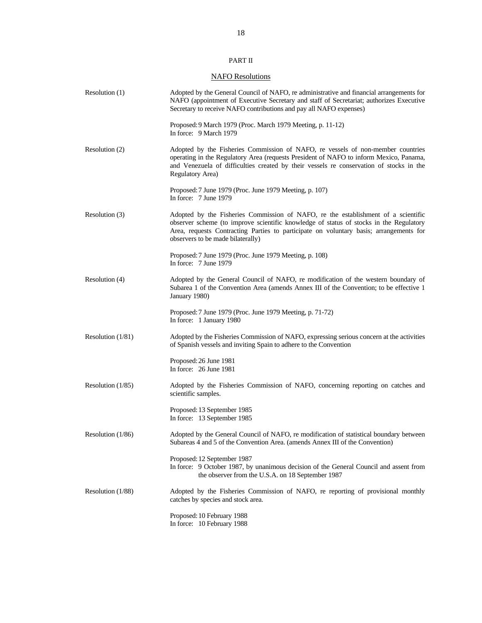## PART II

## **NAFO Resolutions**

| Resolution (1)      | Adopted by the General Council of NAFO, readministrative and financial arrangements for<br>NAFO (appointment of Executive Secretary and staff of Secretariat; authorizes Executive<br>Secretary to receive NAFO contributions and pay all NAFO expenses)                                                   |
|---------------------|------------------------------------------------------------------------------------------------------------------------------------------------------------------------------------------------------------------------------------------------------------------------------------------------------------|
|                     | Proposed: 9 March 1979 (Proc. March 1979 Meeting, p. 11-12)<br>In force: 9 March 1979                                                                                                                                                                                                                      |
| Resolution (2)      | Adopted by the Fisheries Commission of NAFO, re vessels of non-member countries<br>operating in the Regulatory Area (requests President of NAFO to inform Mexico, Panama,<br>and Venezuela of difficulties created by their vessels re conservation of stocks in the<br>Regulatory Area)                   |
|                     | Proposed: 7 June 1979 (Proc. June 1979 Meeting, p. 107)<br>In force: $7$ June 1979                                                                                                                                                                                                                         |
| Resolution (3)      | Adopted by the Fisheries Commission of NAFO, re the establishment of a scientific<br>observer scheme (to improve scientific knowledge of status of stocks in the Regulatory<br>Area, requests Contracting Parties to participate on voluntary basis; arrangements for<br>observers to be made bilaterally) |
|                     | Proposed: 7 June 1979 (Proc. June 1979 Meeting, p. 108)<br>In force: 7 June 1979                                                                                                                                                                                                                           |
| Resolution (4)      | Adopted by the General Council of NAFO, re modification of the western boundary of<br>Subarea 1 of the Convention Area (amends Annex III of the Convention; to be effective 1<br>January 1980)                                                                                                             |
|                     | Proposed: 7 June 1979 (Proc. June 1979 Meeting, p. 71-72)<br>In force: 1 January 1980                                                                                                                                                                                                                      |
| Resolution $(1/81)$ | Adopted by the Fisheries Commission of NAFO, expressing serious concern at the activities<br>of Spanish vessels and inviting Spain to adhere to the Convention                                                                                                                                             |
|                     | Proposed: 26 June 1981<br>In force: 26 June 1981                                                                                                                                                                                                                                                           |
| Resolution $(1/85)$ | Adopted by the Fisheries Commission of NAFO, concerning reporting on catches and<br>scientific samples.                                                                                                                                                                                                    |
|                     | Proposed: 13 September 1985<br>In force: 13 September 1985                                                                                                                                                                                                                                                 |
| Resolution $(1/86)$ | Adopted by the General Council of NAFO, remodification of statistical boundary between<br>Subareas 4 and 5 of the Convention Area. (amends Annex III of the Convention)                                                                                                                                    |
|                     | Proposed: 12 September 1987<br>In force: 9 October 1987, by unanimous decision of the General Council and assent from<br>the observer from the U.S.A. on 18 September 1987                                                                                                                                 |
| Resolution (1/88)   | Adopted by the Fisheries Commission of NAFO, re reporting of provisional monthly<br>catches by species and stock area.                                                                                                                                                                                     |
|                     | Proposed: 10 February 1988<br>In force: 10 February 1988                                                                                                                                                                                                                                                   |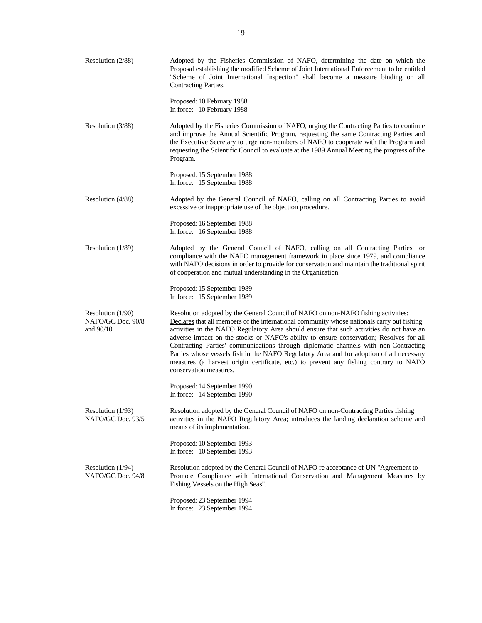| Resolution $(2/88)$                                   | Adopted by the Fisheries Commission of NAFO, determining the date on which the<br>Proposal establishing the modified Scheme of Joint International Enforcement to be entitled<br>"Scheme of Joint International Inspection" shall become a measure binding on all<br>Contracting Parties.                                                                                                                                                                                                                                                                                                                                                                                     |
|-------------------------------------------------------|-------------------------------------------------------------------------------------------------------------------------------------------------------------------------------------------------------------------------------------------------------------------------------------------------------------------------------------------------------------------------------------------------------------------------------------------------------------------------------------------------------------------------------------------------------------------------------------------------------------------------------------------------------------------------------|
|                                                       | Proposed: 10 February 1988<br>In force: 10 February 1988                                                                                                                                                                                                                                                                                                                                                                                                                                                                                                                                                                                                                      |
| Resolution (3/88)                                     | Adopted by the Fisheries Commission of NAFO, urging the Contracting Parties to continue<br>and improve the Annual Scientific Program, requesting the same Contracting Parties and<br>the Executive Secretary to urge non-members of NAFO to cooperate with the Program and<br>requesting the Scientific Council to evaluate at the 1989 Annual Meeting the progress of the<br>Program.                                                                                                                                                                                                                                                                                        |
|                                                       | Proposed: 15 September 1988<br>In force: 15 September 1988                                                                                                                                                                                                                                                                                                                                                                                                                                                                                                                                                                                                                    |
| Resolution (4/88)                                     | Adopted by the General Council of NAFO, calling on all Contracting Parties to avoid<br>excessive or inappropriate use of the objection procedure.                                                                                                                                                                                                                                                                                                                                                                                                                                                                                                                             |
|                                                       | Proposed: 16 September 1988<br>In force: 16 September 1988                                                                                                                                                                                                                                                                                                                                                                                                                                                                                                                                                                                                                    |
| Resolution (1/89)                                     | Adopted by the General Council of NAFO, calling on all Contracting Parties for<br>compliance with the NAFO management framework in place since 1979, and compliance<br>with NAFO decisions in order to provide for conservation and maintain the traditional spirit<br>of cooperation and mutual understanding in the Organization.                                                                                                                                                                                                                                                                                                                                           |
|                                                       | Proposed: 15 September 1989<br>In force: 15 September 1989                                                                                                                                                                                                                                                                                                                                                                                                                                                                                                                                                                                                                    |
| Resolution $(1/90)$<br>NAFO/GC Doc. 90/8<br>and 90/10 | Resolution adopted by the General Council of NAFO on non-NAFO fishing activities:<br>Declares that all members of the international community whose nationals carry out fishing<br>activities in the NAFO Regulatory Area should ensure that such activities do not have an<br>adverse impact on the stocks or NAFO's ability to ensure conservation; Resolves for all<br>Contracting Parties' communications through diplomatic channels with non-Contracting<br>Parties whose vessels fish in the NAFO Regulatory Area and for adoption of all necessary<br>measures (a harvest origin certificate, etc.) to prevent any fishing contrary to NAFO<br>conservation measures. |
|                                                       | Proposed: 14 September 1990<br>In force: 14 September 1990                                                                                                                                                                                                                                                                                                                                                                                                                                                                                                                                                                                                                    |
| Resolution (1/93)<br>NAFO/GC Doc. 93/5                | Resolution adopted by the General Council of NAFO on non-Contracting Parties fishing<br>activities in the NAFO Regulatory Area; introduces the landing declaration scheme and<br>means of its implementation.                                                                                                                                                                                                                                                                                                                                                                                                                                                                 |
|                                                       | Proposed: 10 September 1993<br>In force: 10 September 1993                                                                                                                                                                                                                                                                                                                                                                                                                                                                                                                                                                                                                    |
| Resolution (1/94)<br>NAFO/GC Doc. 94/8                | Resolution adopted by the General Council of NAFO re acceptance of UN "Agreement to<br>Promote Compliance with International Conservation and Management Measures by<br>Fishing Vessels on the High Seas".                                                                                                                                                                                                                                                                                                                                                                                                                                                                    |
|                                                       | Proposed: 23 September 1994<br>In force: 23 September 1994                                                                                                                                                                                                                                                                                                                                                                                                                                                                                                                                                                                                                    |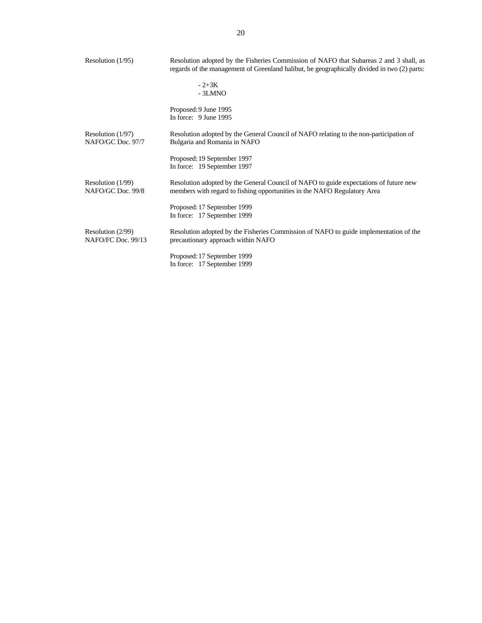| Resolution $(1/95)$                      | Resolution adopted by the Fisheries Commission of NAFO that Subareas 2 and 3 shall, as<br>regards of the management of Greenland halibut, be geographically divided in two (2) parts: |  |  |  |  |
|------------------------------------------|---------------------------------------------------------------------------------------------------------------------------------------------------------------------------------------|--|--|--|--|
|                                          | $-2+3K$<br>$-3LMNO$                                                                                                                                                                   |  |  |  |  |
|                                          | Proposed: 9 June 1995<br>In force: 9 June 1995                                                                                                                                        |  |  |  |  |
| Resolution $(1/97)$<br>NAFO/GC Doc. 97/7 | Resolution adopted by the General Council of NAFO relating to the non-participation of<br>Bulgaria and Romania in NAFO                                                                |  |  |  |  |
|                                          | Proposed: 19 September 1997<br>In force: 19 September 1997                                                                                                                            |  |  |  |  |
| Resolution $(1/99)$<br>NAFO/GC Doc. 99/8 | Resolution adopted by the General Council of NAFO to guide expectations of future new<br>members with regard to fishing opportunities in the NAFO Regulatory Area                     |  |  |  |  |
|                                          | Proposed: 17 September 1999<br>In force: 17 September 1999                                                                                                                            |  |  |  |  |
| Resolution (2/99)<br>NAFO/FC Doc. 99/13  | Resolution adopted by the Fisheries Commission of NAFO to guide implementation of the<br>precautionary approach within NAFO                                                           |  |  |  |  |
|                                          | Proposed: 17 September 1999<br>In force: 17 September 1999                                                                                                                            |  |  |  |  |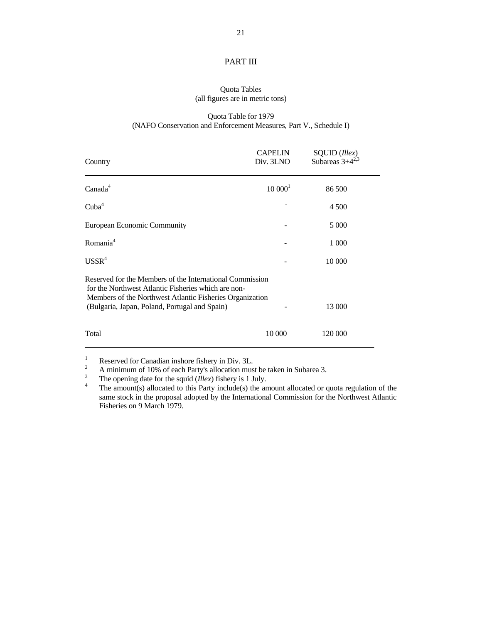## PART III

## Quota Tables (all figures are in metric tons)

## Quota Table for 1979 (NAFO Conservation and Enforcement Measures, Part V., Schedule I)

| Country                                                                                                                                                                                                                      | <b>CAPELIN</b><br>Div. 3LNO | SQUID (Illex)<br>Subareas $3+4^{2,3}$ |
|------------------------------------------------------------------------------------------------------------------------------------------------------------------------------------------------------------------------------|-----------------------------|---------------------------------------|
| Canada <sup>4</sup>                                                                                                                                                                                                          | $10000^1$                   | 86.500                                |
| Cuba <sup>4</sup>                                                                                                                                                                                                            |                             | 4 500                                 |
| European Economic Community                                                                                                                                                                                                  |                             | 5 0 0 0                               |
| Romania <sup>4</sup>                                                                                                                                                                                                         |                             | 1 000                                 |
| USSR <sup>4</sup>                                                                                                                                                                                                            |                             | 10 000                                |
| Reserved for the Members of the International Commission<br>for the Northwest Atlantic Fisheries which are non-<br>Members of the Northwest Atlantic Fisheries Organization<br>(Bulgaria, Japan, Poland, Portugal and Spain) |                             | 13 000                                |
| Total                                                                                                                                                                                                                        | 10 000                      | 120 000                               |

<sup>&</sup>lt;sup>1</sup><br>Reserved for Canadian inshore fishery in Div. 3L.<br>A minimum of 10% of each Party's allocation must be taken in Subarea 3.<br>The opening date for the squid *(Illex)* fishery is 1 July.<br>The amount(s) allocated to this Par same stock in the proposal adopted by the International Commission for the Northwest Atlantic Fisheries on 9 March 1979.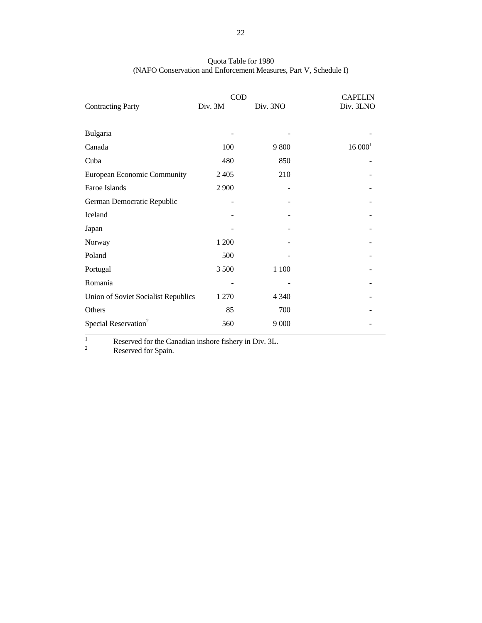|                                     | $\rm COD$ |          |                    |  |  |  |
|-------------------------------------|-----------|----------|--------------------|--|--|--|
| <b>Contracting Party</b>            | Div. 3M   | Div. 3NO | Div. 3LNO          |  |  |  |
| Bulgaria                            |           |          |                    |  |  |  |
| Canada                              | 100       | 9800     | 16000 <sup>1</sup> |  |  |  |
| Cuba                                | 480       | 850      |                    |  |  |  |
| European Economic Community         | 2 4 0 5   | 210      |                    |  |  |  |
| Faroe Islands                       | 2 9 0 0   |          |                    |  |  |  |
| German Democratic Republic          |           |          |                    |  |  |  |
| Iceland                             |           |          |                    |  |  |  |
| Japan                               |           |          |                    |  |  |  |
| Norway                              | 1 200     |          |                    |  |  |  |
| Poland                              | 500       |          |                    |  |  |  |
| Portugal                            | 3 500     | 1 1 0 0  |                    |  |  |  |
| Romania                             |           |          |                    |  |  |  |
| Union of Soviet Socialist Republics | 1 270     | 4 3 4 0  |                    |  |  |  |
| Others                              | 85        | 700      |                    |  |  |  |
| Special Reservation <sup>2</sup>    | 560       | 9 0 0 0  |                    |  |  |  |

 Quota Table for 1980 (NAFO Conservation and Enforcement Measures, Part V, Schedule I)

<sup>1</sup> Reserved for the Canadian inshore fishery in Div. 3L.<br>Reserved for Spain.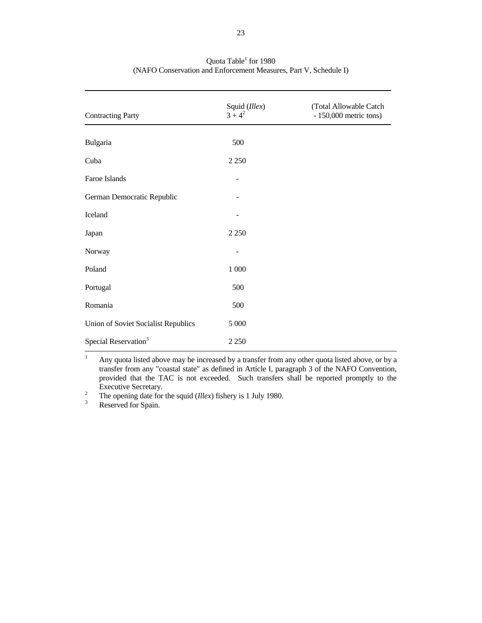| <b>Contracting Party</b>            | Squid (Illex)<br>$3 + 4^2$ | (Total Allowable Catch<br>$-150,000$ metric tons) |
|-------------------------------------|----------------------------|---------------------------------------------------|
| Bulgaria                            | 500                        |                                                   |
| Cuba                                | 2 2 5 0                    |                                                   |
| Faroe Islands                       |                            |                                                   |
| German Democratic Republic          |                            |                                                   |
| Iceland                             |                            |                                                   |
| Japan                               | 2 2 5 0                    |                                                   |
| Norway                              |                            |                                                   |
| Poland                              | $1\,000$                   |                                                   |
| Portugal                            | 500                        |                                                   |
| Romania                             | 500                        |                                                   |
| Union of Soviet Socialist Republics | 5 000                      |                                                   |
| Special Reservation <sup>3</sup>    | 2 2 5 0                    |                                                   |

## Quota Table<sup>1</sup> for 1980 (NAFO Conservation and Enforcement Measures, Part V, Schedule I)

<sup>1</sup> Any quota listed above may be increased by a transfer from any other quota listed above, or by a transfer from any "coastal state" as defined in Article I, paragraph 3 of the NAFO Convention, provided that the TAC is not exceeded. Such transfers shall be reported promptly to the

Executive Secretary.<br><sup>2</sup> The opening date for the squid (*Illex*) fishery is 1 July 1980.<br><sup>3</sup> Reserved for Spain.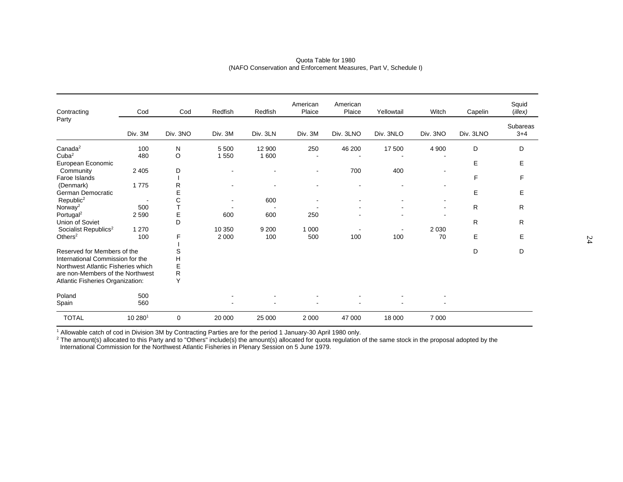| Contracting                        | Cod     | Cod      | Redfish | Redfish  | American<br>Plaice | American<br>Plaice | Yellowtail | Witch          | Capelin   | Squid<br>$($ <i>illex</i> $)$ |
|------------------------------------|---------|----------|---------|----------|--------------------|--------------------|------------|----------------|-----------|-------------------------------|
| Party                              |         |          |         |          |                    |                    |            |                |           |                               |
|                                    | Div. 3M | Div. 3NO | Div. 3M | Div. 3LN | Div. 3M            | Div. 3LNO          | Div. 3NLO  | Div. 3NO       | Div. 3LNO | Subareas<br>$3 + 4$           |
| Canada <sup>2</sup>                | 100     | N        | 5 5 0 0 | 12 900   | 250                | 46 200             | 17 500     | 4 9 0 0        | D         | D                             |
| Cuba <sup>2</sup>                  | 480     | O        | 1550    | 1 600    |                    |                    |            |                |           |                               |
| European Economic                  |         |          |         |          |                    |                    |            |                | E         | Е                             |
| Community                          | 2 4 0 5 | D        |         |          | $\blacksquare$     | 700                | 400        |                |           |                               |
| Faroe Islands                      |         |          |         |          |                    |                    |            |                | F         | F                             |
| (Denmark)                          | 1775    | R        |         |          |                    |                    |            |                |           |                               |
| German Democratic                  |         | E        |         |          |                    |                    |            |                | E         | E                             |
| Republic <sup>2</sup>              |         | C        |         | 600      |                    |                    |            |                |           |                               |
| Norway <sup>2</sup>                | 500     |          |         |          |                    |                    |            | $\blacksquare$ | R         | R                             |
| Portugal <sup>2</sup>              | 2 5 9 0 | E        | 600     | 600      | 250                |                    |            |                |           |                               |
| Union of Soviet                    |         | D        |         |          |                    |                    |            |                | R         | R                             |
| Socialist Republics <sup>2</sup>   | 1 2 7 0 |          | 10 350  | 9 2 0 0  | 1 0 0 0            |                    |            | 2 0 3 0        |           |                               |
| Others $2$                         | 100     | F        | 2 0 0 0 | 100      | 500                | 100                | 100        | 70             | E         | E                             |
|                                    |         |          |         |          |                    |                    |            |                |           |                               |
| Reserved for Members of the        |         | S        |         |          |                    |                    |            |                | D         | D                             |
| International Commission for the   |         | H        |         |          |                    |                    |            |                |           |                               |
| Northwest Atlantic Fisheries which |         | E        |         |          |                    |                    |            |                |           |                               |
| are non-Members of the Northwest   |         | R        |         |          |                    |                    |            |                |           |                               |
| Atlantic Fisheries Organization:   |         | Y        |         |          |                    |                    |            |                |           |                               |
| Poland                             | 500     |          |         |          |                    |                    |            |                |           |                               |
| Spain                              | 560     |          |         |          |                    |                    |            |                |           |                               |
| <b>TOTAL</b>                       | 10 2801 | 0        | 20 000  | 25 000   | 2 0 0 0            | 47 000             | 18 000     | 7 0 0 0        |           |                               |

#### Quota Table for 1980 (NAFO Conservation and Enforcement Measures, Part V, Schedule I)

1 Allowable catch of cod in Division 3M by Contracting Parties are for the period 1 January-30 April 1980 only.

 $^2$  The amount(s) allocated to this Party and to "Others" include(s) the amount(s) allocated for quota regulation of the same stock in the proposal adopted by the International Commission for the Northwest Atlantic Fisheries in Plenary Session on 5 June 1979.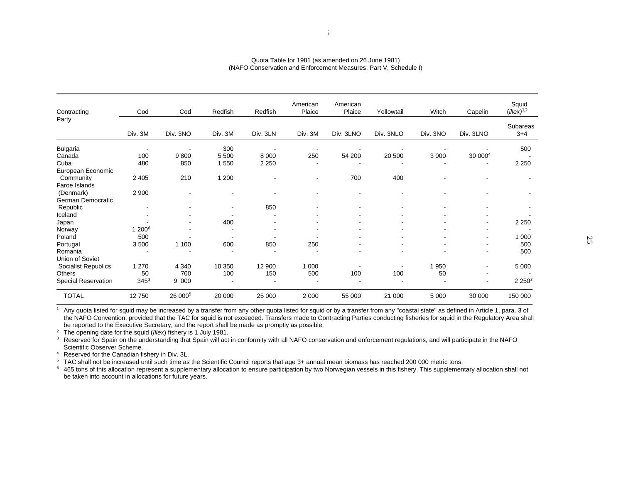| Contracting         | Cod                | Cod                 | Redfish                  | Redfish  | American<br>Plaice | American<br>Plaice | Yellowtail | Witch    | Capelin                  | Squid<br>$(illex)^{1,2}$ |
|---------------------|--------------------|---------------------|--------------------------|----------|--------------------|--------------------|------------|----------|--------------------------|--------------------------|
| Party               |                    |                     |                          |          |                    |                    |            |          |                          |                          |
|                     | Div. 3M            | Div. 3NO            | Div. 3M                  | Div. 3LN | Div. 3M            | Div. 3LNO          | Div. 3NLO  | Div. 3NO | Div. 3LNO                | Subareas<br>$3+4$        |
| <b>Bulgaria</b>     |                    | ۰                   | 300                      |          |                    |                    |            |          |                          | 500                      |
| Canada              | 100                | 9800                | 5 500                    | 8 0 0 0  | 250                | 54 200             | 20 500     | 3 0 0 0  | 30 000 <sup>4</sup>      |                          |
| Cuba                | 480                | 850                 | 1550                     | 2 2 5 0  |                    |                    |            |          |                          | 2 2 5 0                  |
| European Economic   |                    |                     |                          |          |                    |                    |            |          |                          |                          |
| Community           | 2 4 0 5            | 210                 | 1 200                    |          |                    | 700                | 400        |          |                          |                          |
| Faroe Islands       |                    |                     |                          |          |                    |                    |            |          |                          |                          |
| (Denmark)           | 2 9 0 0            | ۰                   |                          |          |                    |                    | ۰          |          |                          |                          |
| German Democratic   |                    |                     |                          |          |                    |                    |            |          |                          |                          |
| Republic            |                    |                     | $\blacksquare$           | 850      |                    |                    |            |          |                          |                          |
| Iceland             |                    | ۰                   |                          |          |                    |                    |            |          |                          |                          |
| Japan               |                    | ٠                   | 400                      |          |                    |                    |            |          |                          | 2 2 5 0                  |
| Norway              | 1 200 <sup>6</sup> | ٠                   | $\overline{\phantom{a}}$ |          | ٠                  |                    |            |          |                          |                          |
| Poland              | 500                |                     |                          |          |                    |                    |            |          | $\blacksquare$           | 000                      |
| Portugal            | 3500               | 1 100               | 600                      | 850      | 250                |                    |            |          |                          | 500                      |
| Romania             |                    | ۰                   |                          |          | ۰.                 |                    |            |          |                          | 500                      |
| Union of Soviet     |                    |                     |                          |          |                    |                    |            |          |                          |                          |
| Socialist Republics | 1 2 7 0            | 4 3 4 0             | 10 350                   | 12 900   | 1 0 0 0            |                    |            | 950<br>1 | $\blacksquare$           | 5 0 0 0                  |
| <b>Others</b>       | 50                 | 700                 | 100                      | 150      | 500                | 100                | 100        | 50       | $\overline{\phantom{a}}$ |                          |
| Special Reservation | $345^3$            | 9 000               |                          |          |                    |                    |            |          | $\blacksquare$           | 2250 <sup>3</sup>        |
| <b>TOTAL</b>        | 12750              | 26 000 <sup>5</sup> | 20 000                   | 25 000   | 2 0 0 0            | 55 000             | 21 000     | 5 0 0 0  | 30 000                   | 150 000                  |

#### Quota Table for 1981 (as amended on 26 June 1981) (NAFO Conservation and Enforcement Measures, Part V, Schedule I)

 $1$  Any quota listed for squid may be increased by a transfer from any other quota listed for squid or by a transfer from any "coastal state" as defined in Article 1, para. 3 of the NAFO Convention, provided that the TAC for squid is not exceeded. Transfers made to Contracting Parties conducting fisheries for squid in the Regulatory Area shall be reported to the Executive Secretary, and the report shall be made as promptly as possible.

2 The opening date for the squid (*Illex*) fishery is 1 July 1981.

<sup>3</sup> Reserved for Spain on the understanding that Spain will act in conformity with all NAFO conservation and enforcement regulations, and will participate in the NAFO Scientific Observer Scheme.

<sup>4</sup> Reserved for the Canadian fishery in Div. 3L.

<sup>5</sup> TAC shall not be increased until such time as the Scientific Council reports that age 3+ annual mean biomass has reached 200 000 metric tons.

<sup>6</sup> 465 tons of this allocation represent a supplementary allocation to ensure participation by two Norwegian vessels in this fishery. This supplementary allocation shall not be taken into account in allocations for future years.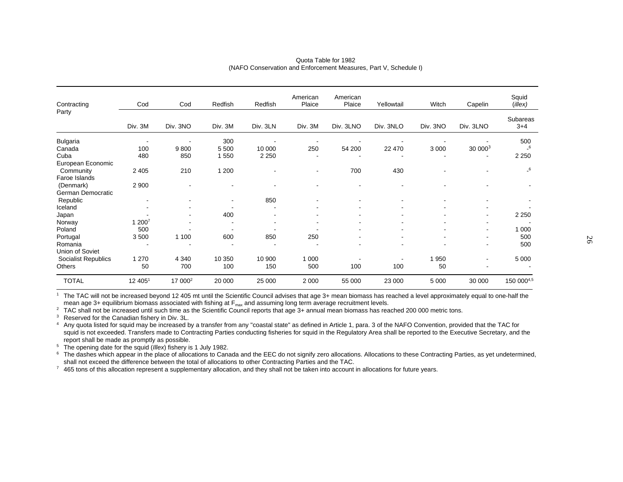| Contracting         | Cod     | Cod                 | Redfish        | Redfish  | American<br>Plaice       | American<br>Plaice       | Yellowtail | Witch    | Capelin                  | Squid<br>(illex)           |
|---------------------|---------|---------------------|----------------|----------|--------------------------|--------------------------|------------|----------|--------------------------|----------------------------|
| Party               |         |                     |                |          |                          |                          |            |          |                          | Subareas                   |
|                     | Div. 3M | Div. 3NO            | Div. 3M        | Div. 3LN | Div. 3M                  | Div. 3LNO                | Div. 3NLO  | Div. 3NO | Div. 3LNO                | $3+4$                      |
| <b>Bulgaria</b>     |         | ٠                   | 300            |          | ٠                        |                          |            |          |                          | 500                        |
| Canada              | 100     | 9800                | 5 500          | 10 000   | 250                      | 54 200                   | 22 470     | 3 0 0 0  | 30 0003                  | $\overline{\phantom{0}}^6$ |
| Cuba                | 480     | 850                 | 1 550          | 2 2 5 0  | ٠                        |                          |            |          |                          | 2 2 5 0                    |
| European Economic   |         |                     |                |          |                          |                          |            |          |                          |                            |
| Community           | 2 4 0 5 | 210                 | 1 200          |          | $\blacksquare$           | 700                      | 430        |          |                          | $-6$                       |
| Faroe Islands       |         |                     |                |          |                          |                          |            |          |                          |                            |
| (Denmark)           | 2 9 0 0 | ۰                   |                |          |                          |                          |            |          |                          |                            |
| German Democratic   |         |                     |                |          |                          |                          |            |          |                          |                            |
| Republic            | $\,$    |                     | $\blacksquare$ | 850      | $\overline{\phantom{a}}$ |                          |            |          |                          |                            |
| Iceland             |         |                     |                |          |                          |                          |            |          |                          |                            |
| Japan               |         |                     | 400            |          |                          |                          |            |          |                          | 2 2 5 0                    |
| Norway              | 1 2007  | ۰                   |                |          | ٠                        | $\overline{\phantom{a}}$ |            |          |                          |                            |
| Poland              | 500     |                     |                |          |                          |                          |            |          |                          | 1 0 0 0                    |
| Portugal            | 3500    | 1 100               | 600            | 850      | 250                      |                          |            |          |                          | 500                        |
| Romania             |         |                     |                |          |                          |                          |            | ۰        | $\overline{\phantom{a}}$ | 500                        |
| Union of Soviet     |         |                     |                |          |                          |                          |            |          |                          |                            |
| Socialist Republics | 1 2 7 0 | 4 3 4 0             | 10 350         | 10 900   | 1 0 0 0                  |                          |            | 1 9 5 0  |                          | 5 0 0 0                    |
| Others              | 50      | 700                 | 100            | 150      | 500                      | 100                      | 100        | 50       |                          |                            |
| <b>TOTAL</b>        | 12 405  | 17 000 <sup>2</sup> | 20 000         | 25 000   | 2 0 0 0                  | 55 000                   | 23 000     | 5 0 0 0  | 30 000                   | 150 0004,5                 |

#### Quota Table for 1982 (NAFO Conservation and Enforcement Measures, Part V, Schedule I)

<sup>1</sup> The TAC will not be increased beyond 12 405 mt until the Scientific Council advises that age 3+ mean biomass has reached a level approximately equal to one-half the mean age 3+ equilibrium biomass associated with fishing at  $F_{\text{max}}$  and assuming long term average recruitment levels.

<sup>2</sup> TAC shall not be increased until such time as the Scientific Council reports that age 3+ annual mean biomass has reached 200 000 metric tons.

<sup>3</sup> Reserved for the Canadian fishery in Div. 3L.

4 Any quota listed for squid may be increased by a transfer from any "coastal state" as defined in Article 1, para. 3 of the NAFO Convention, provided that the TAC for squid is not exceeded. Transfers made to Contracting Parties conducting fisheries for squid in the Regulatory Area shall be reported to the Executive Secretary, and the report shall be made as promptly as possible.

5 The opening date for the squid (*Illex*) fishery is 1 July 1982.

<sup>6</sup> The dashes which appear in the place of allocations to Canada and the EEC do not signify zero allocations. Allocations to these Contracting Parties, as yet undetermined, shall not exceed the difference between the total of allocations to other Contracting Parties and the TAC.

 $7\,$  465 tons of this allocation represent a supplementary allocation, and they shall not be taken into account in allocations for future years.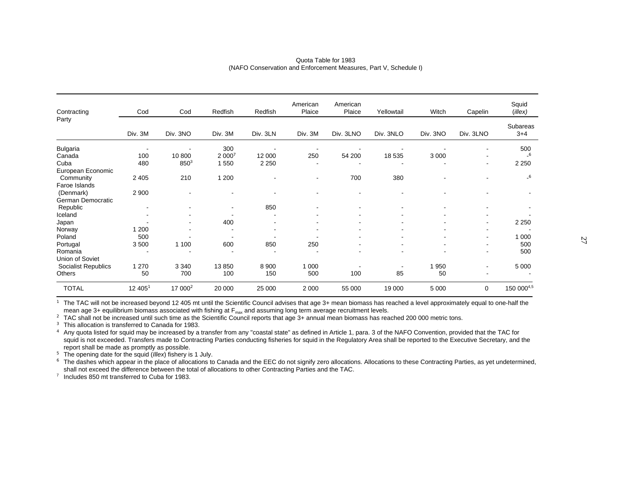| Contracting                | Cod                      | Cod                      | Redfish        | Redfish  | American<br>Plaice       | American<br>Plaice | Yellowtail | Witch          | Capelin                  | Squid<br>$($ illex $)$     |
|----------------------------|--------------------------|--------------------------|----------------|----------|--------------------------|--------------------|------------|----------------|--------------------------|----------------------------|
| Party                      |                          |                          |                |          |                          |                    |            |                |                          | Subareas                   |
|                            | Div. 3M                  | Div. 3NO                 | Div. 3M        | Div. 3LN | Div. 3M                  | Div. 3LNO          | Div. 3NLO  | Div. 3NO       | Div. 3LNO                | $3+4$                      |
| <b>Bulgaria</b>            |                          | ٠                        | 300            |          |                          |                    |            |                | $\blacksquare$           | 500                        |
| Canada                     | 100                      | 10 800                   | 2 0007         | 12 000   | 250                      | 54 200             | 18 535     | 3 0 0 0        |                          | $\overline{\phantom{0}}$ 6 |
| Cuba                       | 480                      | $850^{3}$                | 1 550          | 2 2 5 0  | $\overline{\phantom{a}}$ |                    |            |                | $\overline{\phantom{a}}$ | 2 2 5 0                    |
| European Economic          |                          |                          |                |          |                          |                    |            |                |                          |                            |
| Community                  | 2 4 0 5                  | 210                      | 1 200          |          |                          | 700                | 380        |                |                          | $\overline{\phantom{0}}^6$ |
| Faroe Islands              |                          |                          |                |          |                          |                    |            |                |                          |                            |
| (Denmark)                  | 2 9 0 0                  | $\overline{\phantom{a}}$ |                |          |                          |                    |            | ۰              |                          |                            |
| German Democratic          |                          |                          |                |          |                          |                    |            |                |                          |                            |
| Republic                   | $\overline{\phantom{a}}$ |                          | $\blacksquare$ | 850      |                          |                    |            |                |                          |                            |
| Iceland                    |                          | ۰                        |                |          |                          |                    |            |                |                          |                            |
| Japan                      |                          | ۰                        | 400            |          |                          |                    |            |                | $\overline{\phantom{a}}$ | 2 2 5 0                    |
| Norway                     | 1 200                    |                          |                |          |                          |                    |            |                |                          |                            |
| Poland                     | 500                      |                          |                |          |                          |                    |            | ٠              |                          | 1 0 0 0                    |
| Portugal                   | 3500                     | 1 100                    | 600            | 850      | 250                      |                    |            | $\blacksquare$ | $\overline{\phantom{a}}$ | 500                        |
| Romania                    |                          |                          |                |          | $\overline{\phantom{a}}$ |                    |            | ٠              |                          | 500                        |
| Union of Soviet            |                          |                          |                |          |                          |                    |            |                |                          |                            |
| <b>Socialist Republics</b> | 1 2 7 0                  | 3 3 4 0                  | 13850          | 8 9 0 0  | 1 0 0 0                  |                    |            | 1 950          |                          | 5 0 0 0                    |
| Others                     | 50                       | 700                      | 100            | 150      | 500                      | 100                | 85         | 50             |                          |                            |
| <b>TOTAL</b>               | 12 4051                  | 17 000 <sup>2</sup>      | 20 000         | 25 000   | 2 0 0 0                  | 55 000             | 19 000     | 5 0 0 0        | 0                        | 150 0004,5                 |

Quota Table for 1983 (NAFO Conservation and Enforcement Measures, Part V, Schedule I)

**<sup>1</sup>** The TAC will not be increased beyond 12 405 mt until the Scientific Council advises that age 3+ mean biomass has reached a level approximately equal to one-half the mean age 3+ equilibrium biomass associated with fishing at F<sub>max</sub> and assuming long term average recruitment levels.

<sup>2</sup> TAC shall not be increased until such time as the Scientific Council reports that age 3+ annual mean biomass has reached 200 000 metric tons.

**<sup>3</sup>** This allocation is transferred to Canada for 1983.

 **4** Any quota listed for squid may be increased by a transfer from any "coastal state" as defined in Article 1, para. 3 of the NAFO Convention, provided that the TAC for squid is not exceeded. Transfers made to Contracting Parties conducting fisheries for squid in the Regulatory Area shall be reported to the Executive Secretary, and the report shall be made as promptly as possible.

**<sup>5</sup>** The opening date for the squid (*Illex*) fishery is 1 July.

**<sup>6</sup>** The dashes which appear in the place of allocations to Canada and the EEC do not signify zero allocations. Allocations to these Contracting Parties, as yet undetermined, shall not exceed the difference between the total of allocations to other Contracting Parties and the TAC.

 $7$  Includes 850 mt transferred to Cuba for 1983.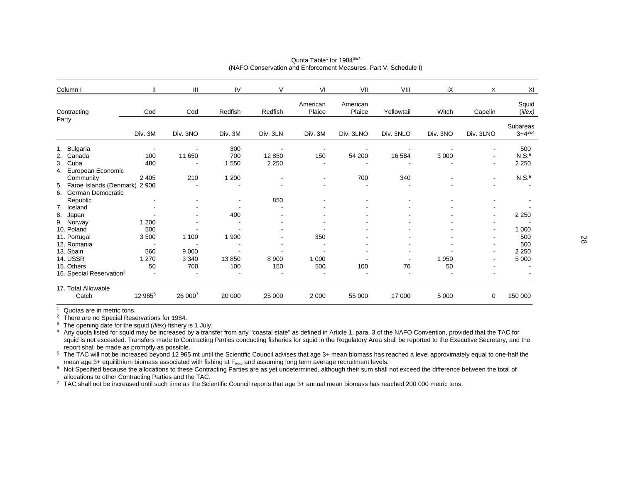| Column I                                                       | $\mathbf{H}$             | Ш        | IV                       | V        | VI                 | VII                | VIII       | IX       | X                        | XI                        |
|----------------------------------------------------------------|--------------------------|----------|--------------------------|----------|--------------------|--------------------|------------|----------|--------------------------|---------------------------|
| Contracting                                                    | Cod                      | Cod      | Redfish                  | Redfish  | American<br>Plaice | American<br>Plaice | Yellowtail | Witch    | Capelin                  | Squid<br>$($ illex $)$    |
| Party                                                          | Div. 3M                  | Div. 3NO | Div. 3M                  | Div. 3LN | Div. 3M            | Div. 3LNO          | Div. 3NLO  | Div. 3NO | Div. 3LNO                | Subareas<br>$3 + 4^{384}$ |
| 1. Bulgaria                                                    |                          |          | 300                      |          |                    |                    |            |          | $\blacksquare$           | 500                       |
| 2. Canada                                                      | 100                      | 11 650   | 700                      | 12 850   | 150                | 54 200             | 16 584     | 3 0 0 0  | $\overline{\phantom{a}}$ | N.S. <sup>6</sup>         |
| 3.<br>Cuba<br>European Economic<br>4.                          | 480                      |          | 1 5 5 0                  | 2 2 5 0  |                    | ٠                  |            |          | $\blacksquare$           | 2 2 5 0                   |
| Community                                                      | 2 4 0 5                  | 210      | 1 200                    |          |                    | 700                | 340        |          | $\blacksquare$           | N.S. <sup>6</sup>         |
| Faroe Islands (Denmark) 2 900<br>5.<br>German Democratic<br>6. |                          |          | $\overline{\phantom{a}}$ |          |                    | ٠                  |            |          |                          |                           |
| Republic                                                       |                          |          | $\overline{\phantom{a}}$ | 850      |                    |                    |            |          |                          |                           |
| Iceland<br>7.                                                  |                          |          |                          |          |                    |                    |            |          | $\overline{\phantom{a}}$ |                           |
| 8.<br>Japan                                                    |                          |          | 400                      |          |                    |                    |            |          | $\overline{\phantom{a}}$ | 2 2 5 0                   |
| 9. Norway                                                      | 1 200                    |          |                          |          |                    |                    |            |          |                          |                           |
| 10. Poland                                                     | 500                      |          |                          |          |                    |                    |            |          | $\overline{\phantom{a}}$ | 1 0 0 0                   |
| 11. Portugal                                                   | 3500                     | 1 100    | 1 900                    |          | 350                |                    |            |          | $\blacksquare$           | 500                       |
| 12. Romania                                                    | $\overline{\phantom{a}}$ |          | ۰.                       |          |                    |                    |            |          | $\overline{\phantom{a}}$ | 500                       |
| 13. Spain                                                      | 560                      | 9 0 0 0  |                          |          |                    |                    |            |          |                          | 2 2 5 0                   |
| <b>14. USSR</b>                                                | 1 2 7 0                  | 3 3 4 0  | 13850                    | 8 9 0 0  | 1 0 0 0            |                    |            | 1950     |                          | 5 0 0 0                   |
| 15. Others                                                     | 50                       | 700      | 100                      | 150      | 500                | 100                | 76         | 50       |                          |                           |
| 16. Special Reservation <sup>2</sup>                           |                          |          |                          |          |                    |                    |            |          |                          |                           |
| 17. Total Allowable                                            |                          |          |                          |          |                    |                    |            |          |                          |                           |
| Catch                                                          | 12 965 <sup>5</sup>      | 26 0007  | 20 000                   | 25 000   | 2 0 0 0            | 55 000             | 17 000     | 5 0 0 0  | 0                        | 150 000                   |

#### Quota Table**<sup>1</sup>** for 1984**5&7**  (NAFO Conservation and Enforcement Measures, Part V, Schedule I)

**1** Quotas are in metric tons.

**<sup>2</sup>** There are no Special Reservations for 1984.

**<sup>3</sup>** The opening date for the squid (*Illex*) fishery is 1 July.

**4** Any quota listed for squid may be increased by a transfer from any "coastal state" as defined in Article 1, para. 3 of the NAFO Convention, provided that the TAC for squid is not exceeded. Transfers made to Contracting Parties conducting fisheries for squid in the Regulatory Area shall be reported to the Executive Secretary, and the report shall be made as promptly as possible.

<sup>5</sup> The TAC will not be increased beyond 12 965 mt until the Scientific Council advises that age 3+ mean biomass has reached a level approximately equal to one-half the mean age 3+ equilibrium biomass associated with fishing at  $F_{\text{max}}$  and assuming long term average recruitment levels.

<sup>6</sup> Not Specified because the allocations to these Contracting Parties are as yet undetermined, although their sum shall not exceed the difference between the total of allocations to other Contracting Parties and the TAC.

**<sup>7</sup>** TAC shall not be increased until such time as the Scientific Council reports that age 3+ annual mean biomass has reached 200 000 metric tons.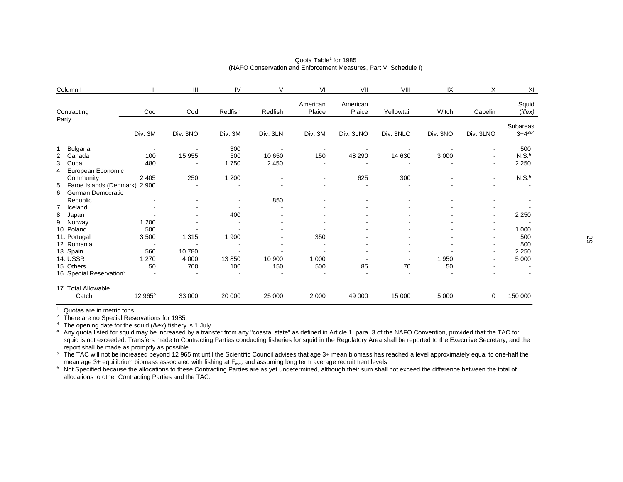| Column I                             | Ш                        | Ш        | IV                       | V        | VI                 | VII                | VIII       | IX       | Χ                            | XI                      |
|--------------------------------------|--------------------------|----------|--------------------------|----------|--------------------|--------------------|------------|----------|------------------------------|-------------------------|
| Contracting                          | Cod                      | Cod      | Redfish                  | Redfish  | American<br>Plaice | American<br>Plaice | Yellowtail | Witch    | Capelin                      | Squid<br>$($ illex $)$  |
| Party                                | Div. 3M                  | Div. 3NO | Div. 3M                  | Div. 3LN | Div. 3M            | Div. 3LNO          | Div. 3NLO  | Div. 3NO | Div. 3LNO                    | Subareas<br>$3+4^{384}$ |
| 1. Bulgaria                          | $\overline{\phantom{a}}$ |          | 300                      |          |                    |                    |            |          | $\qquad \qquad \blacksquare$ | 500                     |
| 2. Canada                            | 100                      | 15 955   | 500                      | 10 650   | 150                | 48 290             | 14 630     | 3 0 0 0  | $\blacksquare$               | N.S. <sup>6</sup>       |
| 3.<br>Cuba                           | 480                      |          | 1750                     | 2 4 5 0  |                    |                    |            |          | ۰                            | 2 2 5 0                 |
| European Economic<br>4.              |                          |          |                          |          |                    |                    |            |          |                              |                         |
| Community                            | 2 4 0 5                  | 250      | 1 200                    |          |                    | 625                | 300        |          | $\blacksquare$               | N.S. <sup>6</sup>       |
| Faroe Islands (Denmark) 2 900<br>5.  |                          |          |                          |          |                    |                    |            |          |                              |                         |
| 6. German Democratic                 |                          |          |                          |          |                    |                    |            |          |                              |                         |
| Republic                             |                          |          | $\overline{\phantom{a}}$ | 850      |                    |                    |            |          |                              |                         |
| 7. Iceland                           |                          |          |                          |          |                    |                    |            |          |                              |                         |
| 8.<br>Japan                          |                          |          | 400                      |          |                    |                    |            |          |                              | 2 2 5 0                 |
| 9. Norway                            | 1 200                    |          |                          |          |                    |                    |            |          |                              |                         |
| 10. Poland                           | 500                      |          |                          |          |                    |                    |            |          |                              | 1 0 0 0                 |
| 11. Portugal                         | 3500                     | 1 3 1 5  | 1 900                    |          | 350                |                    |            |          |                              | 500                     |
| 12. Romania                          | $\blacksquare$           |          |                          |          |                    |                    |            |          | ۰                            | 500                     |
| 13. Spain                            | 560                      | 10780    |                          |          |                    |                    |            |          |                              | 2 2 5 0                 |
| <b>14. USSR</b>                      | 1 2 7 0                  | 4 0 0 0  | 13850                    | 10 900   | 1 0 0 0            |                    |            | 1950     |                              | 5 0 0 0                 |
| 15. Others                           | 50                       | 700      | 100                      | 150      | 500                | 85                 | 70         | 50       |                              |                         |
| 16. Special Reservation <sup>2</sup> |                          |          |                          |          |                    |                    |            |          |                              |                         |
| 17. Total Allowable                  |                          |          |                          |          |                    |                    |            |          |                              |                         |
| Catch                                | 12 965 <sup>5</sup>      | 33 000   | 20 000                   | 25 000   | 2 0 0 0            | 49 000             | 15 000     | 5 0 0 0  | 0                            | 150 000                 |

#### Quota Table**<sup>1</sup>** for 1985(NAFO Conservation and Enforcement Measures, Part V, Schedule I)

 $\overline{2}$ 

**1** Quotas are in metric tons.

<sup>2</sup> There are no Special Reservations for 1985.

**<sup>3</sup>** The opening date for the squid (*Illex*) fishery is 1 July.

**4** Any quota listed for squid may be increased by a transfer from any "coastal state" as defined in Article 1, para. 3 of the NAFO Convention, provided that the TAC for squid is not exceeded. Transfers made to Contracting Parties conducting fisheries for squid in the Regulatory Area shall be reported to the Executive Secretary, and the report shall be made as promptly as possible.

<sup>5</sup> The TAC will not be increased beyond 12 965 mt until the Scientific Council advises that age 3+ mean biomass has reached a level approximately equal to one-half the mean age 3+ equilibrium biomass associated with fishing at F<sub>max</sub> and assuming long term average recruitment levels.

<sup>6</sup> Not Specified because the allocations to these Contracting Parties are as yet undetermined, although their sum shall not exceed the difference between the total of allocations to other Contracting Parties and the TAC.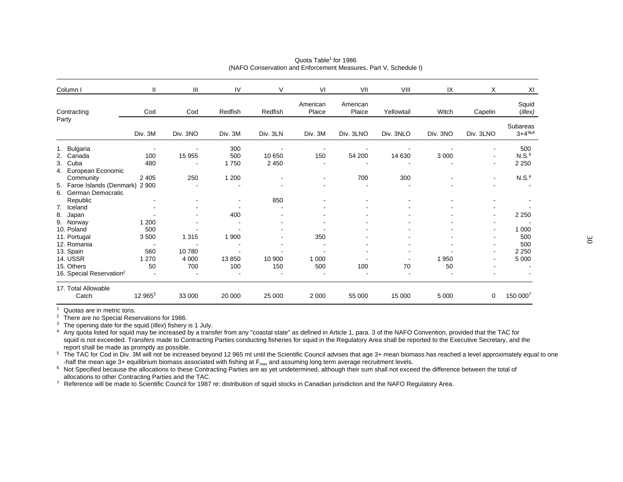| Column I                                                    | Ш                               | $\mathbf{III}$ | IV                       | V             | VI                 | VII                | VIII       | IX         | X                        | XI                        |
|-------------------------------------------------------------|---------------------------------|----------------|--------------------------|---------------|--------------------|--------------------|------------|------------|--------------------------|---------------------------|
| Contracting                                                 | Cod                             | Cod            | Redfish                  | Redfish       | American<br>Plaice | American<br>Plaice | Yellowtail | Witch      | Capelin                  | Squid<br>$($ illex $)$    |
| Party                                                       | Div. 3M                         | Div. 3NO       | Div. 3M                  | Div. 3LN      | Div. 3M            | Div. 3LNO          | Div. 3NLO  | Div. 3NO   | Div. 3LNO                | Subareas<br>$3 + 4^{384}$ |
| 1. Bulgaria<br>2. Canada                                    | 100                             |                | 300<br>500               | 10 650        | 150                | 54 200             | 14 630     | 3 0 0 0    |                          | 500<br>N.S. <sup>6</sup>  |
| 3.<br>Cuba<br>European Economic<br>4.                       | 480                             | 15 955         | 1750                     | 2 4 5 0       |                    |                    |            |            | $\blacksquare$           | 2 2 5 0                   |
| Community<br>Faroe Islands (Denmark) 2 900<br>5.            | 2 4 0 5                         | 250            | 1 200                    |               |                    | 700                | 300        |            | $\blacksquare$           | N.S. <sup>6</sup>         |
| German Democratic<br>6.<br>Republic                         |                                 |                | $\overline{\phantom{a}}$ | 850           |                    |                    |            |            |                          |                           |
| Iceland<br>7.<br>8.<br>Japan<br>9. Norway                   | 1 200                           |                | 400                      |               |                    |                    |            |            | $\overline{\phantom{a}}$ | 2 2 5 0                   |
| 10. Poland<br>11. Portugal                                  | 500<br>3 5 0 0                  | 1 3 1 5        | 1 900                    |               | 350                |                    |            |            |                          | 1 0 0 0<br>500            |
| 12. Romania<br>13. Spain                                    | $\overline{\phantom{a}}$<br>560 | 10780          |                          |               |                    |                    |            |            |                          | 500<br>2 2 5 0            |
| <b>14. USSR</b><br>15. Others                               | 1 2 7 0<br>50                   | 4 0 0 0<br>700 | 13850<br>100             | 10 900<br>150 | 1 0 0 0<br>500     | 100                | 70         | 1950<br>50 |                          | 5 0 0 0                   |
| 16. Special Reservation <sup>2</sup><br>17. Total Allowable |                                 |                |                          |               |                    |                    |            |            |                          |                           |
| Catch                                                       | 12 965 <sup>5</sup>             | 33 000         | 20 000                   | 25 000        | 2 0 0 0            | 55 000             | 15 000     | 5 0 0 0    | 0                        | 150 0007                  |

#### Quota Table**<sup>1</sup>** for 1986(NAFO Conservation and Enforcement Measures, Part V, Schedule I)

**1** Quotas are in metric tons.

<sup>2</sup> There are no Special Reservations for 1986.

**<sup>3</sup>** The opening date for the squid (*Illex*) fishery is 1 July.

**4** Any quota listed for squid may be increased by a transfer from any "coastal state" as defined in Article 1, para. 3 of the NAFO Convention, provided that the TAC for squid is not exceeded. Transfers made to Contracting Parties conducting fisheries for squid in the Regulatory Area shall be reported to the Executive Secretary, and the report shall be made as promptly as possible.

**<sup>5</sup>** The TAC for Cod in Div. 3M will not be increased beyond 12 965 mt until the Scientific Council advises that age 3+ mean biomass has reached a level approximately equal to one -half the mean age 3+ equilibrium biomass associated with fishing at F<sub>max</sub> and assuming long term average recruitment levels.

<sup>6</sup> Not Specified because the allocations to these Contracting Parties are as yet undetermined, although their sum shall not exceed the difference between the total of allocations to other Contracting Parties and the TAC.

**<sup>7</sup>** Reference will be made to Scientific Council for 1987 re: distribution of squid stocks in Canadian jurisdiction and the NAFO Regulatory Area.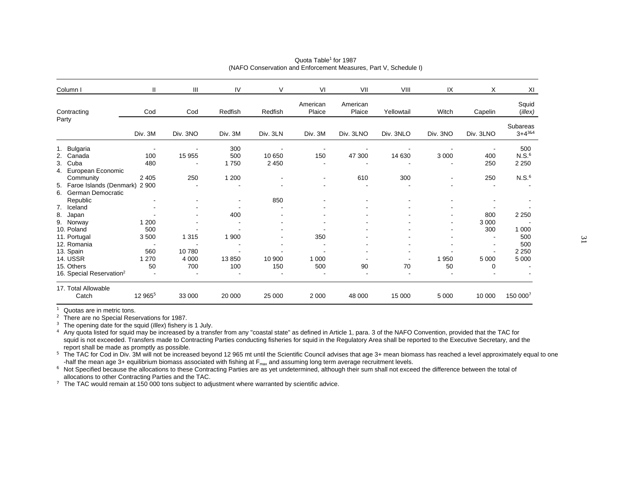| Column I                                                       | Ш                                | $\mathbf{III}$   | IV                       | V        | VI                 | VII                | VIII       | IX             | X                     | XI                           |
|----------------------------------------------------------------|----------------------------------|------------------|--------------------------|----------|--------------------|--------------------|------------|----------------|-----------------------|------------------------------|
| Contracting                                                    | Cod                              | Cod              | Redfish                  | Redfish  | American<br>Plaice | American<br>Plaice | Yellowtail | Witch          | Capelin               | Squid<br>$($ illex $)$       |
| Party                                                          | Div. 3M                          | Div. 3NO         | Div. 3M                  | Div. 3LN | Div. 3M            | Div. 3LNO          | Div. 3NLO  | Div. 3NO       | Div. 3LNO             | Subareas<br>$3 + 4^{384}$    |
| 1. Bulgaria<br>2. Canada                                       | $\overline{\phantom{a}}$<br>100  | 15 955           | 300<br>500               | 10 650   | 150                | 47 300             | 14 630     | 3 0 0 0        | 400                   | 500<br>N.S. <sup>6</sup>     |
| 3.<br>Cuba<br>European Economic<br>4.<br>Community             | 480<br>2 4 0 5                   | 250              | 1750<br>1 200            | 2 4 5 0  |                    | 610                | 300        | $\blacksquare$ | 250<br>250            | 2 2 5 0<br>N.S. <sup>6</sup> |
| Faroe Islands (Denmark) 2 900<br>5.<br>German Democratic<br>6. |                                  |                  |                          |          |                    |                    |            |                |                       |                              |
| Republic<br>Iceland<br>7.                                      |                                  |                  | $\overline{\phantom{a}}$ | 850      |                    |                    |            |                |                       |                              |
| 8.<br>Japan<br>9. Norway<br>10. Poland                         | 1 200<br>500                     |                  | 400                      |          |                    |                    |            |                | 800<br>3 0 0 0<br>300 | 2 2 5 0<br>1 0 0 0           |
| 11. Portugal<br>12. Romania                                    | 3500<br>$\overline{\phantom{a}}$ | 1 3 1 5          | 1 900                    |          | 350                |                    |            |                | $\blacksquare$        | 500<br>500                   |
| 13. Spain<br><b>14. USSR</b>                                   | 560<br>1 2 7 0                   | 10780<br>4 0 0 0 | 13850                    | 10 900   | 1 0 0 0            |                    |            | 1950           | 5 0 0 0               | 2 2 5 0<br>5 0 0 0           |
| 15. Others<br>16. Special Reservation <sup>2</sup>             | 50                               | 700              | 100                      | 150      | 500                | 90                 | 70         | 50             | 0                     |                              |
| 17. Total Allowable<br>Catch                                   | 12 965 <sup>5</sup>              | 33 000           | 20 000                   | 25 000   | 2 0 0 0            | 48 000             | 15 000     | 5 0 0 0        | 10 000                | 150 0007                     |

#### Quota Table**<sup>1</sup>** for 1987(NAFO Conservation and Enforcement Measures, Part V, Schedule I)

**1** Quotas are in metric tons.

**<sup>2</sup>** There are no Special Reservations for 1987.

**<sup>3</sup>** The opening date for the squid (*Illex*) fishery is 1 July.

**4** Any quota listed for squid may be increased by a transfer from any "coastal state" as defined in Article 1, para. 3 of the NAFO Convention, provided that the TAC for squid is not exceeded. Transfers made to Contracting Parties conducting fisheries for squid in the Regulatory Area shall be reported to the Executive Secretary, and the report shall be made as promptly as possible.

**<sup>5</sup>** The TAC for Cod in Div. 3M will not be increased beyond 12 965 mt until the Scientific Council advises that age 3+ mean biomass has reached a level approximately equal to one -half the mean age 3+ equilibrium biomass associated with fishing at F<sub>max</sub> and assuming long term average recruitment levels.

<sup>6</sup> Not Specified because the allocations to these Contracting Parties are as yet undetermined, although their sum shall not exceed the difference between the total of allocations to other Contracting Parties and the TAC.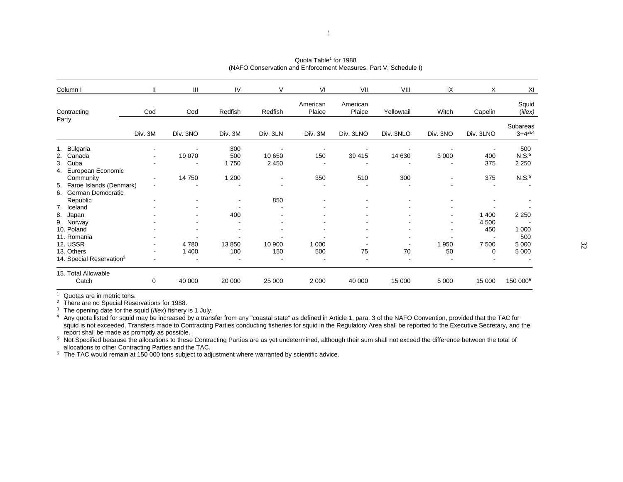| Column I                                                        | $\mathbf{H}$                               | Ш        | IV                       | V                             | VI                 | VII                | VIII       | IX                               | X                | XI                                  |
|-----------------------------------------------------------------|--------------------------------------------|----------|--------------------------|-------------------------------|--------------------|--------------------|------------|----------------------------------|------------------|-------------------------------------|
| Contracting                                                     | Cod                                        | Cod      | Redfish                  | Redfish                       | American<br>Plaice | American<br>Plaice | Yellowtail | Witch                            | Capelin          | Squid<br>$($ illex $)$              |
| Party                                                           | Div. 3M                                    | Div. 3NO | Div. 3M                  | Div. 3LN                      | Div. 3M            | Div. 3LNO          | Div. 3NLO  | Div. 3NO                         | Div. 3LNO        | Subareas<br>$3+4^{384}$             |
| 1. Bulgaria<br>2. Canada<br>Cuba<br>3.                          | $\blacksquare$<br>٠                        | 19 070   | 300<br>500<br>1750       | 10 650<br>2 4 5 0             | ٠<br>150           | 39 415             | 14 630     | 3 0 0 0                          | 400<br>375       | 500<br>N.S. <sup>5</sup><br>2 2 5 0 |
| 4. European Economic<br>Community<br>5. Faroe Islands (Denmark) | ۰<br>$\overline{a}$                        | 14 750   | 1 200                    | ۰<br>$\overline{\phantom{a}}$ | 350                | 510                | 300        | $\overline{\phantom{a}}$         | 375              | N.S. <sup>5</sup>                   |
| German Democratic<br>6.<br>Republic<br>7. Iceland               | ۰                                          |          | $\overline{\phantom{a}}$ | 850                           |                    |                    | ۰          |                                  |                  |                                     |
| 8.<br>Japan<br>9. Norway                                        |                                            |          | 400                      |                               |                    |                    |            | $\blacksquare$<br>$\blacksquare$ | 1 4 0 0<br>4 500 | 2 2 5 0                             |
| 10. Poland<br>11. Romania<br><b>12. USSR</b>                    | ٠                                          | 4780     | 13850                    | 10 900                        | 000<br>1           |                    |            | 1950                             | 450<br>7 500     | 1 0 0 0<br>500<br>5 0 0 0           |
| 13. Others<br>14. Special Reservation <sup>2</sup>              | $\overline{\phantom{a}}$<br>$\blacksquare$ | 1 400    | 100                      | 150                           | 500                | 75                 | 70         | 50                               | 0                | 5 0 0 0                             |
| 15. Total Allowable<br>Catch                                    | 0                                          | 40 000   | 20 000                   | 25 000                        | 2 0 0 0            | 40 000             | 15 000     | 5 0 0 0                          | 15 000           | 150 000 <sup>6</sup>                |

Quota Table**<sup>1</sup>** for 1988(NAFO Conservation and Enforcement Measures, Part V, Schedule I)

**1** Quotas are in metric tons.

**<sup>2</sup>** There are no Special Reservations for 1988.

<sup>3</sup> The opening date for the squid (*Illex*) fishery is 1 July.<br><sup>4</sup> Any quota listed for squid may be increased by a transfer from any "coastal state" as defined in Article 1, para. 3 of the NAFO Convention, provided that squid is not exceeded. Transfers made to Contracting Parties conducting fisheries for squid in the Regulatory Area shall be reported to the Executive Secretary, and the report shall be made as promptly as possible.

**<sup>5</sup>** Not Specified because the allocations to these Contracting Parties are as yet undetermined, although their sum shall not exceed the difference between the total of allocations to other Contracting Parties and the TAC.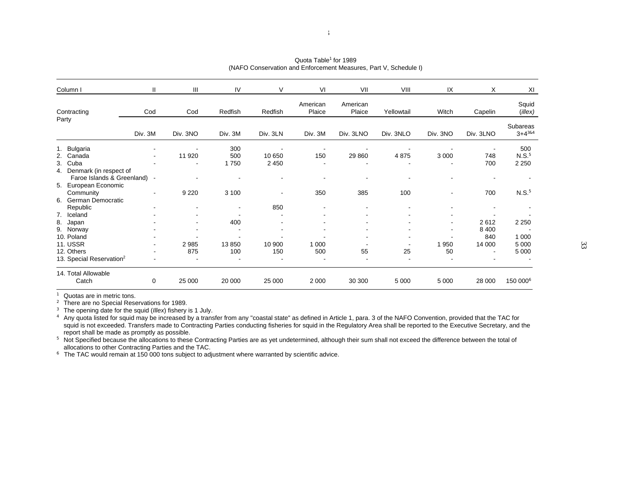| Column I                                           | $\mathbf{H}$             | Ш        | IV                       | V        | VI                 | VII                      | VIII       | IX                       | X              | XI                      |
|----------------------------------------------------|--------------------------|----------|--------------------------|----------|--------------------|--------------------------|------------|--------------------------|----------------|-------------------------|
| Contracting                                        | Cod                      | Cod      | Redfish                  | Redfish  | American<br>Plaice | American<br>Plaice       | Yellowtail | Witch                    | Capelin        | Squid<br>$($ illex $)$  |
| Party                                              | Div. 3M                  | Div. 3NO | Div. 3M                  | Div. 3LN | Div. 3M            | Div. 3LNO                | Div. 3NLO  | Div. 3NO                 | Div. 3LNO      | Subareas<br>$3+4^{384}$ |
| 1. Bulgaria                                        | $\blacksquare$           |          | 300                      |          | ٠                  |                          |            |                          |                | 500                     |
| 2. Canada                                          | ٠                        | 11 920   | 500                      | 10 650   | 150                | 29 860                   | 4875       | 3 0 0 0                  | 748            | N.S. <sup>5</sup>       |
| Cuba<br>3.<br>Denmark (in respect of<br>4.         |                          |          | 1750                     | 2 4 5 0  |                    |                          |            |                          | 700            | 2 2 5 0                 |
| Faroe Islands & Greenland)<br>5. European Economic | $\overline{\phantom{a}}$ |          |                          |          |                    |                          |            |                          |                |                         |
| Community<br>German Democratic<br>6.               | ۰                        | 9 2 2 0  | 3 100                    | ۰        | 350                | 385                      | 100        |                          | 700            | N.S. <sup>5</sup>       |
| Republic                                           |                          |          | $\overline{\phantom{a}}$ | 850      |                    |                          |            |                          |                |                         |
| 7. Iceland                                         |                          |          |                          |          |                    |                          |            |                          |                |                         |
| 8. Japan                                           |                          |          | 400                      |          |                    |                          |            | $\overline{\phantom{a}}$ | 2612           | 2 2 5 0                 |
| 9. Norway                                          |                          |          |                          | ٠        |                    |                          |            |                          | 8 4 0 0        |                         |
| 10. Poland                                         |                          |          |                          |          |                    | $\overline{\phantom{a}}$ |            |                          | 840            | 1 0 0 0                 |
| <b>11. USSR</b>                                    | ۰                        | 2985     | 13850                    | 10 900   | 000<br>1           |                          |            | 1950                     | 14 000         | 5 0 0 0                 |
| 12. Others                                         | $\overline{\phantom{a}}$ | 875      | 100                      | 150      | 500                | 55                       | 25         | 50                       | $\blacksquare$ | 5 0 0 0                 |
| 13. Special Reservation <sup>2</sup>               | $\blacksquare$           |          |                          |          |                    |                          |            |                          |                |                         |
| 14. Total Allowable<br>Catch                       | 0                        | 25 000   | 20 000                   | 25 000   | 2 0 0 0            | 30 300                   | 5 0 0 0    | 5 0 0 0                  | 28 000         | 150 000 <sup>6</sup>    |

Quota Table**<sup>1</sup>** for 1989(NAFO Conservation and Enforcement Measures, Part V, Schedule I)

**1** Quotas are in metric tons.

**<sup>2</sup>** There are no Special Reservations for 1989.

<sup>3</sup> The opening date for the squid (*Illex*) fishery is 1 July.<br><sup>4</sup> Any quota listed for squid may be increased by a transfer from any "coastal state" as defined in Article 1, para. 3 of the NAFO Convention, provided that squid is not exceeded. Transfers made to Contracting Parties conducting fisheries for squid in the Regulatory Area shall be reported to the Executive Secretary, and the report shall be made as promptly as possible.

**<sup>5</sup>** Not Specified because the allocations to these Contracting Parties are as yet undetermined, although their sum shall not exceed the difference between the total of allocations to other Contracting Parties and the TAC.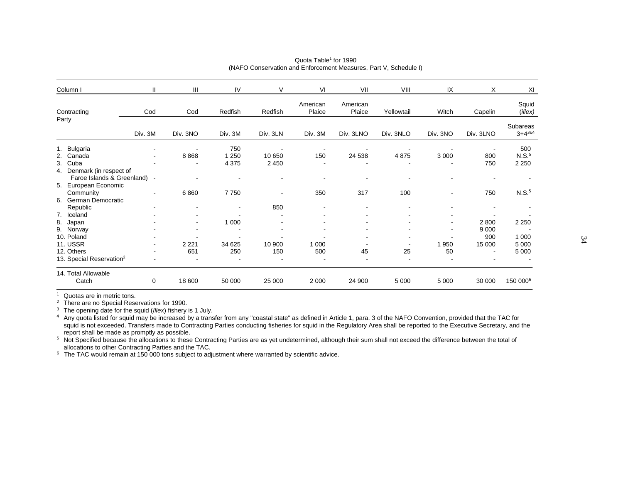| Column I                             | $\mathbf{H}$             | III      | IV      | V                        | VI                       | VII                      | VIII       | IX                       | Χ                        | XI                            |
|--------------------------------------|--------------------------|----------|---------|--------------------------|--------------------------|--------------------------|------------|--------------------------|--------------------------|-------------------------------|
| Contracting                          | Cod                      | Cod      | Redfish | Redfish                  | American<br>Plaice       | American<br>Plaice       | Yellowtail | Witch                    | Capelin                  | Squid<br>$($ <i>illex</i> $)$ |
| Party                                | Div. 3M                  | Div. 3NO | Div. 3M | Div. 3LN                 | Div. 3M                  | Div. 3LNO                | Div. 3NLO  | Div. 3NO                 | Div. 3LNO                | Subareas<br>$3 + 4^{384}$     |
| 1. Bulgaria                          | $\overline{\phantom{a}}$ |          | 750     |                          | $\overline{\phantom{a}}$ |                          |            |                          | $\overline{\phantom{a}}$ | 500                           |
| 2. Canada                            | $\blacksquare$           | 8868     | 1 2 5 0 | 10 650                   | 150                      | 24 538                   | 4875       | 3 0 0 0                  | 800                      | N.S. <sup>5</sup>             |
| 3. Cuba                              |                          |          | 4 3 7 5 | 2 4 5 0                  |                          |                          |            |                          | 750                      | 2 2 5 0                       |
| 4. Denmark (in respect of            |                          |          |         |                          |                          |                          |            |                          |                          |                               |
| Faroe Islands & Greenland)           | $\blacksquare$           |          |         |                          |                          | $\overline{\phantom{a}}$ | ٠          |                          | ۰                        |                               |
| 5. European Economic                 |                          |          |         |                          |                          |                          |            |                          |                          |                               |
| Community                            | $\overline{\phantom{a}}$ | 6860     | 7750    | $\overline{\phantom{a}}$ | 350                      | 317                      | 100        |                          | 750                      | N.S. <sup>5</sup>             |
| German Democratic<br>6.              |                          |          |         |                          |                          |                          |            |                          |                          |                               |
| Republic                             |                          |          |         | 850                      |                          |                          |            |                          |                          |                               |
| 7. Iceland                           |                          |          |         |                          |                          |                          |            |                          |                          |                               |
| 8. Japan                             |                          |          | 1 0 0 0 |                          |                          |                          |            | $\overline{\phantom{a}}$ | 2 8 0 0                  | 2 2 5 0                       |
| 9. Norway                            |                          |          |         |                          |                          |                          |            |                          | 9 0 0 0                  |                               |
| 10. Poland                           |                          |          |         |                          |                          |                          |            |                          | 900                      | 1 0 0 0                       |
| <b>11. USSR</b>                      | $\blacksquare$           | 2 2 2 1  | 34 625  | 10 900                   | 1 0 0 0                  |                          |            | 1950                     | 15 000                   | 5 0 0 0                       |
| 12. Others                           | $\blacksquare$           | 651      | 250     | 150                      | 500                      | 45                       | 25         | 50                       | $\blacksquare$           | 5 0 0 0                       |
| 13. Special Reservation <sup>2</sup> | $\overline{\phantom{a}}$ |          |         |                          |                          |                          |            |                          |                          |                               |
| 14. Total Allowable                  |                          |          |         |                          |                          |                          |            |                          |                          |                               |
| Catch                                | 0                        | 18 600   | 50 000  | 25 000                   | 2 0 0 0                  | 24 900                   | 5 0 0 0    | 5 0 0 0                  | 30 000                   | 150 000 <sup>6</sup>          |

#### Quota Table**<sup>1</sup>** for 1990(NAFO Conservation and Enforcement Measures, Part V, Schedule I)

**1** Quotas are in metric tons.

<sup>2</sup> There are no Special Reservations for 1990.

**<sup>3</sup>** The opening date for the squid (*Illex*) fishery is 1 July.

**4** Any quota listed for squid may be increased by a transfer from any "coastal state" as defined in Article 1, para. 3 of the NAFO Convention, provided that the TAC for squid is not exceeded. Transfers made to Contracting Parties conducting fisheries for squid in the Regulatory Area shall be reported to the Executive Secretary, and the report shall be made as promptly as possible.

**<sup>5</sup>** Not Specified because the allocations to these Contracting Parties are as yet undetermined, although their sum shall not exceed the difference between the total of allocations to other Contracting Parties and the TAC.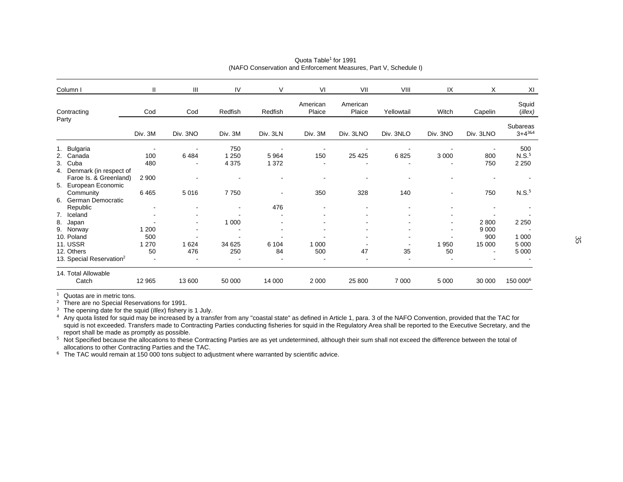| Column I                                                             | Ш                                      | $\mathbf{III}$ | IV                                        | V                  | VI                              | VII                | VIII       | IX             | Χ                                          | XI                                  |
|----------------------------------------------------------------------|----------------------------------------|----------------|-------------------------------------------|--------------------|---------------------------------|--------------------|------------|----------------|--------------------------------------------|-------------------------------------|
| Contracting                                                          | Cod                                    | Cod            | Redfish                                   | Redfish            | American<br>Plaice              | American<br>Plaice | Yellowtail | Witch          | Capelin                                    | Squid<br>$($ illex $)$              |
| Party                                                                | Div. 3M                                | Div. 3NO       | Div. 3M                                   | Div. 3LN           | Div. 3M                         | Div. 3LNO          | Div. 3NLO  | Div. 3NO       | Div. 3LNO                                  | Subareas<br>$3+4^{384}$             |
| 1. Bulgaria<br>2. Canada<br>3. Cuba<br>Denmark (in respect of<br>4.  | $\overline{\phantom{a}}$<br>100<br>480 | 6484           | 750<br>1 2 5 0<br>4 3 7 5                 | ٠<br>5964<br>1 372 | $\overline{\phantom{a}}$<br>150 | 25 4 25            | 6825       | 3 0 0 0        | 800<br>750                                 | 500<br>N.S. <sup>5</sup><br>2 2 5 0 |
| Faroe Is. & Greenland)<br>5. European Economic<br>Community          | 2 9 0 0<br>6465                        | 5016           | 7750                                      | $\blacksquare$     | 350                             | 328                | 140        |                | 750                                        | N.S. <sup>5</sup>                   |
| German Democratic<br>6.<br>Republic<br>7. Iceland<br>8.<br>Japan     | ٠                                      |                | 1 0 0 0                                   | 476                |                                 |                    |            | $\blacksquare$ | 2800                                       | 2 2 5 0                             |
| 9. Norway<br>10. Poland<br><b>11. USSR</b><br>12. Others             | 1 200<br>500<br>1 2 7 0<br>50          | 1 6 2 4<br>476 | $\overline{\phantom{a}}$<br>34 625<br>250 | 6 1 0 4<br>84      | 1 0 0 0<br>500                  | 47                 | 35         | 1950<br>50     | 9 0 0 0<br>900<br>15 000<br>$\blacksquare$ | 1 0 0 0<br>5 0 0 0<br>5 0 0 0       |
| 13. Special Reservation <sup>2</sup><br>14. Total Allowable<br>Catch | $\blacksquare$<br>12 965               | 13 600         | 50 000                                    | 14 000             | 2 0 0 0                         | 25 800             | 7 0 0 0    | 5 0 0 0        | 30 000                                     | 150 000 <sup>6</sup>                |

#### Quota Table**<sup>1</sup>** for 1991(NAFO Conservation and Enforcement Measures, Part V, Schedule I)

**1** Quotas are in metric tons.

<sup>2</sup> There are no Special Reservations for 1991.

**<sup>3</sup>** The opening date for the squid (*Illex*) fishery is 1 July.

**4** Any quota listed for squid may be increased by a transfer from any "coastal state" as defined in Article 1, para. 3 of the NAFO Convention, provided that the TAC for squid is not exceeded. Transfers made to Contracting Parties conducting fisheries for squid in the Regulatory Area shall be reported to the Executive Secretary, and the report shall be made as promptly as possible.

**<sup>5</sup>** Not Specified because the allocations to these Contracting Parties are as yet undetermined, although their sum shall not exceed the difference between the total of allocations to other Contracting Parties and the TAC.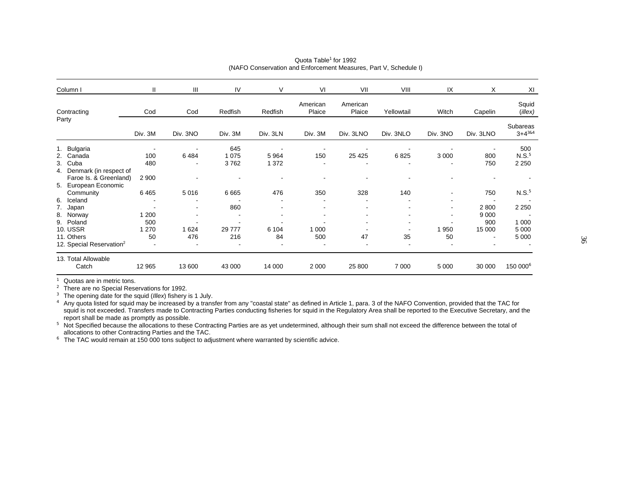| Column I                                                                    | $\mathbf{H}$                           | Ш         | IV                                               | V                    | VI                              | VII                | VIII                             | IX                                                 | X                                | XI                                  |
|-----------------------------------------------------------------------------|----------------------------------------|-----------|--------------------------------------------------|----------------------|---------------------------------|--------------------|----------------------------------|----------------------------------------------------|----------------------------------|-------------------------------------|
| Contracting                                                                 | Cod                                    | Cod       | Redfish                                          | Redfish              | American<br>Plaice              | American<br>Plaice | Yellowtail                       | Witch                                              | Capelin                          | Squid<br>$($ illex $)$              |
| Party                                                                       | Div. 3M                                | Div. 3NO  | Div. 3M                                          | Div. 3LN             | Div. 3M                         | Div. 3LNO          | Div. 3NLO                        | Div. 3NO                                           | Div. 3LNO                        | <b>Subareas</b><br>$3+4^{384}$      |
| 1. Bulgaria<br>2. Canada<br>Cuba<br>3.                                      | $\overline{\phantom{a}}$<br>100<br>480 | ۰<br>6484 | 645<br>1 0 7 5<br>3762                           | ٠<br>5964<br>1 3 7 2 | $\overline{\phantom{a}}$<br>150 | 25 4 25            | $\overline{\phantom{a}}$<br>6825 | 3 0 0 0                                            | 800<br>750                       | 500<br>N.S. <sup>5</sup><br>2 2 5 0 |
| 4. Denmark (in respect of<br>Faroe Is. & Greenland)<br>5. European Economic | 2 9 0 0                                |           | $\overline{\phantom{a}}$                         |                      |                                 |                    |                                  |                                                    |                                  |                                     |
| Community<br>Iceland<br>6.                                                  | 6465                                   | 5016      | 6665                                             | 476                  | 350                             | 328                | 140                              |                                                    | 750                              | N.S. <sup>5</sup>                   |
| 7.<br>Japan<br>8.<br>Norway<br>9. Poland<br><b>10. USSR</b>                 | 1 200<br>500<br>1 2 7 0                | 1 6 2 4   | 860<br>$\overline{\phantom{a}}$<br>٠<br>29 7 7 7 | 6 1 0 4              | 1 0 0 0                         |                    |                                  | $\blacksquare$<br>$\overline{\phantom{a}}$<br>1950 | 2800<br>9 0 0 0<br>900<br>15 000 | 2 2 5 0<br>1 0 0 0<br>5 0 0 0       |
| 11. Others<br>12. Special Reservation <sup>2</sup>                          | 50                                     | 476       | 216                                              | 84                   | 500                             | 47                 | 35                               | 50                                                 |                                  | 5 0 0 0                             |
| 13. Total Allowable<br>Catch                                                | 12 9 65                                | 13 600    | 43 000                                           | 14 000               | 2 0 0 0                         | 25 800             | 7 0 0 0                          | 5 0 0 0                                            | 30 000                           | 150 000 <sup>6</sup>                |

#### Quota Table**<sup>1</sup>** for 1992(NAFO Conservation and Enforcement Measures, Part V, Schedule I)

**1** Quotas are in metric tons.

**<sup>2</sup>** There are no Special Reservations for 1992.

**<sup>3</sup>** The opening date for the squid (*Illex*) fishery is 1 July.

**4** Any quota listed for squid may be increased by a transfer from any "coastal state" as defined in Article 1, para. 3 of the NAFO Convention, provided that the TAC for squid is not exceeded. Transfers made to Contracting Parties conducting fisheries for squid in the Regulatory Area shall be reported to the Executive Secretary, and the report shall be made as promptly as possible.

**<sup>5</sup>** Not Specified because the allocations to these Contracting Parties are as yet undetermined, although their sum shall not exceed the difference between the total of allocations to other Contracting Parties and the TAC.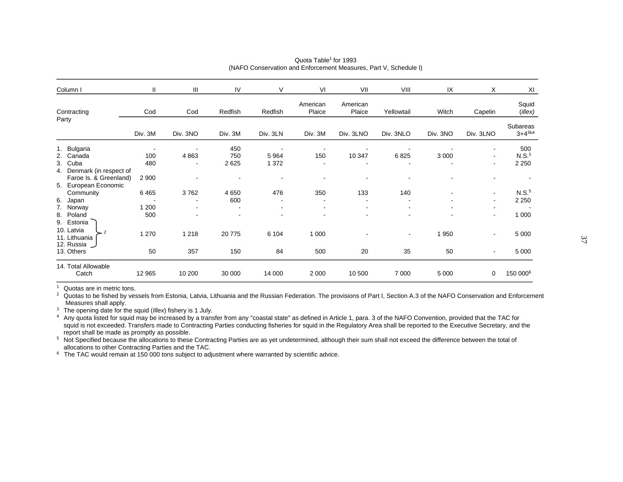| Column I                                                                    | Ш            | Ш        | IV                                                   | V                                          | VI                 | VII                | VIII           | IX       | X                        | XI                        |
|-----------------------------------------------------------------------------|--------------|----------|------------------------------------------------------|--------------------------------------------|--------------------|--------------------|----------------|----------|--------------------------|---------------------------|
| Contracting                                                                 | Cod          | Cod      | Redfish                                              | Redfish                                    | American<br>Plaice | American<br>Plaice | Yellowtail     | Witch    | Capelin                  | Squid<br>$($ illex $)$    |
| Party                                                                       | Div. 3M      | Div. 3NO | Div. 3M                                              | Div. 3LN                                   | Div. 3M            | Div. 3LNO          | Div. 3NLO      | Div. 3NO | Div. 3LNO                | Subareas<br>$3 + 4^{384}$ |
| 1. Bulgaria                                                                 | 100          |          | 450<br>750                                           |                                            |                    |                    |                |          | $\overline{\phantom{a}}$ | 500<br>N.S. <sup>5</sup>  |
| Canada<br>2.<br>3. Cuba                                                     | 480          | 4863     | 2625                                                 | 5964<br>1 3 7 2                            | 150                | 10 347             | 6825           | 3 0 0 0  | $\blacksquare$           | 2 2 5 0                   |
| 4. Denmark (in respect of<br>Faroe Is. & Greenland)<br>5. European Economic | 2 9 0 0      |          |                                                      |                                            |                    |                    |                |          |                          |                           |
| Community                                                                   | 6465         | 3762     | 4650                                                 | 476                                        | 350                | 133                | 140            |          | $\blacksquare$           | N.S. <sup>5</sup>         |
| 6. Japan                                                                    |              | ٠        | 600                                                  |                                            |                    |                    |                |          | $\blacksquare$           | 2 2 5 0                   |
| 7. Norway<br>8. Poland<br>9. Estonia                                        | 1 200<br>500 |          | $\overline{\phantom{a}}$<br>$\overline{\phantom{a}}$ | $\overline{\phantom{a}}$<br>$\blacksquare$ |                    |                    | ۰              | ٠        | $\blacksquare$           | 1 0 0 0                   |
| 10. Latvia<br>$-2$<br>11. Lithuania<br>12. Russia                           | 1 2 7 0      | 1 2 1 8  | 20775                                                | 6 1 0 4                                    | 1 0 0 0            |                    | $\blacksquare$ | 1950     | $\blacksquare$           | 5 0 0 0                   |
| 13. Others                                                                  | 50           | 357      | 150                                                  | 84                                         | 500                | 20                 | 35             | 50       | $\blacksquare$           | 5 0 0 0                   |
| 14. Total Allowable<br>Catch                                                | 12 965       | 10 200   | 30 000                                               | 14 000                                     | 2 0 0 0            | 10 500             | 7 0 0 0        | 5 0 0 0  | 0                        | 150 000 <sup>6</sup>      |

#### Quota Table**<sup>1</sup>** for 1993(NAFO Conservation and Enforcement Measures, Part V, Schedule I)

**1** Quotas are in metric tons.

<sup>2</sup> Quotas to be fished by vessels from Estonia, Latvia, Lithuania and the Russian Federation. The provisions of Part I, Section A.3 of the NAFO Conservation and Enforcement Measures shall apply.

**<sup>3</sup>** The opening date for the squid (*Illex*) fishery is 1 July.

**4** Any quota listed for squid may be increased by a transfer from any "coastal state" as defined in Article 1, para. 3 of the NAFO Convention, provided that the TAC for squid is not exceeded. Transfers made to Contracting Parties conducting fisheries for squid in the Regulatory Area shall be reported to the Executive Secretary, and the report shall be made as promptly as possible.

**<sup>5</sup>** Not Specified because the allocations to these Contracting Parties are as yet undetermined, although their sum shall not exceed the difference between the total of allocations to other Contracting Parties and the TAC.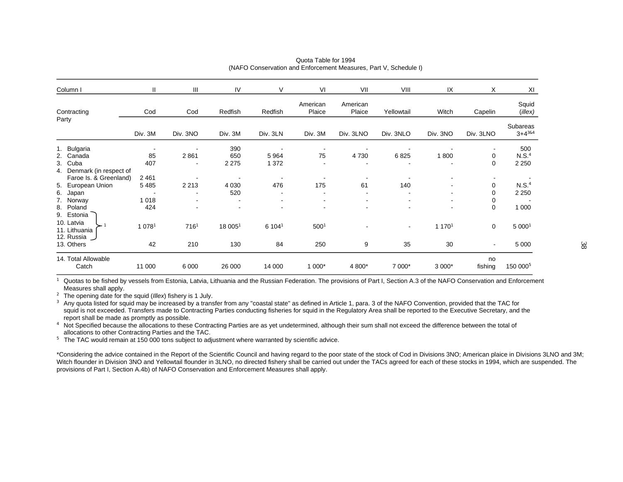| Column I                                                                                | $\mathbf{H}$       | Ш                                | IV                       | V                               | VI                             | VII                              | VIII       | IX       | X             | XI                                  |
|-----------------------------------------------------------------------------------------|--------------------|----------------------------------|--------------------------|---------------------------------|--------------------------------|----------------------------------|------------|----------|---------------|-------------------------------------|
| Contracting                                                                             | Cod                | Cod                              | Redfish                  | Redfish                         | American<br>Plaice             | American<br>Plaice               | Yellowtail | Witch    | Capelin       | Squid<br>$($ illex $)$              |
| Party                                                                                   | Div. 3M            | Div. 3NO                         | Div. 3M                  | Div. 3LN                        | Div. 3M                        | Div. 3LNO                        | Div. 3NLO  | Div. 3NO | Div. 3LNO     | Subareas<br>$3+4^{384}$             |
| 1. Bulgaria<br>2. Canada<br>3. Cuba                                                     | 85<br>407          | 2861<br>$\overline{\phantom{a}}$ | 390<br>650<br>2 2 7 5    | 5964<br>1 3 7 2                 | $\overline{\phantom{a}}$<br>75 | 4730<br>$\overline{\phantom{a}}$ | 6825       | 1800     | ۰<br>0<br>0   | 500<br>N.S. <sup>4</sup><br>2 2 5 0 |
| 4. Denmark (in respect of<br>Faroe Is. & Greenland)<br>5. European Union<br>6.<br>Japan | 2 4 6 1<br>5 4 8 5 | 2 2 1 3                          | 4 0 3 0<br>520           | 476<br>$\overline{\phantom{a}}$ | 175                            | 61                               | 140        |          | 0<br>0        | N.S. <sup>4</sup><br>2 2 5 0        |
| 7. Norway<br>Poland<br>8.<br>9. Estonia                                                 | 1 0 1 8<br>424     |                                  | $\overline{\phantom{a}}$ | $\blacksquare$<br>۰             | ۰                              | $\blacksquare$                   |            | ۰<br>۰   | 0<br>0        | 1 0 0 0                             |
| 10. Latvia<br>11. Lithuania<br>12. Russia                                               | 1 0 7 8 1          | 7161                             | 18 0051                  | 6 1041                          | 500 <sup>1</sup>               |                                  | $\sim$     | 1 1701   | 0             | 5 0001                              |
| 13. Others                                                                              | 42                 | 210                              | 130                      | 84                              | 250                            | 9                                | 35         | 30       | ۰.            | 5 0 0 0                             |
| 14. Total Allowable<br>Catch                                                            | 11 000             | 6 0 0 0                          | 26 000                   | 14 000                          | 1 000*                         | 4 800*                           | 7 000*     | 3 000*   | no<br>fishing | 150 000 <sup>5</sup>                |

#### Quota Table for 1994(NAFO Conservation and Enforcement Measures, Part V, Schedule I)

 Quotas to be fished by vessels from Estonia, Latvia, Lithuania and the Russian Federation. The provisions of Part I, Section A.3 of the NAFO Conservation and Enforcement Measures shall apply.

**<sup>2</sup>** The opening date for the squid (*Illex*) fishery is 1 July.

**1**

**3** Any quota listed for squid may be increased by a transfer from any "coastal state" as defined in Article 1, para. 3 of the NAFO Convention, provided that the TAC for squid is not exceeded. Transfers made to Contracting Parties conducting fisheries for squid in the Regulatory Area shall be reported to the Executive Secretary, and the report shall be made as promptly as possible.

**<sup>4</sup>** Not Specified because the allocations to these Contracting Parties are as yet undetermined, although their sum shall not exceed the difference between the total of allocations to other Contracting Parties and the TAC.

**<sup>5</sup>** The TAC would remain at 150 000 tons subject to adjustment where warranted by scientific advice.

\*Considering the advice contained in the Report of the Scientific Council and having regard to the poor state of the stock of Cod in Divisions 3NO; American plaice in Divisions 3LNO and 3M; Witch flounder in Division 3NO and Yellowtail flounder in 3LNO, no directed fishery shall be carried out under the TACs agreed for each of these stocks in 1994, which are suspended. The provisions of Part I, Section A.4b) of NAFO Conservation and Enforcement Measures shall apply.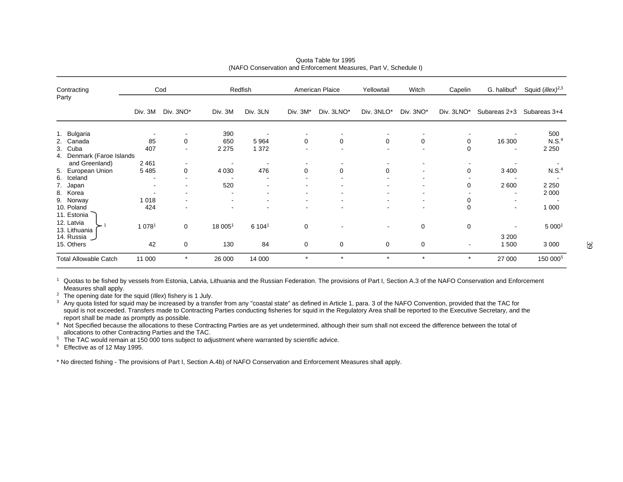| Contracting<br>Party                                                                                                              |                                                            | Cod                           |                       | Redfish                         |             | American Plaice | Yellowtail                    | Witch     | Capelin                    | G. halibut <sup>6</sup>                        | Squid ( <i>illex</i> ) <sup>2,3</sup>              |
|-----------------------------------------------------------------------------------------------------------------------------------|------------------------------------------------------------|-------------------------------|-----------------------|---------------------------------|-------------|-----------------|-------------------------------|-----------|----------------------------|------------------------------------------------|----------------------------------------------------|
|                                                                                                                                   | Div. 3M                                                    | Div. 3NO*                     | Div. 3M               | Div. 3LN                        | Div. 3M*    | Div. 3LNO*      | Div. 3NLO*                    | Div. 3NO* | Div. 3LNO*                 | Subareas 2+3                                   | Subareas 3+4                                       |
| 1. Bulgaria<br>2. Canada<br>3. Cuba                                                                                               | 85<br>407                                                  | 0<br>۰                        | 390<br>650<br>2 2 7 5 | 5964<br>1 3 7 2                 | $\mathbf 0$ | 0               | 0                             | 0         | 0<br>$\mathbf 0$           | 16 300                                         | 500<br>N.S. <sup>4</sup><br>2 2 5 0                |
| 4. Denmark (Faroe Islands<br>and Greenland)<br>5. European Union<br>6. Iceland<br>7. Japan<br>8. Korea<br>9. Norway<br>10. Poland | 2461<br>5485<br>$\overline{\phantom{a}}$<br>1 0 1 8<br>424 | $\overline{\phantom{a}}$<br>0 | 4 0 3 0<br>520        | $\overline{\phantom{a}}$<br>476 | $\mathbf 0$ | 0               | 0                             |           | 0<br>0<br>0<br>$\mathbf 0$ | 3 4 0 0<br>2600<br>۰                           | N.S. <sup>4</sup><br>2 2 5 0<br>2 0 0 0<br>1 0 0 0 |
| 11. Estonia<br>12. Latvia<br>13. Lithuania<br>14. Russia<br>15. Others                                                            | 1 0 7 8 <sup>1</sup><br>42                                 | $\mathbf 0$<br>0              | 18 0051<br>130        | 6 1041<br>84                    | 0<br>0      | 0               | $\overline{\phantom{a}}$<br>0 | 0<br>0    | 0<br>$\blacksquare$        | $\qquad \qquad \blacksquare$<br>3 2 0 0<br>500 | 5 0001<br>3 0 0 0                                  |
| <b>Total Allowable Catch</b>                                                                                                      | 11 000                                                     | $\star$                       | 26 000                | 14 000                          | $\star$     | $\star$         | $\star$                       | $\star$   | $\star$                    | 27 000                                         | 150 000 <sup>5</sup>                               |

#### Quota Table for 1995(NAFO Conservation and Enforcement Measures, Part V, Schedule I)

**1** Quotas to be fished by vessels from Estonia, Latvia, Lithuania and the Russian Federation. The provisions of Part I, Section A.3 of the NAFO Conservation and Enforcement Measures shall apply.

**<sup>2</sup>** The opening date for the squid (*Illex*) fishery is 1 July.

**3** Any quota listed for squid may be increased by a transfer from any "coastal state" as defined in Article 1, para. 3 of the NAFO Convention, provided that the TAC for squid is not exceeded. Transfers made to Contracting Parties conducting fisheries for squid in the Regulatory Area shall be reported to the Executive Secretary, and the report shall be made as promptly as possible.

**<sup>4</sup>** Not Specified because the allocations to these Contracting Parties are as yet undetermined, although their sum shall not exceed the difference between the total of allocations to other Contracting Parties and the TAC.

<sup>5</sup> The TAC would remain at 150 000 tons subject to adjustment where warranted by scientific advice.

<sup>6</sup> Effective as of 12 May 1995.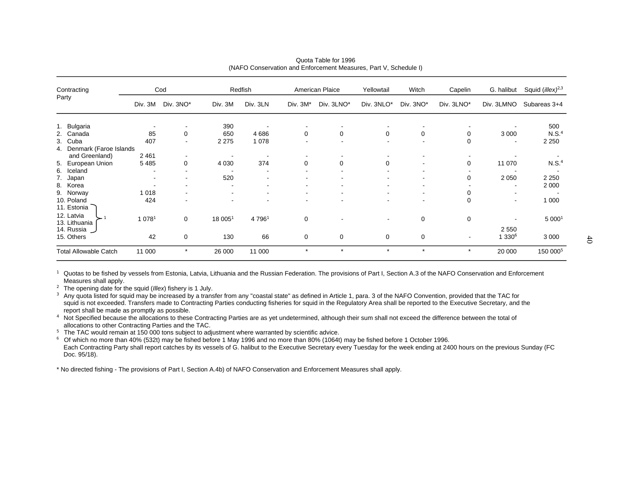| Contracting                                       |                                                      | Cod                      |            | Redfish   |             | American Plaice | Yellowtail | Witch     | Capelin        | G. halibut                          | Squid ( <i>illex</i> ) <sup>2,3</sup> |
|---------------------------------------------------|------------------------------------------------------|--------------------------|------------|-----------|-------------|-----------------|------------|-----------|----------------|-------------------------------------|---------------------------------------|
| Party                                             | Div. 3M                                              | Div. 3NO*                | Div. 3M    | Div. 3LN  | Div. 3M*    | Div. 3LNO*      | Div. 3NLO* | Div. 3NO* | Div. 3LNO*     | Div. 3LMNO                          | Subareas 3+4                          |
| 1. Bulgaria<br>2. Canada                          | 85                                                   | 0                        | 390<br>650 | 4686      | 0           | 0               | 0          | 0         | 0              | 3 0 0 0                             | 500<br>N.S. <sup>4</sup>              |
| 3. Cuba<br>4. Denmark (Faroe Islands              | 407                                                  | $\overline{\phantom{a}}$ | 2 2 7 5    | 1 0 7 8   |             |                 |            |           | 0              |                                     | 2 2 5 0                               |
| and Greenland)<br>5. European Union<br>6. Iceland | 2 4 6 1<br>5485                                      | 0                        | 4 0 3 0    | 374       | 0           | 0               | $\Omega$   |           | 0              | 11 070                              | N.S. <sup>4</sup>                     |
| 7. Japan<br>8. Korea                              | $\overline{\phantom{a}}$<br>$\overline{\phantom{a}}$ |                          | 520        |           |             |                 |            |           | 0              | 2 0 5 0<br>$\overline{\phantom{a}}$ | 2 2 5 0<br>2 0 0 0                    |
| 9. Norway<br>10. Poland<br>11. Estonia            | 1 0 1 8<br>424                                       | $\overline{\phantom{a}}$ | ۰          |           |             |                 |            | ۰         | 0<br>$\Omega$  | $\sim$                              | 1 0 0 0                               |
| 12. Latvia<br>13. Lithuania<br>14. Russia         | 1 0 7 8 1                                            | 0                        | 18 0051    | 4 7 9 6 1 | $\mathbf 0$ |                 |            | 0         | $\mathbf 0$    | $\overline{\phantom{a}}$<br>2 5 5 0 | 5 0001                                |
| 15. Others                                        | 42                                                   | 0                        | 130        | 66        | 0           | 0               | 0          | 0         | $\blacksquare$ | 1 330 <sup>6</sup>                  | 3 0 0 0                               |
| <b>Total Allowable Catch</b>                      | 11 000                                               | $\star$                  | 26 000     | 11 000    | $\star$     | $\star$         | $\star$    | $\star$   | $\star$        | 20 000                              | 150 000 <sup>5</sup>                  |

Quota Table for 1996(NAFO Conservation and Enforcement Measures, Part V, Schedule I)

**<sup>2</sup>** The opening date for the squid (*Illex*) fishery is 1 July.

**3** Any quota listed for squid may be increased by a transfer from any "coastal state" as defined in Article 1, para. 3 of the NAFO Convention, provided that the TAC for squid is not exceeded. Transfers made to Contracting Parties conducting fisheries for squid in the Regulatory Area shall be reported to the Executive Secretary, and the report shall be made as promptly as possible.

**<sup>4</sup>** Not Specified because the allocations to these Contracting Parties are as yet undetermined, although their sum shall not exceed the difference between the total of allocations to other Contracting Parties and the TAC.

<sup>5</sup> The TAC would remain at 150 000 tons subject to adjustment where warranted by scientific advice.

6 Of which no more than 40% (532t) may be fished before 1 May 1996 and no more than 80% (1064t) may be fished before 1 October 1996. Each Contracting Party shall report catches by its vessels of G. halibut to the Executive Secretary every Tuesday for the week ending at 2400 hours on the previous Sunday (FC Doc. 95/18).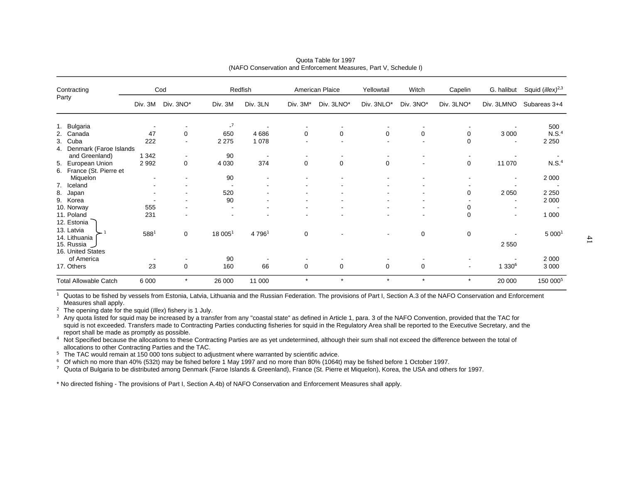|       | Contracting                                   |           | Cod                      |                                | Redfish                  |             | American Plaice | Yellowtail  | Witch          | Capelin                  | G. halibut                | Squid ( <i>illex</i> ) <sup>2,3</sup> |
|-------|-----------------------------------------------|-----------|--------------------------|--------------------------------|--------------------------|-------------|-----------------|-------------|----------------|--------------------------|---------------------------|---------------------------------------|
| Party |                                               | Div. 3M   | Div. 3NO*                | Div. 3M                        | Div. 3LN                 | Div. 3M*    | Div. 3LNO*      | Div. 3NLO*  | Div. 3NO*      | Div. 3LNO*               | Div. 3LMNO                | Subareas 3+4                          |
|       | 1. Bulgaria<br>2. Canada<br>3. Cuba           | 47<br>222 | 0<br>$\sim$              | $\mathbf{I}$<br>650<br>2 2 7 5 | 4686<br>1 0 7 8          | 0           | 0               | 0           | 0              | 0<br>$\Omega$            | 3 0 0 0<br>$\blacksquare$ | 500<br>N.S. <sup>4</sup><br>2 2 5 0   |
|       | 4. Denmark (Faroe Islands<br>and Greenland)   | 1 3 4 2   | $\overline{\phantom{a}}$ | 90                             | $\overline{\phantom{a}}$ |             |                 |             |                |                          |                           |                                       |
|       | 5. European Union<br>6. France (St. Pierre et | 2992      | 0                        | 4 0 3 0                        | 374                      | 0           | $\mathbf 0$     | 0           | $\blacksquare$ | 0                        | 11 070                    | N.S. <sup>4</sup>                     |
|       | Miquelon<br>7. Iceland                        |           |                          | 90                             |                          |             |                 |             |                |                          | ۰                         | 2 0 0 0                               |
|       | 8. Japan<br>9. Korea                          |           |                          | 520<br>90                      |                          |             |                 |             |                | 0                        | 2 0 5 0<br>$\blacksquare$ | 2 2 5 0<br>2 0 0 0                    |
|       | 10. Norway                                    | 555       |                          |                                |                          |             |                 |             |                | 0                        |                           |                                       |
|       | 11. Poland<br>12. Estonia                     | 231       |                          |                                |                          |             |                 |             | ٠              | 0                        | $\blacksquare$            | 1 0 0 0                               |
|       | 13. Latvia<br>14. Lithuania<br>15. Russia J   | 5881      | 0                        | 18 0051                        | 4 7 9 6 1                | 0           |                 |             | 0              | 0                        | 2 5 5 0                   | 5 0001                                |
|       | 16. United States<br>of America<br>17. Others | 23        | 0                        | 90<br>160                      | 66                       | $\mathbf 0$ | $\mathbf 0$     | $\mathbf 0$ | 0              | $\overline{\phantom{a}}$ | 1 330 <sup>6</sup>        | 2 0 0 0<br>3 0 0 0                    |
|       | <b>Total Allowable Catch</b>                  | 6 0 0 0   | $\star$                  | 26 000                         | 11 000                   | $\star$     | $\star$         | $\star$     | $\star$        | $\star$                  | 20 000                    | 150 000 <sup>5</sup>                  |

Quota Table for 1997(NAFO Conservation and Enforcement Measures, Part V, Schedule I)

**<sup>2</sup>** The opening date for the squid (*Illex*) fishery is 1 July.

**3** Any quota listed for squid may be increased by a transfer from any "coastal state" as defined in Article 1, para. 3 of the NAFO Convention, provided that the TAC for squid is not exceeded. Transfers made to Contracting Parties conducting fisheries for squid in the Regulatory Area shall be reported to the Executive Secretary, and the report shall be made as promptly as possible.

**<sup>4</sup>** Not Specified because the allocations to these Contracting Parties are as yet undetermined, although their sum shall not exceed the difference between the total of allocations to other Contracting Parties and the TAC.

<sup>5</sup> The TAC would remain at 150 000 tons subject to adjustment where warranted by scientific advice.

6 Of which no more than 40% (532t) may be fished before 1 May 1997 and no more than 80% (1064t) may be fished before 1 October 1997.

**<sup>7</sup>** Quota of Bulgaria to be distributed among Denmark (Faroe Islands & Greenland), France (St. Pierre et Miquelon), Korea, the USA and others for 1997.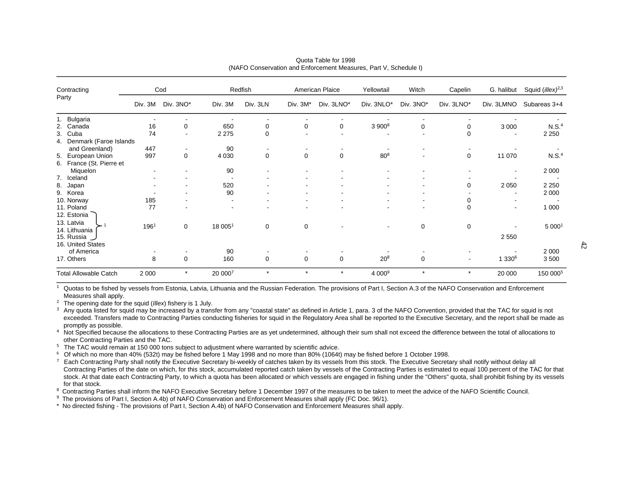| Contracting                                   |         | Cod            |                                | Redfish     |             | American Plaice | Yellowtail         | Witch       | Capelin    | G. halibut               | Squid ( <i>illex</i> ) <sup>2,3</sup> |
|-----------------------------------------------|---------|----------------|--------------------------------|-------------|-------------|-----------------|--------------------|-------------|------------|--------------------------|---------------------------------------|
| Party                                         | Div. 3M | Div. 3NO*      | Div. 3M                        | Div. 3LN    | Div. 3M*    | Div. 3LNO*      | Div. 3NLO*         | Div. 3NO*   | Div. 3LNO* | Div. 3LMNO               | Subareas 3+4                          |
| 1. Bulgaria<br>2. Canada                      | 16      | $\mathbf 0$    | 650                            | 0           | 0           | 0               | $3900^8$           | 0           | 0          | 3 0 0 0                  | N.S. <sup>4</sup>                     |
| 3. Cuba<br>4. Denmark (Faroe Islands          | 74      | $\blacksquare$ | 2 2 7 5                        | $\Omega$    |             |                 |                    |             | 0          | $\blacksquare$           | 2 2 5 0                               |
| and Greenland)                                | 447     |                | 90                             |             |             |                 |                    |             |            |                          |                                       |
| 5. European Union<br>6. France (St. Pierre et | 997     | 0              | 4 0 3 0                        | $\mathbf 0$ | $\mathbf 0$ | $\mathbf 0$     | 80 <sup>8</sup>    | ۰           | 0          | 11 070                   | N.S. <sup>4</sup>                     |
| Miquelon<br>7. Iceland                        |         |                | 90                             |             |             |                 |                    |             |            |                          | 2 0 0 0                               |
| 8. Japan                                      |         |                | 520                            |             |             |                 |                    |             | 0          | 2 0 5 0                  | 2 2 5 0                               |
| 9. Korea<br>10. Norway                        | 185     |                | 90<br>$\overline{\phantom{a}}$ |             |             |                 |                    |             | 0          | $\overline{\phantom{a}}$ | 2 0 0 0                               |
| 11. Poland<br>12. Estonia                     | 77      |                | $\overline{\phantom{a}}$       |             |             |                 |                    | ۰           | 0          | $\blacksquare$           | 1 0 0 0                               |
| 13. Latvia<br>14. Lithuania<br>15. Russia     | 1961    | 0              | 18 0051                        | 0           | 0           |                 |                    | 0           | 0          | 2 5 5 0                  | 5 0001                                |
| 16. United States<br>of America<br>17. Others | 8       | $\mathbf 0$    | 90<br>160                      | $\mathbf 0$ | $\mathbf 0$ | $\mathbf 0$     | $20^{8}$           | $\mathbf 0$ | ٠          | 1 330 <sup>6</sup>       | 2 0 0 0<br>3500                       |
| <b>Total Allowable Catch</b>                  | 2 0 0 0 | $\star$        | 20 0007                        | $\star$     | $\star$     | $\star$         | 4 000 <sup>9</sup> | $\star$     | $\star$    | 20 000                   | 150 000 <sup>5</sup>                  |

Quota Table for 1998(NAFO Conservation and Enforcement Measures, Part V, Schedule I)

**<sup>2</sup>** The opening date for the squid (*Illex*) fishery is 1 July.

<sup>3</sup> Any quota listed for squid may be increased by a transfer from any "coastal state" as defined in Article 1, para. 3 of the NAFO Convention, provided that the TAC for squid is not exceeded. Transfers made to Contracting Parties conducting fisheries for squid in the Regulatory Area shall be reported to the Executive Secretary, and the report shall be made as promptly as possible.

**<sup>4</sup>** Not Specified because the allocations to these Contracting Parties are as yet undetermined, although their sum shall not exceed the difference between the total of allocations to other Contracting Parties and the TAC.

<sup>5</sup> The TAC would remain at 150 000 tons subject to adjustment where warranted by scientific advice.

 $6$  Of which no more than 40% (532t) may be fished before 1 May 1998 and no more than 80% (1064t) may be fished before 1 October 1998.

<sup>7</sup> Each Contracting Party shall notify the Executive Secretary bi-weekly of catches taken by its vessels from this stock. The Executive Secretary shall notify without delay all Contracting Parties of the date on which, for this stock, accumulated reported catch taken by vessels of the Contracting Parties is estimated to equal 100 percent of the TAC for that stock. At that date each Contracting Party, to which a quota has been allocated or which vessels are engaged in fishing under the "Others" quota, shall prohibit fishing by its vessels for that stock.

<sup>8</sup> Contracting Parties shall inform the NAFO Executive Secretary before 1 December 1997 of the measures to be taken to meet the advice of the NAFO Scientific Council.

**9** The provisions of Part I, Section A.4b) of NAFO Conservation and Enforcement Measures shall apply (FC Doc. 96/1).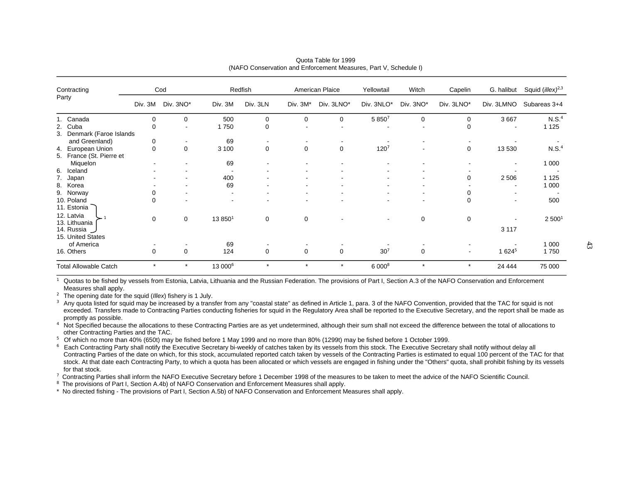| Contracting                                                     |                  | Cod         |                     | Redfish     |             | American Plaice | Yellowtail       | Witch     | Capelin                  | G. halibut                          | Squid ( <i>illex</i> ) <sup>2,3</sup> |
|-----------------------------------------------------------------|------------------|-------------|---------------------|-------------|-------------|-----------------|------------------|-----------|--------------------------|-------------------------------------|---------------------------------------|
| Party                                                           | Div. 3M          | Div. 3NO*   | Div. 3M             | Div. 3LN    | Div. 3M*    | Div. 3LNO*      | Div. 3NLO*       | Div. 3NO* | Div. 3LNO*               | Div. 3LMNO                          | Subareas 3+4                          |
| 1. Canada<br>2. Cuba<br>3. Denmark (Faroe Islands               | 0<br>0           | 0           | 500<br>1750         | 0<br>0      | 0           | 0               | 5 8 5 0 7        | $\Omega$  | $\Omega$<br>0            | 3 6 6 7<br>$\overline{\phantom{a}}$ | N.S. <sup>4</sup><br>1 1 2 5          |
| and Greenland)<br>4. European Union<br>5. France (St. Pierre et | 0<br>$\mathbf 0$ | $\mathbf 0$ | 69<br>3 100         | $\mathbf 0$ | $\mathbf 0$ | $\mathbf 0$     | 120 <sup>7</sup> |           | $\mathbf 0$              | 13 530                              | N.S. <sup>4</sup>                     |
| Miquelon<br>6. Iceland                                          |                  |             | 69                  |             |             |                 |                  |           |                          | ۰                                   | 1 0 0 0                               |
| 7. Japan<br>8. Korea<br>9. Norway                               |                  |             | 400<br>69           |             |             |                 |                  |           | 0                        | 2 5 0 6                             | 1 1 2 5<br>1 0 0 0                    |
| 10. Poland<br>11. Estonia                                       | $\mathbf 0$      |             |                     |             |             |                 |                  |           | 0<br>$\mathbf 0$         | ۰                                   | 500                                   |
| 12. Latvia<br>13. Lithuania<br>14. Russia<br>15. United States  | 0                | $\mathbf 0$ | 13 8501             | $\mathbf 0$ | $\mathbf 0$ |                 |                  | 0         | 0                        | $\blacksquare$<br>3 1 1 7           | 2 500 <sup>1</sup>                    |
| of America<br>16. Others                                        | $\mathbf 0$      | $\mathbf 0$ | 69<br>124           | $\Omega$    | $\mathbf 0$ | $\mathbf 0$     | 30 <sup>7</sup>  | $\Omega$  | $\overline{\phantom{a}}$ | 1 624 <sup>5</sup>                  | 1 0 0 0<br>1750                       |
| <b>Total Allowable Catch</b>                                    | $\star$          | $\star$     | 13 000 <sup>6</sup> | $\star$     | $\star$     | $\star$         | 6 0008           | $\star$   | $\star$                  | 24 4 44                             | 75 000                                |

Quota Table for 1999(NAFO Conservation and Enforcement Measures, Part V, Schedule I)

**<sup>2</sup>** The opening date for the squid (*Illex*) fishery is 1 July.

**1**

<sup>3</sup> Any quota listed for squid may be increased by a transfer from any "coastal state" as defined in Article 1, para. 3 of the NAFO Convention, provided that the TAC for squid is not exceeded. Transfers made to Contracting Parties conducting fisheries for squid in the Regulatory Area shall be reported to the Executive Secretary, and the report shall be made as promptly as possible.

**<sup>4</sup>** Not Specified because the allocations to these Contracting Parties are as yet undetermined, although their sum shall not exceed the difference between the total of allocations to other Contracting Parties and the TAC.

**<sup>5</sup>** Of which no more than 40% (650t) may be fished before 1 May 1999 and no more than 80% (1299t) may be fished before 1 October 1999.

**<sup>6</sup>** Each Contracting Party shall notify the Executive Secretary bi-weekly of catches taken by its vessels from this stock. The Executive Secretary shall notify without delay all Contracting Parties of the date on which, for this stock, accumulated reported catch taken by vessels of the Contracting Parties is estimated to equal 100 percent of the TAC for that stock. At that date each Contracting Party, to which a quota has been allocated or which vessels are engaged in fishing under the "Others" quota, shall prohibit fishing by its vessels for that stock.

**<sup>7</sup>** Contracting Parties shall inform the NAFO Executive Secretary before 1 December 1998 of the measures to be taken to meet the advice of the NAFO Scientific Council.

**8** The provisions of Part I, Section A.4b) of NAFO Conservation and Enforcement Measures shall apply.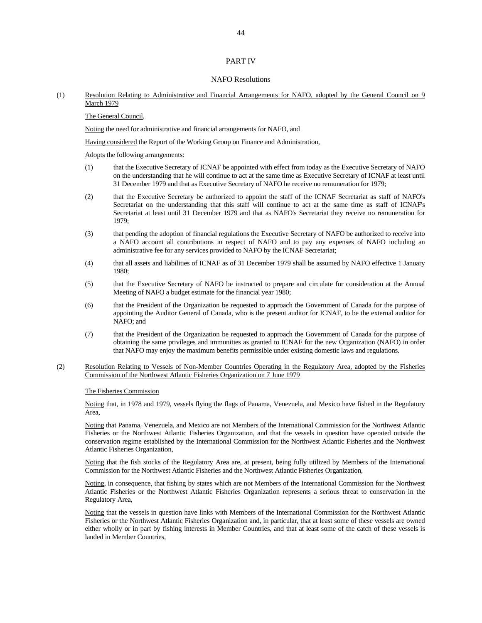#### PART IV

#### NAFO Resolutions

#### (1) Resolution Relating to Administrative and Financial Arrangements for NAFO, adopted by the General Council on 9 March 1979

#### The General Council,

Noting the need for administrative and financial arrangements for NAFO, and

Having considered the Report of the Working Group on Finance and Administration,

Adopts the following arrangements:

- (1) that the Executive Secretary of ICNAF be appointed with effect from today as the Executive Secretary of NAFO on the understanding that he will continue to act at the same time as Executive Secretary of ICNAF at least until 31 December 1979 and that as Executive Secretary of NAFO he receive no remuneration for 1979;
- (2) that the Executive Secretary be authorized to appoint the staff of the ICNAF Secretariat as staff of NAFO's Secretariat on the understanding that this staff will continue to act at the same time as staff of ICNAF's Secretariat at least until 31 December 1979 and that as NAFO's Secretariat they receive no remuneration for 1979;
- (3) that pending the adoption of financial regulations the Executive Secretary of NAFO be authorized to receive into a NAFO account all contributions in respect of NAFO and to pay any expenses of NAFO including an administrative fee for any services provided to NAFO by the ICNAF Secretariat;
- (4) that all assets and liabilities of ICNAF as of 31 December 1979 shall be assumed by NAFO effective 1 January 1980;
- (5) that the Executive Secretary of NAFO be instructed to prepare and circulate for consideration at the Annual Meeting of NAFO a budget estimate for the financial year 1980;
- (6) that the President of the Organization be requested to approach the Government of Canada for the purpose of appointing the Auditor General of Canada, who is the present auditor for ICNAF, to be the external auditor for NAFO; and
- (7) that the President of the Organization be requested to approach the Government of Canada for the purpose of obtaining the same privileges and immunities as granted to ICNAF for the new Organization (NAFO) in order that NAFO may enjoy the maximum benefits permissible under existing domestic laws and regulations.
- (2) Resolution Relating to Vessels of Non-Member Countries Operating in the Regulatory Area, adopted by the Fisheries Commission of the Northwest Atlantic Fisheries Organization on 7 June 1979

#### The Fisheries Commission

 Noting that, in 1978 and 1979, vessels flying the flags of Panama, Venezuela, and Mexico have fished in the Regulatory Area,

 Noting that Panama, Venezuela, and Mexico are not Members of the International Commission for the Northwest Atlantic Fisheries or the Northwest Atlantic Fisheries Organization, and that the vessels in question have operated outside the conservation regime established by the International Commission for the Northwest Atlantic Fisheries and the Northwest Atlantic Fisheries Organization,

Noting that the fish stocks of the Regulatory Area are, at present, being fully utilized by Members of the International Commission for the Northwest Atlantic Fisheries and the Northwest Atlantic Fisheries Organization,

 Noting, in consequence, that fishing by states which are not Members of the International Commission for the Northwest Atlantic Fisheries or the Northwest Atlantic Fisheries Organization represents a serious threat to conservation in the Regulatory Area,

 Noting that the vessels in question have links with Members of the International Commission for the Northwest Atlantic Fisheries or the Northwest Atlantic Fisheries Organization and, in particular, that at least some of these vessels are owned either wholly or in part by fishing interests in Member Countries, and that at least some of the catch of these vessels is landed in Member Countries,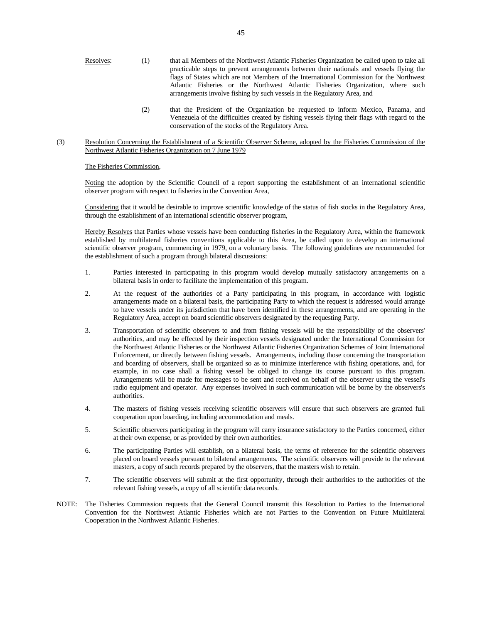- Resolves: (1) that all Members of the Northwest Atlantic Fisheries Organization be called upon to take all practicable steps to prevent arrangements between their nationals and vessels flying the flags of States which are not Members of the International Commission for the Northwest Atlantic Fisheries or the Northwest Atlantic Fisheries Organization, where such arrangements involve fishing by such vessels in the Regulatory Area, and
	- (2) that the President of the Organization be requested to inform Mexico, Panama, and Venezuela of the difficulties created by fishing vessels flying their flags with regard to the conservation of the stocks of the Regulatory Area.
- (3) Resolution Concerning the Establishment of a Scientific Observer Scheme, adopted by the Fisheries Commission of the Northwest Atlantic Fisheries Organization on 7 June 1979

#### The Fisheries Commission,

 Noting the adoption by the Scientific Council of a report supporting the establishment of an international scientific observer program with respect to fisheries in the Convention Area,

 Considering that it would be desirable to improve scientific knowledge of the status of fish stocks in the Regulatory Area, through the establishment of an international scientific observer program,

 Hereby Resolves that Parties whose vessels have been conducting fisheries in the Regulatory Area, within the framework established by multilateral fisheries conventions applicable to this Area, be called upon to develop an international scientific observer program, commencing in 1979, on a voluntary basis. The following guidelines are recommended for the establishment of such a program through bilateral discussions:

- 1. Parties interested in participating in this program would develop mutually satisfactory arrangements on a bilateral basis in order to facilitate the implementation of this program.
- 2. At the request of the authorities of a Party participating in this program, in accordance with logistic arrangements made on a bilateral basis, the participating Party to which the request is addressed would arrange to have vessels under its jurisdiction that have been identified in these arrangements, and are operating in the Regulatory Area, accept on board scientific observers designated by the requesting Party.
- 3. Transportation of scientific observers to and from fishing vessels will be the responsibility of the observers' authorities, and may be effected by their inspection vessels designated under the International Commission for the Northwest Atlantic Fisheries or the Northwest Atlantic Fisheries Organization Schemes of Joint International Enforcement, or directly between fishing vessels. Arrangements, including those concerning the transportation and boarding of observers, shall be organized so as to minimize interference with fishing operations, and, for example, in no case shall a fishing vessel be obliged to change its course pursuant to this program. Arrangements will be made for messages to be sent and received on behalf of the observer using the vessel's radio equipment and operator. Any expenses involved in such communication will be borne by the observers's authorities.
- 4. The masters of fishing vessels receiving scientific observers will ensure that such observers are granted full cooperation upon boarding, including accommodation and meals.
- 5. Scientific observers participating in the program will carry insurance satisfactory to the Parties concerned, either at their own expense, or as provided by their own authorities.
- 6. The participating Parties will establish, on a bilateral basis, the terms of reference for the scientific observers placed on board vessels pursuant to bilateral arrangements. The scientific observers will provide to the relevant masters, a copy of such records prepared by the observers, that the masters wish to retain.
- 7. The scientific observers will submit at the first opportunity, through their authorities to the authorities of the relevant fishing vessels, a copy of all scientific data records.
- NOTE: The Fisheries Commission requests that the General Council transmit this Resolution to Parties to the International Convention for the Northwest Atlantic Fisheries which are not Parties to the Convention on Future Multilateral Cooperation in the Northwest Atlantic Fisheries.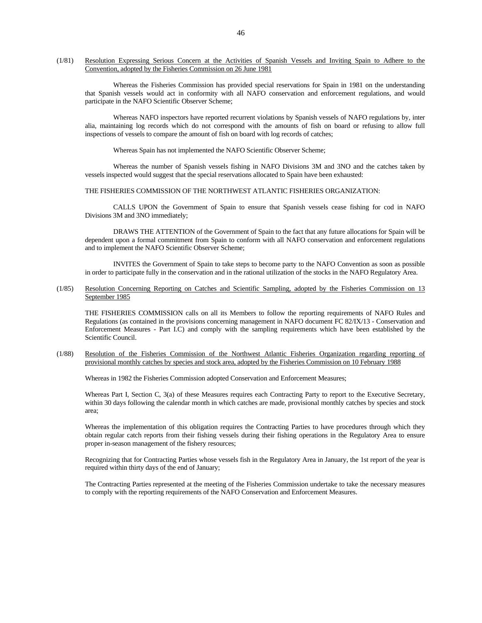(1/81) Resolution Expressing Serious Concern at the Activities of Spanish Vessels and Inviting Spain to Adhere to the Convention, adopted by the Fisheries Commission on 26 June 1981

 Whereas the Fisheries Commission has provided special reservations for Spain in 1981 on the understanding that Spanish vessels would act in conformity with all NAFO conservation and enforcement regulations, and would participate in the NAFO Scientific Observer Scheme;

 Whereas NAFO inspectors have reported recurrent violations by Spanish vessels of NAFO regulations by, inter alia, maintaining log records which do not correspond with the amounts of fish on board or refusing to allow full inspections of vessels to compare the amount of fish on board with log records of catches;

Whereas Spain has not implemented the NAFO Scientific Observer Scheme;

 Whereas the number of Spanish vessels fishing in NAFO Divisions 3M and 3NO and the catches taken by vessels inspected would suggest that the special reservations allocated to Spain have been exhausted:

#### THE FISHERIES COMMISSION OF THE NORTHWEST ATLANTIC FISHERIES ORGANIZATION:

 CALLS UPON the Government of Spain to ensure that Spanish vessels cease fishing for cod in NAFO Divisions 3M and 3NO immediately;

 DRAWS THE ATTENTION of the Government of Spain to the fact that any future allocations for Spain will be dependent upon a formal commitment from Spain to conform with all NAFO conservation and enforcement regulations and to implement the NAFO Scientific Observer Scheme;

 INVITES the Government of Spain to take steps to become party to the NAFO Convention as soon as possible in order to participate fully in the conservation and in the rational utilization of the stocks in the NAFO Regulatory Area.

(1/85) Resolution Concerning Reporting on Catches and Scientific Sampling, adopted by the Fisheries Commission on 13 September 1985

 THE FISHERIES COMMISSION calls on all its Members to follow the reporting requirements of NAFO Rules and Regulations (as contained in the provisions concerning management in NAFO document FC 82/IX/13 - Conservation and Enforcement Measures - Part I.C) and comply with the sampling requirements which have been established by the Scientific Council.

(1/88) Resolution of the Fisheries Commission of the Northwest Atlantic Fisheries Organization regarding reporting of provisional monthly catches by species and stock area, adopted by the Fisheries Commission on 10 February 1988

Whereas in 1982 the Fisheries Commission adopted Conservation and Enforcement Measures;

 Whereas Part I, Section C, 3(a) of these Measures requires each Contracting Party to report to the Executive Secretary, within 30 days following the calendar month in which catches are made, provisional monthly catches by species and stock area;

 Whereas the implementation of this obligation requires the Contracting Parties to have procedures through which they obtain regular catch reports from their fishing vessels during their fishing operations in the Regulatory Area to ensure proper in-season management of the fishery resources;

 Recognizing that for Contracting Parties whose vessels fish in the Regulatory Area in January, the 1st report of the year is required within thirty days of the end of January;

 The Contracting Parties represented at the meeting of the Fisheries Commission undertake to take the necessary measures to comply with the reporting requirements of the NAFO Conservation and Enforcement Measures.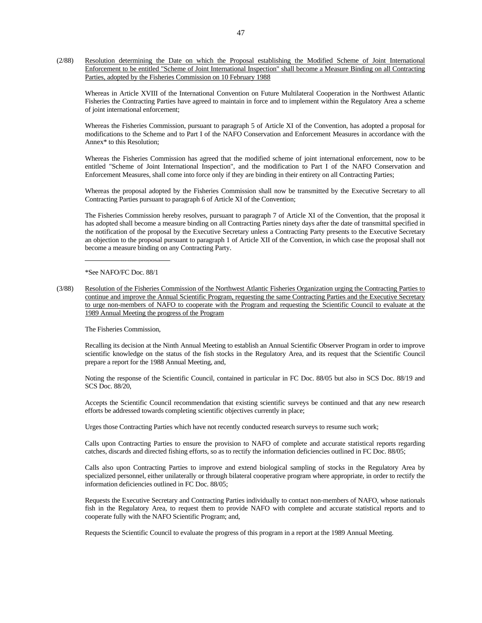(2/88) Resolution determining the Date on which the Proposal establishing the Modified Scheme of Joint International Enforcement to be entitled "Scheme of Joint International Inspection" shall become a Measure Binding on all Contracting Parties, adopted by the Fisheries Commission on 10 February 1988

 Whereas in Article XVIII of the International Convention on Future Multilateral Cooperation in the Northwest Atlantic Fisheries the Contracting Parties have agreed to maintain in force and to implement within the Regulatory Area a scheme of joint international enforcement;

 Whereas the Fisheries Commission, pursuant to paragraph 5 of Article XI of the Convention, has adopted a proposal for modifications to the Scheme and to Part I of the NAFO Conservation and Enforcement Measures in accordance with the Annex\* to this Resolution;

 Whereas the Fisheries Commission has agreed that the modified scheme of joint international enforcement, now to be entitled "Scheme of Joint International Inspection", and the modification to Part I of the NAFO Conservation and Enforcement Measures, shall come into force only if they are binding in their entirety on all Contracting Parties;

 Whereas the proposal adopted by the Fisheries Commission shall now be transmitted by the Executive Secretary to all Contracting Parties pursuant to paragraph 6 of Article XI of the Convention;

 The Fisheries Commission hereby resolves, pursuant to paragraph 7 of Article XI of the Convention, that the proposal it has adopted shall become a measure binding on all Contracting Parties ninety days after the date of transmittal specified in the notification of the proposal by the Executive Secretary unless a Contracting Party presents to the Executive Secretary an objection to the proposal pursuant to paragraph 1 of Article XII of the Convention, in which case the proposal shall not become a measure binding on any Contracting Party.

\*See NAFO/FC Doc. 88/1

(3/88) Resolution of the Fisheries Commission of the Northwest Atlantic Fisheries Organization urging the Contracting Parties to continue and improve the Annual Scientific Program, requesting the same Contracting Parties and the Executive Secretary to urge non-members of NAFO to cooperate with the Program and requesting the Scientific Council to evaluate at the 1989 Annual Meeting the progress of the Program

The Fisheries Commission,

 Recalling its decision at the Ninth Annual Meeting to establish an Annual Scientific Observer Program in order to improve scientific knowledge on the status of the fish stocks in the Regulatory Area, and its request that the Scientific Council prepare a report for the 1988 Annual Meeting, and,

 Noting the response of the Scientific Council, contained in particular in FC Doc. 88/05 but also in SCS Doc. 88/19 and SCS Doc. 88/20,

 Accepts the Scientific Council recommendation that existing scientific surveys be continued and that any new research efforts be addressed towards completing scientific objectives currently in place;

Urges those Contracting Parties which have not recently conducted research surveys to resume such work;

 Calls upon Contracting Parties to ensure the provision to NAFO of complete and accurate statistical reports regarding catches, discards and directed fishing efforts, so as to rectify the information deficiencies outlined in FC Doc. 88/05;

 Calls also upon Contracting Parties to improve and extend biological sampling of stocks in the Regulatory Area by specialized personnel, either unilaterally or through bilateral cooperative program where appropriate, in order to rectify the information deficiencies outlined in FC Doc. 88/05;

 Requests the Executive Secretary and Contracting Parties individually to contact non-members of NAFO, whose nationals fish in the Regulatory Area, to request them to provide NAFO with complete and accurate statistical reports and to cooperate fully with the NAFO Scientific Program; and,

Requests the Scientific Council to evaluate the progress of this program in a report at the 1989 Annual Meeting.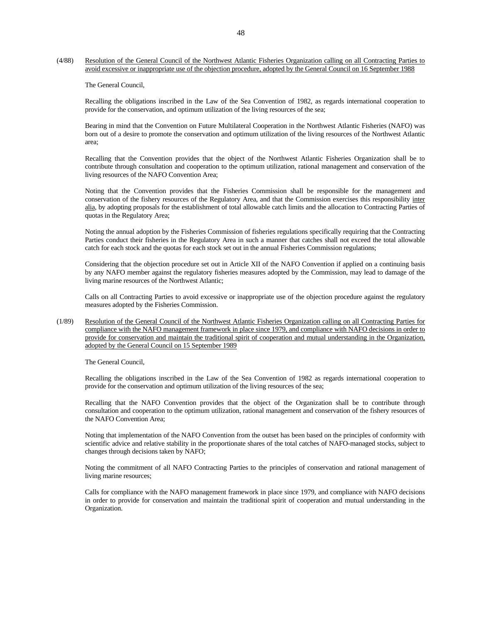#### (4/88) Resolution of the General Council of the Northwest Atlantic Fisheries Organization calling on all Contracting Parties to avoid excessive or inappropriate use of the objection procedure, adopted by the General Council on 16 September 1988

The General Council,

 Recalling the obligations inscribed in the Law of the Sea Convention of 1982, as regards international cooperation to provide for the conservation, and optimum utilization of the living resources of the sea;

 Bearing in mind that the Convention on Future Multilateral Cooperation in the Northwest Atlantic Fisheries (NAFO) was born out of a desire to promote the conservation and optimum utilization of the living resources of the Northwest Atlantic area;

 Recalling that the Convention provides that the object of the Northwest Atlantic Fisheries Organization shall be to contribute through consultation and cooperation to the optimum utilization, rational management and conservation of the living resources of the NAFO Convention Area;

 Noting that the Convention provides that the Fisheries Commission shall be responsible for the management and conservation of the fishery resources of the Regulatory Area, and that the Commission exercises this responsibility inter alia, by adopting proposals for the establishment of total allowable catch limits and the allocation to Contracting Parties of quotas in the Regulatory Area;

 Noting the annual adoption by the Fisheries Commission of fisheries regulations specifically requiring that the Contracting Parties conduct their fisheries in the Regulatory Area in such a manner that catches shall not exceed the total allowable catch for each stock and the quotas for each stock set out in the annual Fisheries Commission regulations;

 Considering that the objection procedure set out in Article XII of the NAFO Convention if applied on a continuing basis by any NAFO member against the regulatory fisheries measures adopted by the Commission, may lead to damage of the living marine resources of the Northwest Atlantic;

 Calls on all Contracting Parties to avoid excessive or inappropriate use of the objection procedure against the regulatory measures adopted by the Fisheries Commission.

(1/89) Resolution of the General Council of the Northwest Atlantic Fisheries Organization calling on all Contracting Parties for compliance with the NAFO management framework in place since 1979, and compliance with NAFO decisions in order to provide for conservation and maintain the traditional spirit of cooperation and mutual understanding in the Organization, adopted by the General Council on 15 September 1989

The General Council,

 Recalling the obligations inscribed in the Law of the Sea Convention of 1982 as regards international cooperation to provide for the conservation and optimum utilization of the living resources of the sea;

 Recalling that the NAFO Convention provides that the object of the Organization shall be to contribute through consultation and cooperation to the optimum utilization, rational management and conservation of the fishery resources of the NAFO Convention Area;

 Noting that implementation of the NAFO Convention from the outset has been based on the principles of conformity with scientific advice and relative stability in the proportionate shares of the total catches of NAFO-managed stocks, subject to changes through decisions taken by NAFO;

 Noting the commitment of all NAFO Contracting Parties to the principles of conservation and rational management of living marine resources;

 Calls for compliance with the NAFO management framework in place since 1979, and compliance with NAFO decisions in order to provide for conservation and maintain the traditional spirit of cooperation and mutual understanding in the Organization.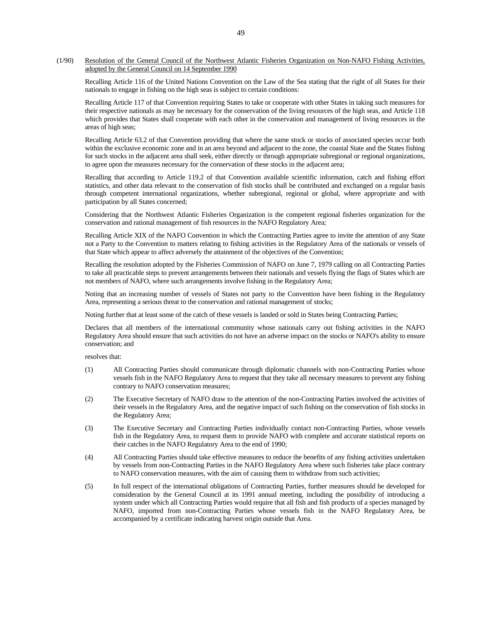#### (1/90) Resolution of the General Council of the Northwest Atlantic Fisheries Organization on Non-NAFO Fishing Activities, adopted by the General Council on 14 September 1990

 Recalling Article 116 of the United Nations Convention on the Law of the Sea stating that the right of all States for their nationals to engage in fishing on the high seas is subject to certain conditions:

 Recalling Article 117 of that Convention requiring States to take or cooperate with other States in taking such measures for their respective nationals as may be necessary for the conservation of the living resources of the high seas, and Article 118 which provides that States shall cooperate with each other in the conservation and management of living resources in the areas of high seas;

 Recalling Article 63.2 of that Convention providing that where the same stock or stocks of associated species occur both within the exclusive economic zone and in an area beyond and adjacent to the zone, the coastal State and the States fishing for such stocks in the adjacent area shall seek, either directly or through appropriate subregional or regional organizations, to agree upon the measures necessary for the conservation of these stocks in the adjacent area;

 Recalling that according to Article 119.2 of that Convention available scientific information, catch and fishing effort statistics, and other data relevant to the conservation of fish stocks shall be contributed and exchanged on a regular basis through competent international organizations, whether subregional, regional or global, where appropriate and with participation by all States concerned;

 Considering that the Northwest Atlantic Fisheries Organization is the competent regional fisheries organization for the conservation and rational management of fish resources in the NAFO Regulatory Area;

 Recalling Article XIX of the NAFO Convention in which the Contracting Parties agree to invite the attention of any State not a Party to the Convention to matters relating to fishing activities in the Regulatory Area of the nationals or vessels of that State which appear to affect adversely the attainment of the objectives of the Convention;

 Recalling the resolution adopted by the Fisheries Commission of NAFO on June 7, 1979 calling on all Contracting Parties to take all practicable steps to prevent arrangements between their nationals and vessels flying the flags of States which are not members of NAFO, where such arrangements involve fishing in the Regulatory Area;

 Noting that an increasing number of vessels of States not party to the Convention have been fishing in the Regulatory Area, representing a serious threat to the conservation and rational management of stocks;

Noting further that at least some of the catch of these vessels is landed or sold in States being Contracting Parties;

 Declares that all members of the international community whose nationals carry out fishing activities in the NAFO Regulatory Area should ensure that such activities do not have an adverse impact on the stocks or NAFO's ability to ensure conservation; and

resolves that:

- (1) All Contracting Parties should communicate through diplomatic channels with non-Contracting Parties whose vessels fish in the NAFO Regulatory Area to request that they take all necessary measures to prevent any fishing contrary to NAFO conservation measures;
- (2) The Executive Secretary of NAFO draw to the attention of the non-Contracting Parties involved the activities of their vessels in the Regulatory Area, and the negative impact of such fishing on the conservation of fish stocks in the Regulatory Area;
- (3) The Executive Secretary and Contracting Parties individually contact non-Contracting Parties, whose vessels fish in the Regulatory Area, to request them to provide NAFO with complete and accurate statistical reports on their catches in the NAFO Regulatory Area to the end of 1990;
- (4) All Contracting Parties should take effective measures to reduce the benefits of any fishing activities undertaken by vessels from non-Contracting Parties in the NAFO Regulatory Area where such fisheries take place contrary to NAFO conservation measures, with the aim of causing them to withdraw from such activities;
- (5) In full respect of the international obligations of Contracting Parties, further measures should be developed for consideration by the General Council at its 1991 annual meeting, including the possibility of introducing a system under which all Contracting Parties would require that all fish and fish products of a species managed by NAFO, imported from non-Contracting Parties whose vessels fish in the NAFO Regulatory Area, be accompanied by a certificate indicating harvest origin outside that Area.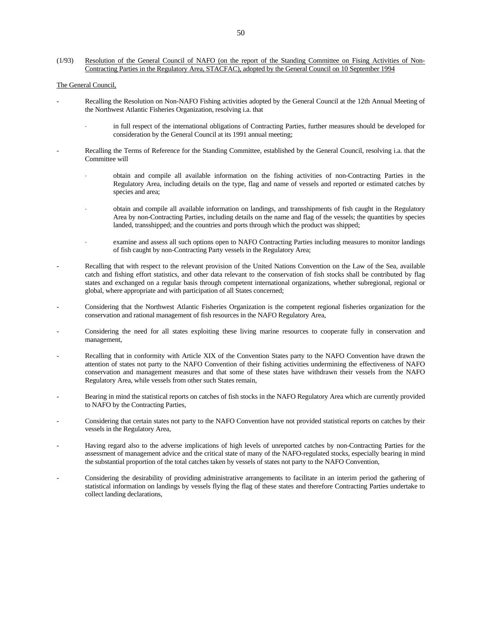(1/93) Resolution of the General Council of NAFO (on the report of the Standing Committee on Fising Activities of Non-Contracting Parties in the Regulatory Area, STACFAC), adopted by the General Council on 10 September 1994

#### The General Council,

- Recalling the Resolution on Non-NAFO Fishing activities adopted by the General Council at the 12th Annual Meeting of the Northwest Atlantic Fisheries Organization, resolving i.a. that
	- in full respect of the international obligations of Contracting Parties, further measures should be developed for consideration by the General Council at its 1991 annual meeting;
- Recalling the Terms of Reference for the Standing Committee, established by the General Council, resolving i.a. that the Committee will
	- ⋅ obtain and compile all available information on the fishing activities of non-Contracting Parties in the Regulatory Area, including details on the type, flag and name of vessels and reported or estimated catches by species and area;
	- ⋅ obtain and compile all available information on landings, and transshipments of fish caught in the Regulatory Area by non-Contracting Parties, including details on the name and flag of the vessels; the quantities by species landed, transshipped; and the countries and ports through which the product was shipped;
	- examine and assess all such options open to NAFO Contracting Parties including measures to monitor landings of fish caught by non-Contracting Party vessels in the Regulatory Area;
- Recalling that with respect to the relevant provision of the United Nations Convention on the Law of the Sea, available catch and fishing effort statistics, and other data relevant to the conservation of fish stocks shall be contributed by flag states and exchanged on a regular basis through competent international organizations, whether subregional, regional or global, where appropriate and with participation of all States concerned;
- Considering that the Northwest Atlantic Fisheries Organization is the competent regional fisheries organization for the conservation and rational management of fish resources in the NAFO Regulatory Area,
- Considering the need for all states exploiting these living marine resources to cooperate fully in conservation and management,
- Recalling that in conformity with Article XIX of the Convention States party to the NAFO Convention have drawn the attention of states not party to the NAFO Convention of their fishing activities undermining the effectiveness of NAFO conservation and management measures and that some of these states have withdrawn their vessels from the NAFO Regulatory Area, while vessels from other such States remain,
- Bearing in mind the statistical reports on catches of fish stocks in the NAFO Regulatory Area which are currently provided to NAFO by the Contracting Parties,
- Considering that certain states not party to the NAFO Convention have not provided statistical reports on catches by their vessels in the Regulatory Area,
- Having regard also to the adverse implications of high levels of unreported catches by non-Contracting Parties for the assessment of management advice and the critical state of many of the NAFO-regulated stocks, especially bearing in mind the substantial proportion of the total catches taken by vessels of states not party to the NAFO Convention,
- Considering the desirability of providing administrative arrangements to facilitate in an interim period the gathering of statistical information on landings by vessels flying the flag of these states and therefore Contracting Parties undertake to collect landing declarations,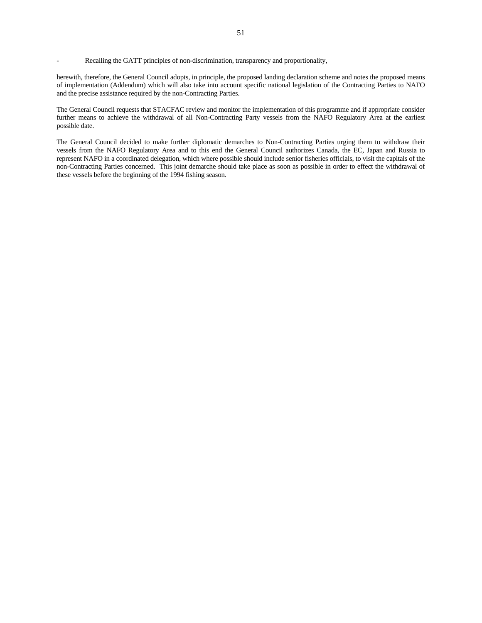Recalling the GATT principles of non-discrimination, transparency and proportionality,

herewith, therefore, the General Council adopts, in principle, the proposed landing declaration scheme and notes the proposed means of implementation (Addendum) which will also take into account specific national legislation of the Contracting Parties to NAFO and the precise assistance required by the non-Contracting Parties.

The General Council requests that STACFAC review and monitor the implementation of this programme and if appropriate consider further means to achieve the withdrawal of all Non-Contracting Party vessels from the NAFO Regulatory Area at the earliest possible date.

The General Council decided to make further diplomatic demarches to Non-Contracting Parties urging them to withdraw their vessels from the NAFO Regulatory Area and to this end the General Council authorizes Canada, the EC, Japan and Russia to represent NAFO in a coordinated delegation, which where possible should include senior fisheries officials, to visit the capitals of the non-Contracting Parties concerned. This joint demarche should take place as soon as possible in order to effect the withdrawal of these vessels before the beginning of the 1994 fishing season.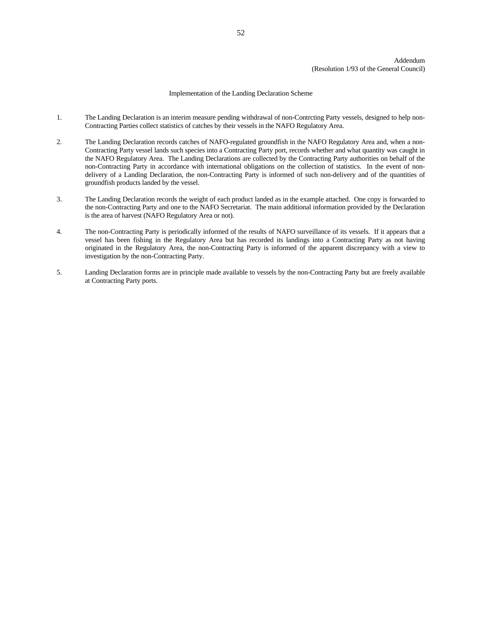#### Implementation of the Landing Declaration Scheme

- 1. The Landing Declaration is an interim measure pending withdrawal of non-Contrcting Party vessels, designed to help non-Contracting Parties collect statistics of catches by their vessels in the NAFO Regulatory Area.
- 2. The Landing Declaration records catches of NAFO-regulated groundfish in the NAFO Regulatory Area and, when a non-Contracting Party vessel lands such species into a Contracting Party port, records whether and what quantity was caught in the NAFO Regulatory Area. The Landing Declarations are collected by the Contracting Party authorities on behalf of the non-Contracting Party in accordance with international obligations on the collection of statistics. In the event of nondelivery of a Landing Declaration, the non-Contracting Party is informed of such non-delivery and of the quantities of groundfish products landed by the vessel.
- 3. The Landing Declaration records the weight of each product landed as in the example attached. One copy is forwarded to the non-Contracting Party and one to the NAFO Secretariat. The main additional information provided by the Declaration is the area of harvest (NAFO Regulatory Area or not).
- 4. The non-Contracting Party is periodically informed of the results of NAFO surveillance of its vessels. If it appears that a vessel has been fishing in the Regulatory Area but has recorded its landings into a Contracting Party as not having originated in the Regulatory Area, the non-Contracting Party is informed of the apparent discrepancy with a view to investigation by the non-Contracting Party.
- 5. Landing Declaration forms are in principle made available to vessels by the non-Contracting Party but are freely available at Contracting Party ports.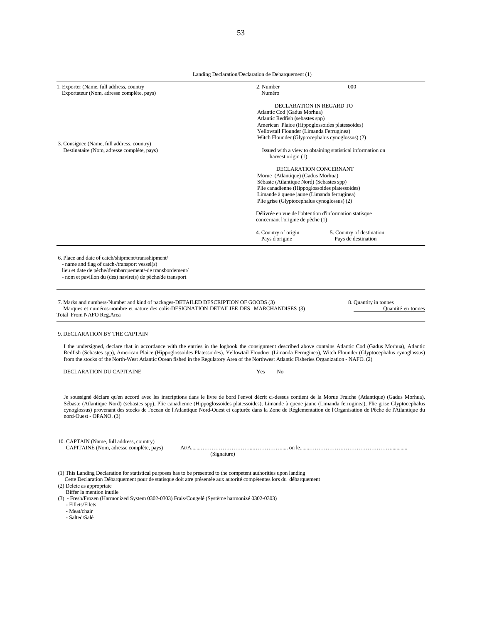Landing Declaration/Declaration de Debarquement (1)

| 1. Exporter (Name, full address, country<br>Exportateur (Nom, adresse complète, pays)                                                                                                                                                                                                                                                                                                                                                                                                                                              | 2. Number<br>Numéro                                                                                                                                                                                                                                                                                       | 000                                                                      |  |  |  |  |  |
|------------------------------------------------------------------------------------------------------------------------------------------------------------------------------------------------------------------------------------------------------------------------------------------------------------------------------------------------------------------------------------------------------------------------------------------------------------------------------------------------------------------------------------|-----------------------------------------------------------------------------------------------------------------------------------------------------------------------------------------------------------------------------------------------------------------------------------------------------------|--------------------------------------------------------------------------|--|--|--|--|--|
| 3. Consignee (Name, full address, country)<br>Destinataire (Nom, adresse complète, pays)                                                                                                                                                                                                                                                                                                                                                                                                                                           | DECLARATION IN REGARD TO<br>Atlantic Cod (Gadus Morhua)<br>Atlantic Redfish (sebastes spp)<br>American Plaice (Hippoglossoides platessoides)<br>Yellowtail Flounder (Limanda Ferruginea)<br>Witch Flounder (Glyptocephalus cynoglossus) (2)<br>Issued with a view to obtaining statistical information on |                                                                          |  |  |  |  |  |
|                                                                                                                                                                                                                                                                                                                                                                                                                                                                                                                                    | harvest origin (1)<br>Morue (Atlantique) (Gadus Morhua)<br>Sébaste (Atlantique Nord) (Sebastes spp)<br>Limande à quene jaune (Limanda ferruginea)<br>Plie grise (Glyptocephalus cynoglossus) (2)                                                                                                          | DECLARATION CONCERNANT<br>Plie canadienne (Hippoglossoides platessoides) |  |  |  |  |  |
|                                                                                                                                                                                                                                                                                                                                                                                                                                                                                                                                    | Délivrée en vue de l'obtention d'information statisque<br>concernant l'origine de pêche (1)                                                                                                                                                                                                               |                                                                          |  |  |  |  |  |
|                                                                                                                                                                                                                                                                                                                                                                                                                                                                                                                                    | 4. Country of origin<br>Pays d'origine                                                                                                                                                                                                                                                                    | 5. Country of destination<br>Pays de destination                         |  |  |  |  |  |
| lieu et date de pêche/d'embarquement/-de transbordement/<br>- nom et pavillon du (des) navire(s) de pêche/de transport<br>7. Marks and numbers-Number and kind of packages-DETAILED DESCRIPTION OF GOODS (3)<br>Marques et numéros-nombre et nature des colis-DESIGNATION DETAILIEE DES MARCHANDISES (3)<br>Total From NAFO Reg.Area<br>9. DECLARATION BY THE CAPTAIN                                                                                                                                                              |                                                                                                                                                                                                                                                                                                           | 8. Quantity in tonnes<br>Quantité en tonnes                              |  |  |  |  |  |
| I the undersigned, declare that in accordance with the entries in the logbook the consignment described above contains Atlantic Cod (Gadus Morhua), Atlantic<br>Redfish (Sebastes spp), American Plaice (Hippoglossoides Platessoides), Yellowtail Floudner (Limanda Ferruginea), Witch Flounder (Glyptocephalus cynoglossus)<br>from the stocks of the North-West Atlantic Ocean fished in the Regulatory Area of the Northwest Atlantic Fisheries Organization - NAFO. (2)                                                       |                                                                                                                                                                                                                                                                                                           |                                                                          |  |  |  |  |  |
| DECLARATION DU CAPITAINE                                                                                                                                                                                                                                                                                                                                                                                                                                                                                                           | Yes<br>No                                                                                                                                                                                                                                                                                                 |                                                                          |  |  |  |  |  |
| Je soussigné déclare qu'en accord avec les inscriptions dans le livre de bord l'envoi décrit ci-dessus contient de la Morue Fraiche (Atlantique) (Gadus Morhua),<br>Sébaste (Atlantique Nord) (sebastes spp), Plie canadienne (Hippoglossoides platessoides), Limande à quene jaune (Limanda ferruginea), Plie grise Glyptocephalus<br>cynoglossus) provenant des stocks de l'ocean de l'Atlantique Nord-Ouest et capturée dans la Zone de Réglementation de l'Organisation de Pêche de l'Atlantique du<br>nord-Ouest - OPANO. (3) |                                                                                                                                                                                                                                                                                                           |                                                                          |  |  |  |  |  |
| 10. CAPTAIN (Name, full address, country)<br>CAPITAINE (Nom, adresse complète, pays)                                                                                                                                                                                                                                                                                                                                                                                                                                               | (Signature)                                                                                                                                                                                                                                                                                               |                                                                          |  |  |  |  |  |
| (1) This Landing Declaration for statistical purposes has to be presented to the competent authorities upon landing<br>Cette Declaration Débarquement pour de statisque doit atre présentée aux autorité compétentes lors du débarquement<br>(2) Delete as appropriate<br>Biffer la mention inutile<br>(3) - Fresh/Frozen (Harmonized System 0302-0303) Frais/Congelé (Système harmonizé 0302-0303)<br>- Fillets/Filets                                                                                                            |                                                                                                                                                                                                                                                                                                           |                                                                          |  |  |  |  |  |

- 
- Meat/chair
- Salted/Salé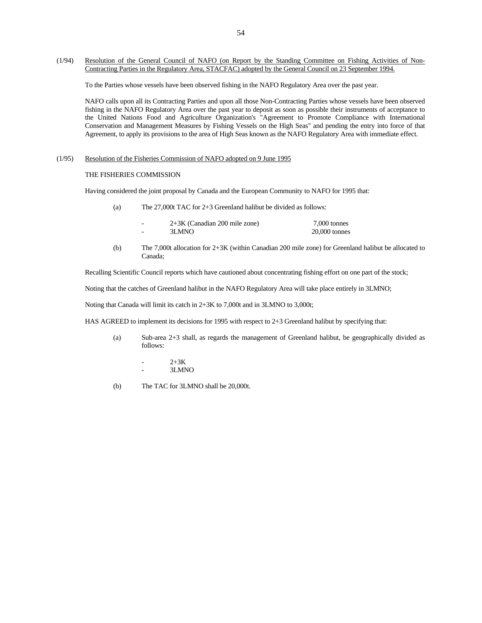(1/94) Resolution of the General Council of NAFO (on Report by the Standing Committee on Fishing Activities of Non-Contracting Parties in the Regulatory Area, STACFAC) adopted by the General Council on 23 September 1994.

To the Parties whose vessels have been observed fishing in the NAFO Regulatory Area over the past year.

 NAFO calls upon all its Contracting Parties and upon all those Non-Contracting Parties whose vessels have been observed fishing in the NAFO Regulatory Area over the past year to deposit as soon as possible their instruments of acceptance to the United Nations Food and Agriculture Organization's "Agreement to Promote Compliance with International Conservation and Management Measures by Fishing Vessels on the High Seas" and pending the entry into force of that Agreement, to apply its provisions to the area of High Seas known as the NAFO Regulatory Area with immediate effect.

#### (1/95) Resolution of the Fisheries Commission of NAFO adopted on 9 June 1995

#### THE FISHERIES COMMISSION

Having considered the joint proposal by Canada and the European Community to NAFO for 1995 that:

(a) The 27,000t TAC for 2+3 Greenland halibut be divided as follows:

|                          | $2+3K$ (Canadian 200 mile zone) | 7,000 tonnes    |
|--------------------------|---------------------------------|-----------------|
| $\overline{\phantom{0}}$ | 3LMNO                           | $20,000$ tonnes |

 (b) The 7,000t allocation for 2+3K (within Canadian 200 mile zone) for Greenland halibut be allocated to Canada;

Recalling Scientific Council reports which have cautioned about concentrating fishing effort on one part of the stock;

Noting that the catches of Greenland halibut in the NAFO Regulatory Area will take place entirely in 3LMNO;

Noting that Canada will limit its catch in 2+3K to 7,000t and in 3LMNO to 3,000t;

HAS AGREED to implement its decisions for 1995 with respect to 2+3 Greenland halibut by specifying that:

- (a) Sub-area 2+3 shall, as regards the management of Greenland halibut, be geographically divided as follows:
	- $2 + 3K$ - 3LMNO
- (b) The TAC for 3LMNO shall be 20,000t.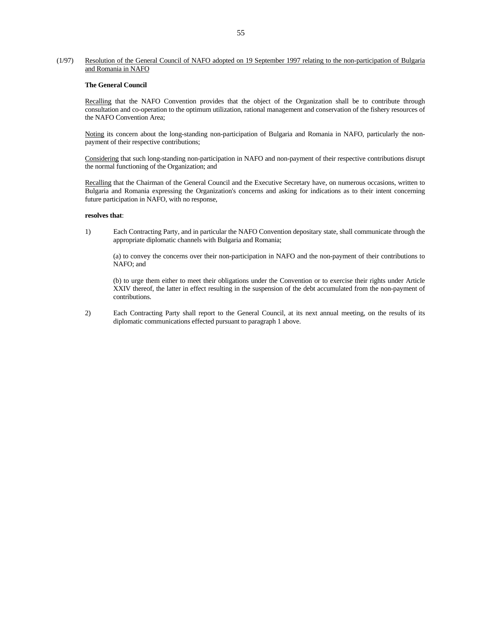#### (1/97) Resolution of the General Council of NAFO adopted on 19 September 1997 relating to the non-participation of Bulgaria and Romania in NAFO

#### **The General Council**

 Recalling that the NAFO Convention provides that the object of the Organization shall be to contribute through consultation and co-operation to the optimum utilization, rational management and conservation of the fishery resources of the NAFO Convention Area;

 Noting its concern about the long-standing non-participation of Bulgaria and Romania in NAFO, particularly the nonpayment of their respective contributions;

 Considering that such long-standing non-participation in NAFO and non-payment of their respective contributions disrupt the normal functioning of the Organization; and

 Recalling that the Chairman of the General Council and the Executive Secretary have, on numerous occasions, written to Bulgaria and Romania expressing the Organization's concerns and asking for indications as to their intent concerning future participation in NAFO, with no response,

#### **resolves that**:

 1) Each Contracting Party, and in particular the NAFO Convention depositary state, shall communicate through the appropriate diplomatic channels with Bulgaria and Romania;

 (a) to convey the concerns over their non-participation in NAFO and the non-payment of their contributions to NAFO; and

 (b) to urge them either to meet their obligations under the Convention or to exercise their rights under Article XXIV thereof, the latter in effect resulting in the suspension of the debt accumulated from the non-payment of contributions.

 2) Each Contracting Party shall report to the General Council, at its next annual meeting, on the results of its diplomatic communications effected pursuant to paragraph 1 above.